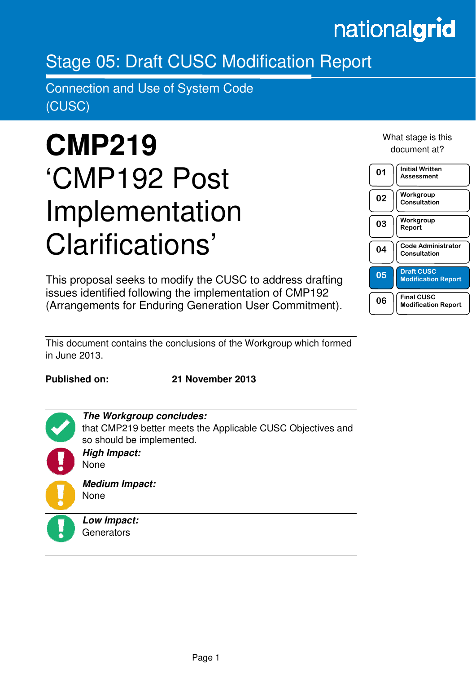# nationalgrid

# Stage 05: Draft CUSC Modification Report

Connection and Use of System Code (CUSC)

# **CMP219**  'CMP192 Post Implementation Clarifications'

This proposal seeks to modify the CUSC to address drafting issues identified following the implementation of CMP192 (Arrangements for Enduring Generation User Commitment). What stage is this document at?



This document contains the conclusions of the Workgroup which formed in June 2013.

**Published on: 21 November 2013** 

that CMP219 better meets the Applicable CUSC Objectives and



in the contract of the contract of the contract of the contract of the contract of the contract of the contract of the contract of the contract of the contract of the contract of the contract of the contract of the contrac

None **Medium Impact:** 

**High Impact:** 

**The Workgroup concludes:** 

so should be implemented.

None

**Low Impact: Generators**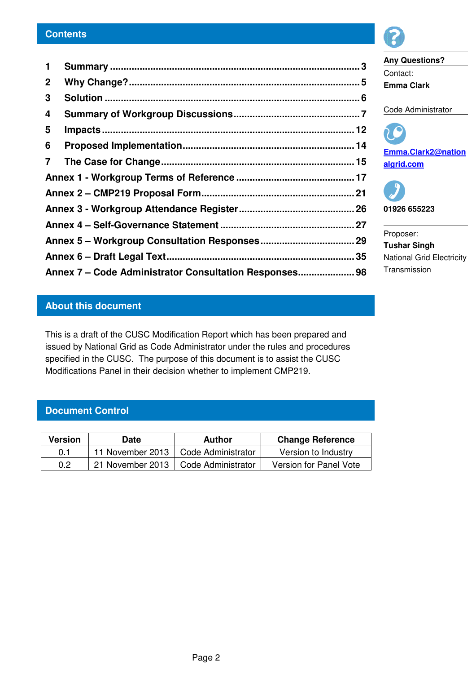| 1              |                                                        |  |
|----------------|--------------------------------------------------------|--|
| $\mathbf{2}$   |                                                        |  |
| 3              |                                                        |  |
| 4              |                                                        |  |
| 5              |                                                        |  |
| 6              |                                                        |  |
| $\overline{7}$ |                                                        |  |
|                |                                                        |  |
|                |                                                        |  |
|                |                                                        |  |
|                |                                                        |  |
|                |                                                        |  |
|                |                                                        |  |
|                | Annex 7 - Code Administrator Consultation Responses 98 |  |

#### **About this document**

This is a draft of the CUSC Modification Report which has been prepared and issued by National Grid as Code Administrator under the rules and procedures specified in the CUSC. The purpose of this document is to assist the CUSC Modifications Panel in their decision whether to implement CMP219.

#### **Document Control**

| <b>Version</b> | Date             | Author             | <b>Change Reference</b> |
|----------------|------------------|--------------------|-------------------------|
| 0.1            | 11 November 2013 | Code Administrator | Version to Industry     |
| 0.2            | 21 November 2013 | Code Administrator | Version for Panel Vote  |

**Any Questions?**  Contact: **Emma Clark** 

Code Administrator

**Emma.Clark2@nation algrid.com** 



Proposer: **Tushar Singh**  National Grid Electricity Transmission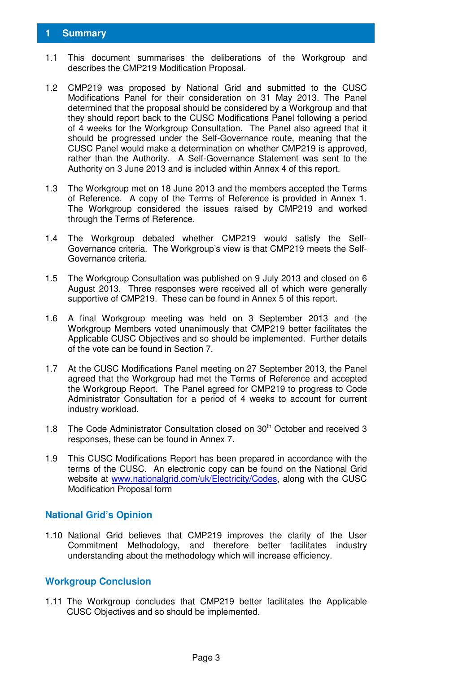#### **1 Summary**

- 1.1 This document summarises the deliberations of the Workgroup and describes the CMP219 Modification Proposal.
- 1.2 CMP219 was proposed by National Grid and submitted to the CUSC Modifications Panel for their consideration on 31 May 2013. The Panel determined that the proposal should be considered by a Workgroup and that they should report back to the CUSC Modifications Panel following a period of 4 weeks for the Workgroup Consultation. The Panel also agreed that it should be progressed under the Self-Governance route, meaning that the CUSC Panel would make a determination on whether CMP219 is approved, rather than the Authority. A Self-Governance Statement was sent to the Authority on 3 June 2013 and is included within Annex 4 of this report.
- 1.3 The Workgroup met on 18 June 2013 and the members accepted the Terms of Reference. A copy of the Terms of Reference is provided in Annex 1. The Workgroup considered the issues raised by CMP219 and worked through the Terms of Reference.
- 1.4 The Workgroup debated whether CMP219 would satisfy the Self-Governance criteria. The Workgroup's view is that CMP219 meets the Self-Governance criteria.
- 1.5 The Workgroup Consultation was published on 9 July 2013 and closed on 6 August 2013. Three responses were received all of which were generally supportive of CMP219. These can be found in Annex 5 of this report.
- 1.6 A final Workgroup meeting was held on 3 September 2013 and the Workgroup Members voted unanimously that CMP219 better facilitates the Applicable CUSC Objectives and so should be implemented. Further details of the vote can be found in Section 7.
- 1.7 At the CUSC Modifications Panel meeting on 27 September 2013, the Panel agreed that the Workgroup had met the Terms of Reference and accepted the Workgroup Report. The Panel agreed for CMP219 to progress to Code Administrator Consultation for a period of 4 weeks to account for current industry workload.
- 1.8 The Code Administrator Consultation closed on  $30<sup>th</sup>$  October and received 3 responses, these can be found in Annex 7.
- 1.9 This CUSC Modifications Report has been prepared in accordance with the terms of the CUSC. An electronic copy can be found on the National Grid website at www.nationalgrid.com/uk/Electricity/Codes, along with the CUSC Modification Proposal form

#### **National Grid's Opinion**

1.10 National Grid believes that CMP219 improves the clarity of the User Commitment Methodology, and therefore better facilitates industry understanding about the methodology which will increase efficiency.

#### **Workgroup Conclusion**

1.11 The Workgroup concludes that CMP219 better facilitates the Applicable CUSC Objectives and so should be implemented.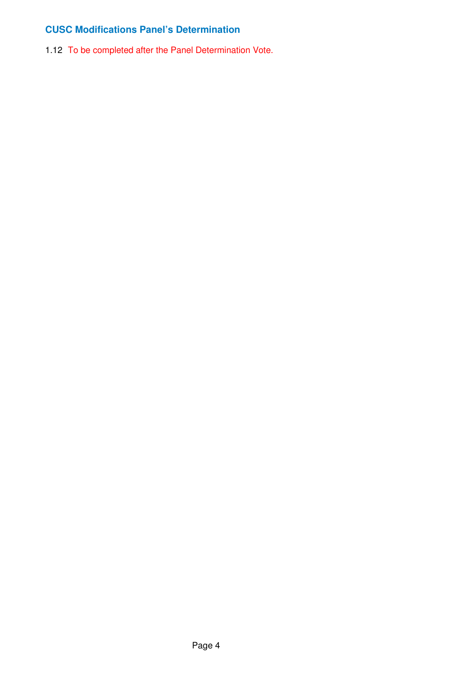#### **CUSC Modifications Panel's Determination**

1.12 To be completed after the Panel Determination Vote.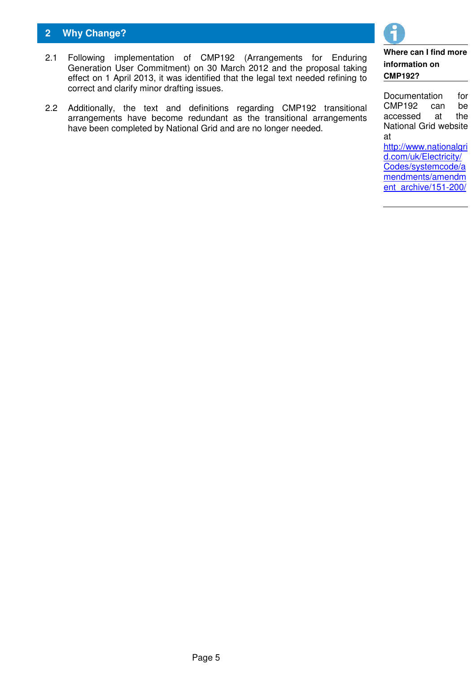#### **2 Why Change?**

- 2.1 Following implementation of CMP192 (Arrangements for Enduring Generation User Commitment) on 30 March 2012 and the proposal taking effect on 1 April 2013, it was identified that the legal text needed refining to correct and clarify minor drafting issues.
- 2.2 Additionally, the text and definitions regarding CMP192 transitional arrangements have become redundant as the transitional arrangements have been completed by National Grid and are no longer needed.

#### **Where can I find more information on CMP192?**

Documentation for CMP192 can be accessed at the National Grid website at

http://www.nationalgri d.com/uk/Electricity/ Codes/systemcode/a mendments/amendm ent\_archive/151-200/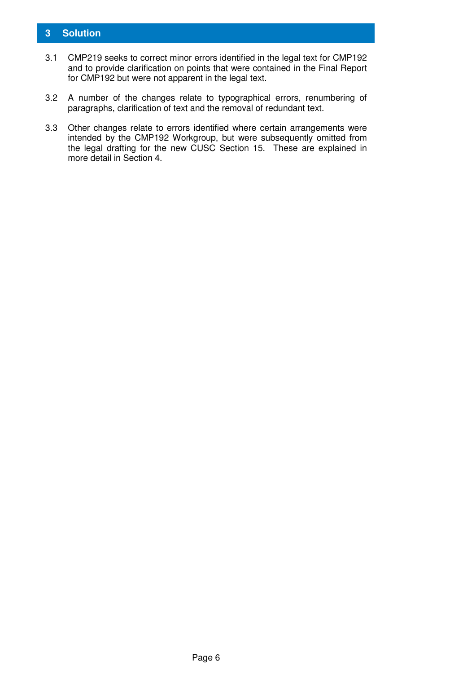#### **3 Solution**

- 3.1 CMP219 seeks to correct minor errors identified in the legal text for CMP192 and to provide clarification on points that were contained in the Final Report for CMP192 but were not apparent in the legal text.
- 3.2 A number of the changes relate to typographical errors, renumbering of paragraphs, clarification of text and the removal of redundant text.
- 3.3 Other changes relate to errors identified where certain arrangements were intended by the CMP192 Workgroup, but were subsequently omitted from the legal drafting for the new CUSC Section 15. These are explained in more detail in Section 4.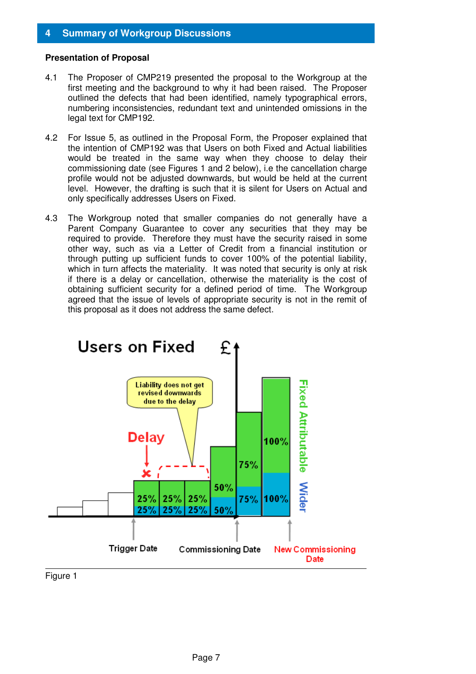#### **4 Summary of Workgroup Discussions**

#### **Presentation of Proposal**

- 4.1 The Proposer of CMP219 presented the proposal to the Workgroup at the first meeting and the background to why it had been raised. The Proposer outlined the defects that had been identified, namely typographical errors, numbering inconsistencies, redundant text and unintended omissions in the legal text for CMP192.
- 4.2 For Issue 5, as outlined in the Proposal Form, the Proposer explained that the intention of CMP192 was that Users on both Fixed and Actual liabilities would be treated in the same way when they choose to delay their commissioning date (see Figures 1 and 2 below), i.e the cancellation charge profile would not be adjusted downwards, but would be held at the current level. However, the drafting is such that it is silent for Users on Actual and only specifically addresses Users on Fixed.
- 4.3 The Workgroup noted that smaller companies do not generally have a Parent Company Guarantee to cover any securities that they may be required to provide. Therefore they must have the security raised in some other way, such as via a Letter of Credit from a financial institution or through putting up sufficient funds to cover 100% of the potential liability, which in turn affects the materiality. It was noted that security is only at risk if there is a delay or cancellation, otherwise the materiality is the cost of obtaining sufficient security for a defined period of time. The Workgroup agreed that the issue of levels of appropriate security is not in the remit of this proposal as it does not address the same defect.



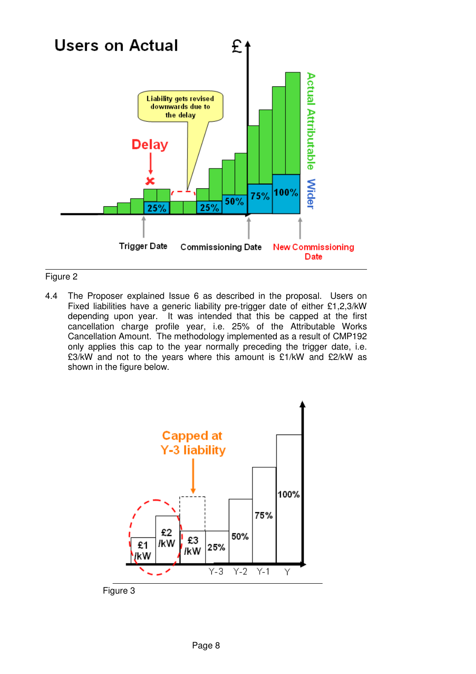

#### Figure 2

4.4 The Proposer explained Issue 6 as described in the proposal. Users on Fixed liabilities have a generic liability pre-trigger date of either £1,2,3/kW depending upon year. It was intended that this be capped at the first cancellation charge profile year, i.e. 25% of the Attributable Works Cancellation Amount. The methodology implemented as a result of CMP192 only applies this cap to the year normally preceding the trigger date, i.e. £3/kW and not to the years where this amount is £1/kW and £2/kW as shown in the figure below.



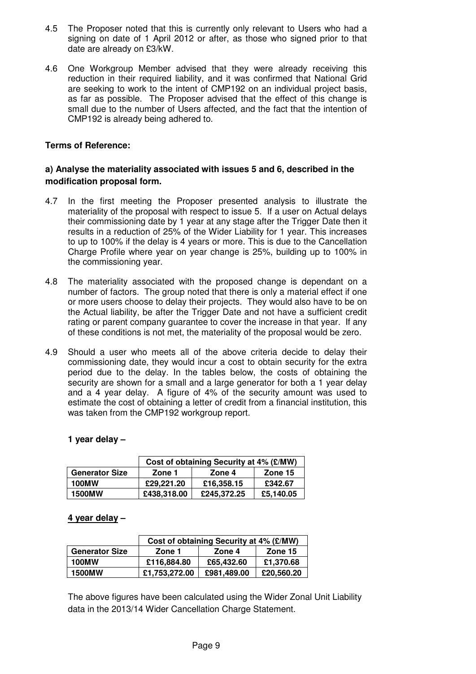- 4.5 The Proposer noted that this is currently only relevant to Users who had a signing on date of 1 April 2012 or after, as those who signed prior to that date are already on £3/kW.
- 4.6 One Workgroup Member advised that they were already receiving this reduction in their required liability, and it was confirmed that National Grid are seeking to work to the intent of CMP192 on an individual project basis, as far as possible. The Proposer advised that the effect of this change is small due to the number of Users affected, and the fact that the intention of CMP192 is already being adhered to.

#### **Terms of Reference:**

#### **a) Analyse the materiality associated with issues 5 and 6, described in the modification proposal form.**

- 4.7 In the first meeting the Proposer presented analysis to illustrate the materiality of the proposal with respect to issue 5. If a user on Actual delays their commissioning date by 1 year at any stage after the Trigger Date then it results in a reduction of 25% of the Wider Liability for 1 year. This increases to up to 100% if the delay is 4 years or more. This is due to the Cancellation Charge Profile where year on year change is 25%, building up to 100% in the commissioning year.
- 4.8 The materiality associated with the proposed change is dependant on a number of factors. The group noted that there is only a material effect if one or more users choose to delay their projects. They would also have to be on the Actual liability, be after the Trigger Date and not have a sufficient credit rating or parent company guarantee to cover the increase in that year. If any of these conditions is not met, the materiality of the proposal would be zero.
- 4.9 Should a user who meets all of the above criteria decide to delay their commissioning date, they would incur a cost to obtain security for the extra period due to the delay. In the tables below, the costs of obtaining the security are shown for a small and a large generator for both a 1 year delay and a 4 year delay. A figure of 4% of the security amount was used to estimate the cost of obtaining a letter of credit from a financial institution, this was taken from the CMP192 workgroup report.

#### **1 year delay –**

|                       | Cost of obtaining Security at 4% (£/MW) |             |           |
|-----------------------|-----------------------------------------|-------------|-----------|
| <b>Generator Size</b> | Zone 1                                  | Zone 4      | Zone 15   |
| <b>100MW</b>          | £29,221,20                              | £16,358.15  | £342.67   |
| <b>1500MW</b>         | £438,318.00                             | £245,372.25 | £5,140.05 |

#### **4 year delay –**

|                       | Cost of obtaining Security at 4% (£/MW) |             |            |
|-----------------------|-----------------------------------------|-------------|------------|
| <b>Generator Size</b> | Zone 1<br>Zone 4                        |             | Zone 15    |
| <b>100MW</b>          | £116,884.80                             | £65,432.60  | £1,370.68  |
| <b>1500MW</b>         | £1,753,272.00                           | £981,489.00 | £20,560.20 |

The above figures have been calculated using the Wider Zonal Unit Liability data in the 2013/14 Wider Cancellation Charge Statement.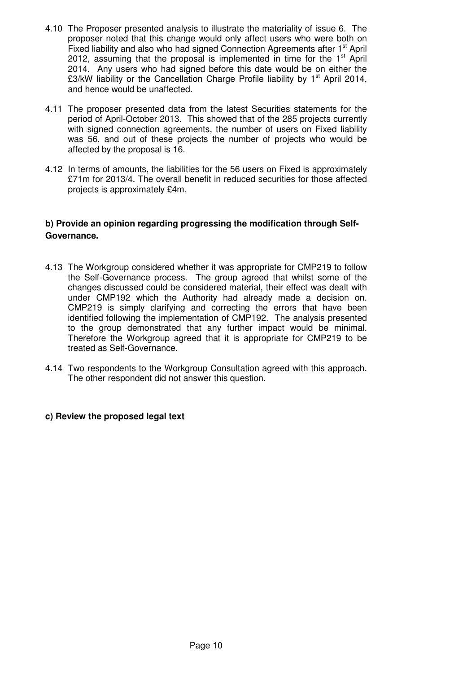- 4.10 The Proposer presented analysis to illustrate the materiality of issue 6. The proposer noted that this change would only affect users who were both on Fixed liability and also who had signed Connection Agreements after 1<sup>st</sup> April 2012, assuming that the proposal is implemented in time for the  $1<sup>st</sup>$  April 2014. Any users who had signed before this date would be on either the £3/kW liability or the Cancellation Charge Profile liability by  $1<sup>st</sup>$  April 2014, and hence would be unaffected.
- 4.11 The proposer presented data from the latest Securities statements for the period of April-October 2013. This showed that of the 285 projects currently with signed connection agreements, the number of users on Fixed liability was 56, and out of these projects the number of projects who would be affected by the proposal is 16.
- 4.12 In terms of amounts, the liabilities for the 56 users on Fixed is approximately £71m for 2013/4. The overall benefit in reduced securities for those affected projects is approximately £4m.

#### **b) Provide an opinion regarding progressing the modification through Self-Governance.**

- 4.13 The Workgroup considered whether it was appropriate for CMP219 to follow the Self-Governance process. The group agreed that whilst some of the changes discussed could be considered material, their effect was dealt with under CMP192 which the Authority had already made a decision on. CMP219 is simply clarifying and correcting the errors that have been identified following the implementation of CMP192. The analysis presented to the group demonstrated that any further impact would be minimal. Therefore the Workgroup agreed that it is appropriate for CMP219 to be treated as Self-Governance.
- 4.14 Two respondents to the Workgroup Consultation agreed with this approach. The other respondent did not answer this question.

#### **c) Review the proposed legal text**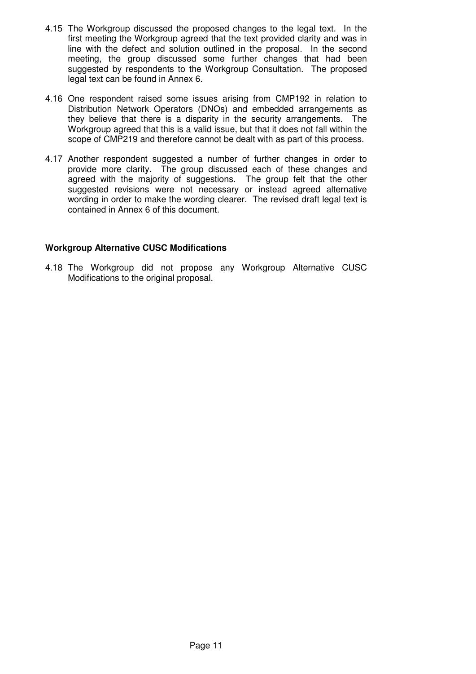- 4.15 The Workgroup discussed the proposed changes to the legal text. In the first meeting the Workgroup agreed that the text provided clarity and was in line with the defect and solution outlined in the proposal. In the second meeting, the group discussed some further changes that had been suggested by respondents to the Workgroup Consultation. The proposed legal text can be found in Annex 6.
- 4.16 One respondent raised some issues arising from CMP192 in relation to Distribution Network Operators (DNOs) and embedded arrangements as they believe that there is a disparity in the security arrangements. The Workgroup agreed that this is a valid issue, but that it does not fall within the scope of CMP219 and therefore cannot be dealt with as part of this process.
- 4.17 Another respondent suggested a number of further changes in order to provide more clarity. The group discussed each of these changes and agreed with the majority of suggestions. The group felt that the other suggested revisions were not necessary or instead agreed alternative wording in order to make the wording clearer. The revised draft legal text is contained in Annex 6 of this document.

#### **Workgroup Alternative CUSC Modifications**

4.18 The Workgroup did not propose any Workgroup Alternative CUSC Modifications to the original proposal.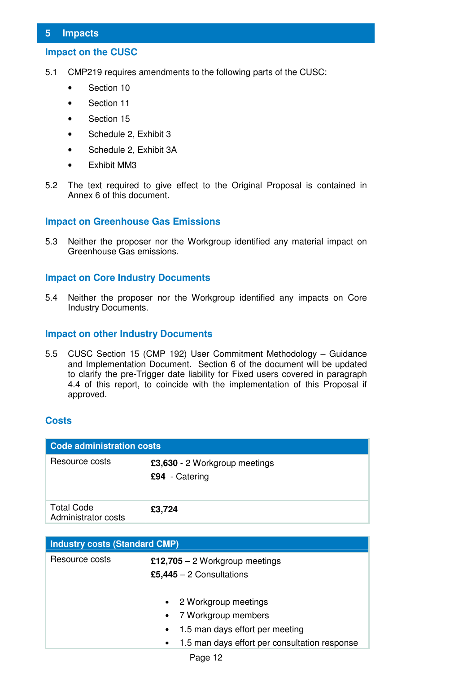#### **5 Impacts**

#### **Impact on the CUSC**

- 5.1 CMP219 requires amendments to the following parts of the CUSC:
	- Section 10
	- Section 11
	- Section 15
	- Schedule 2, Exhibit 3
	- Schedule 2, Exhibit 3A
	- Exhibit MM3
- 5.2 The text required to give effect to the Original Proposal is contained in Annex 6 of this document.

#### **Impact on Greenhouse Gas Emissions**

5.3 Neither the proposer nor the Workgroup identified any material impact on Greenhouse Gas emissions.

#### **Impact on Core Industry Documents**

5.4 Neither the proposer nor the Workgroup identified any impacts on Core Industry Documents.

#### **Impact on other Industry Documents**

5.5 CUSC Section 15 (CMP 192) User Commitment Methodology – Guidance and Implementation Document. Section 6 of the document will be updated to clarify the pre-Trigger date liability for Fixed users covered in paragraph 4.4 of this report, to coincide with the implementation of this Proposal if approved.

#### **Costs**

| <b>Code administration costs</b>         |                                                 |  |
|------------------------------------------|-------------------------------------------------|--|
| Resource costs                           | £3,630 - 2 Workgroup meetings<br>£94 - Catering |  |
| <b>Total Code</b><br>Administrator costs | £3,724                                          |  |

| <b>Industry costs (Standard CMP)</b> |                                                                                                                                                    |  |  |
|--------------------------------------|----------------------------------------------------------------------------------------------------------------------------------------------------|--|--|
| Resource costs                       | £12,705 $-$ 2 Workgroup meetings<br>£5,445 $-$ 2 Consultations                                                                                     |  |  |
|                                      | • 2 Workgroup meetings<br>• 7 Workgroup members<br>• 1.5 man days effort per meeting<br>1.5 man days effort per consultation response<br>$\bullet$ |  |  |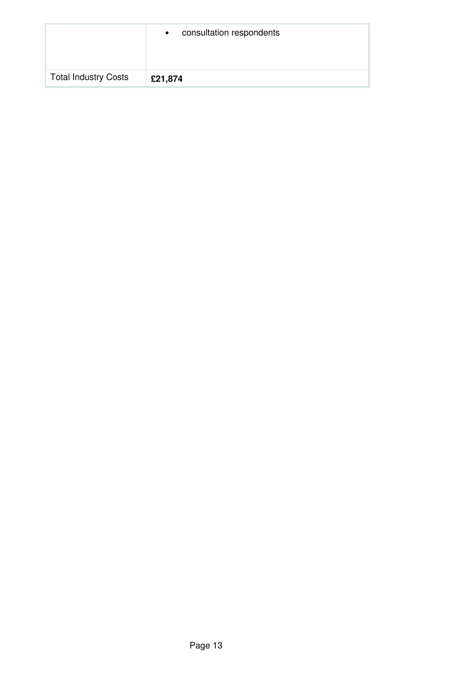|                             | consultation respondents<br>$\bullet$ |
|-----------------------------|---------------------------------------|
| <b>Total Industry Costs</b> | £21,874                               |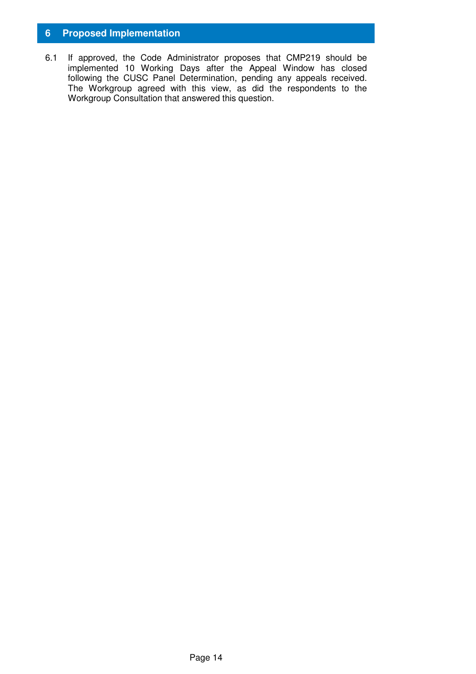#### **6 Proposed Implementation**

6.1 If approved, the Code Administrator proposes that CMP219 should be implemented 10 Working Days after the Appeal Window has closed following the CUSC Panel Determination, pending any appeals received. The Workgroup agreed with this view, as did the respondents to the Workgroup Consultation that answered this question.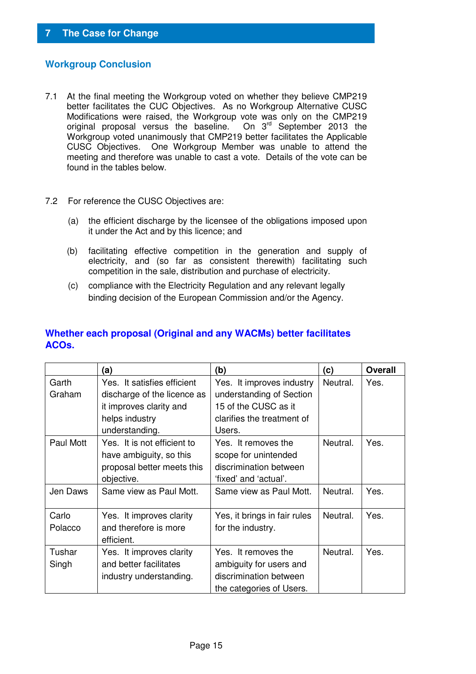#### **Workgroup Conclusion**

- 7.1 At the final meeting the Workgroup voted on whether they believe CMP219 better facilitates the CUC Objectives. As no Workgroup Alternative CUSC Modifications were raised, the Workgroup vote was only on the CMP219 original proposal versus the baseline. On 3<sup>rd</sup> September 2013 the Workgroup voted unanimously that CMP219 better facilitates the Applicable CUSC Objectives. One Workgroup Member was unable to attend the meeting and therefore was unable to cast a vote. Details of the vote can be found in the tables below.
- 7.2 For reference the CUSC Objectives are:
	- (a) the efficient discharge by the licensee of the obligations imposed upon it under the Act and by this licence; and
	- (b) facilitating effective competition in the generation and supply of electricity, and (so far as consistent therewith) facilitating such competition in the sale, distribution and purchase of electricity.
	- (c) compliance with the Electricity Regulation and any relevant legally binding decision of the European Commission and/or the Agency.

|                  | (a)                                                                                                                       | (b)                                                                                                                   | (c)      | <b>Overall</b> |
|------------------|---------------------------------------------------------------------------------------------------------------------------|-----------------------------------------------------------------------------------------------------------------------|----------|----------------|
| Garth<br>Graham  | Yes. It satisfies efficient<br>discharge of the licence as<br>it improves clarity and<br>helps industry<br>understanding. | Yes. It improves industry<br>understanding of Section<br>15 of the CUSC as it<br>clarifies the treatment of<br>Users. | Neutral. | Yes.           |
| Paul Mott        | Yes. It is not efficient to<br>have ambiguity, so this<br>proposal better meets this<br>objective.                        | Yes. It removes the<br>scope for unintended<br>discrimination between<br>'fixed' and 'actual'.                        | Neutral. | Yes.           |
| Jen Daws         | Same view as Paul Mott.                                                                                                   | Same view as Paul Mott.                                                                                               | Neutral. | Yes.           |
| Carlo<br>Polacco | Yes. It improves clarity<br>and therefore is more<br>efficient.                                                           | Yes, it brings in fair rules<br>for the industry.                                                                     | Neutral. | Yes.           |
| Tushar<br>Singh  | Yes. It improves clarity<br>and better facilitates<br>industry understanding.                                             | Yes. It removes the<br>ambiguity for users and<br>discrimination between<br>the categories of Users.                  | Neutral. | Yes.           |

#### **Whether each proposal (Original and any WACMs) better facilitates ACOs.**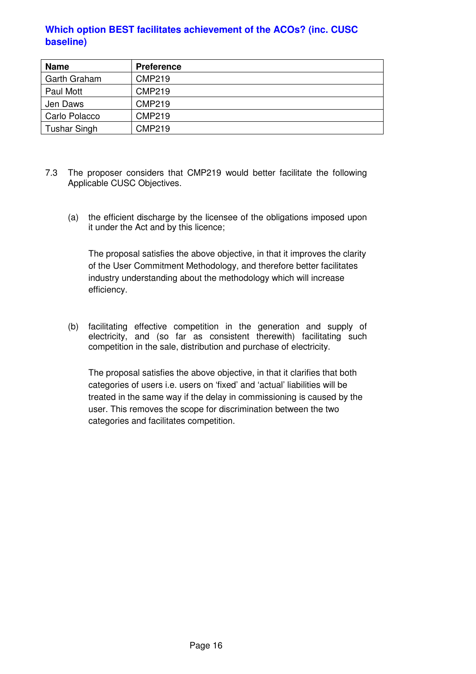#### **Which option BEST facilitates achievement of the ACOs? (inc. CUSC baseline)**

| <b>Name</b>         | <b>Preference</b> |
|---------------------|-------------------|
| Garth Graham        | <b>CMP219</b>     |
| Paul Mott           | <b>CMP219</b>     |
| Jen Daws            | <b>CMP219</b>     |
| Carlo Polacco       | <b>CMP219</b>     |
| <b>Tushar Singh</b> | <b>CMP219</b>     |

- 7.3 The proposer considers that CMP219 would better facilitate the following Applicable CUSC Objectives.
	- (a) the efficient discharge by the licensee of the obligations imposed upon it under the Act and by this licence;

The proposal satisfies the above objective, in that it improves the clarity of the User Commitment Methodology, and therefore better facilitates industry understanding about the methodology which will increase efficiency.

(b) facilitating effective competition in the generation and supply of electricity, and (so far as consistent therewith) facilitating such competition in the sale, distribution and purchase of electricity.

The proposal satisfies the above objective, in that it clarifies that both categories of users i.e. users on 'fixed' and 'actual' liabilities will be treated in the same way if the delay in commissioning is caused by the user. This removes the scope for discrimination between the two categories and facilitates competition.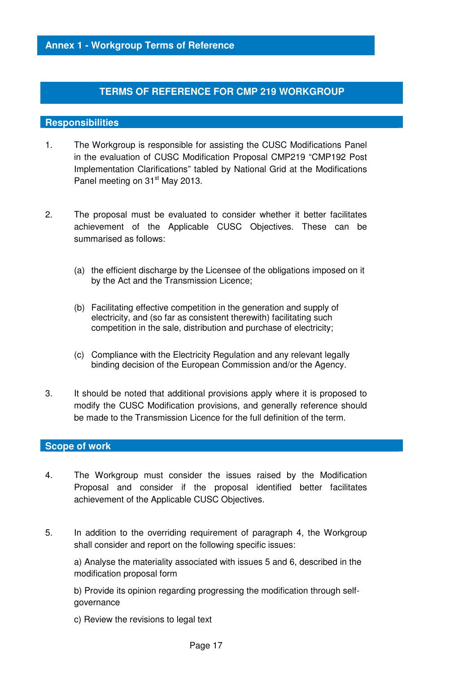#### **TERMS OF REFERENCE FOR CMP 219 WORKGROUP**

#### **Responsibilities**

- 1. The Workgroup is responsible for assisting the CUSC Modifications Panel in the evaluation of CUSC Modification Proposal CMP219 "CMP192 Post Implementation Clarifications" tabled by National Grid at the Modifications Panel meeting on 31<sup>st</sup> May 2013.
- 2. The proposal must be evaluated to consider whether it better facilitates achievement of the Applicable CUSC Objectives. These can be summarised as follows:
	- (a) the efficient discharge by the Licensee of the obligations imposed on it by the Act and the Transmission Licence;
	- (b) Facilitating effective competition in the generation and supply of electricity, and (so far as consistent therewith) facilitating such competition in the sale, distribution and purchase of electricity;
	- (c) Compliance with the Electricity Regulation and any relevant legally binding decision of the European Commission and/or the Agency.
- 3. It should be noted that additional provisions apply where it is proposed to modify the CUSC Modification provisions, and generally reference should be made to the Transmission Licence for the full definition of the term.

#### **Scope of work**

- 4. The Workgroup must consider the issues raised by the Modification Proposal and consider if the proposal identified better facilitates achievement of the Applicable CUSC Objectives.
- 5. In addition to the overriding requirement of paragraph 4, the Workgroup shall consider and report on the following specific issues:

a) Analyse the materiality associated with issues 5 and 6, described in the modification proposal form

b) Provide its opinion regarding progressing the modification through selfgovernance

c) Review the revisions to legal text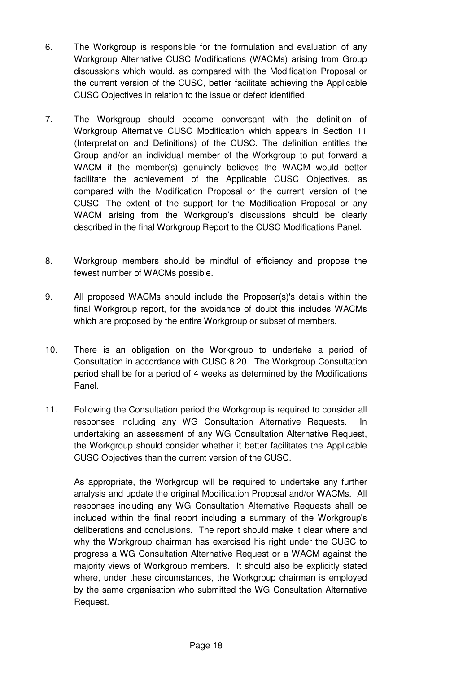- 6. The Workgroup is responsible for the formulation and evaluation of any Workgroup Alternative CUSC Modifications (WACMs) arising from Group discussions which would, as compared with the Modification Proposal or the current version of the CUSC, better facilitate achieving the Applicable CUSC Objectives in relation to the issue or defect identified.
- 7. The Workgroup should become conversant with the definition of Workgroup Alternative CUSC Modification which appears in Section 11 (Interpretation and Definitions) of the CUSC. The definition entitles the Group and/or an individual member of the Workgroup to put forward a WACM if the member(s) genuinely believes the WACM would better facilitate the achievement of the Applicable CUSC Objectives, as compared with the Modification Proposal or the current version of the CUSC. The extent of the support for the Modification Proposal or any WACM arising from the Workgroup's discussions should be clearly described in the final Workgroup Report to the CUSC Modifications Panel.
- 8. Workgroup members should be mindful of efficiency and propose the fewest number of WACMs possible.
- 9. All proposed WACMs should include the Proposer(s)'s details within the final Workgroup report, for the avoidance of doubt this includes WACMs which are proposed by the entire Workgroup or subset of members.
- 10. There is an obligation on the Workgroup to undertake a period of Consultation in accordance with CUSC 8.20. The Workgroup Consultation period shall be for a period of 4 weeks as determined by the Modifications Panel.
- 11. Following the Consultation period the Workgroup is required to consider all responses including any WG Consultation Alternative Requests. In undertaking an assessment of any WG Consultation Alternative Request, the Workgroup should consider whether it better facilitates the Applicable CUSC Objectives than the current version of the CUSC.

As appropriate, the Workgroup will be required to undertake any further analysis and update the original Modification Proposal and/or WACMs. All responses including any WG Consultation Alternative Requests shall be included within the final report including a summary of the Workgroup's deliberations and conclusions. The report should make it clear where and why the Workgroup chairman has exercised his right under the CUSC to progress a WG Consultation Alternative Request or a WACM against the majority views of Workgroup members. It should also be explicitly stated where, under these circumstances, the Workgroup chairman is employed by the same organisation who submitted the WG Consultation Alternative Request.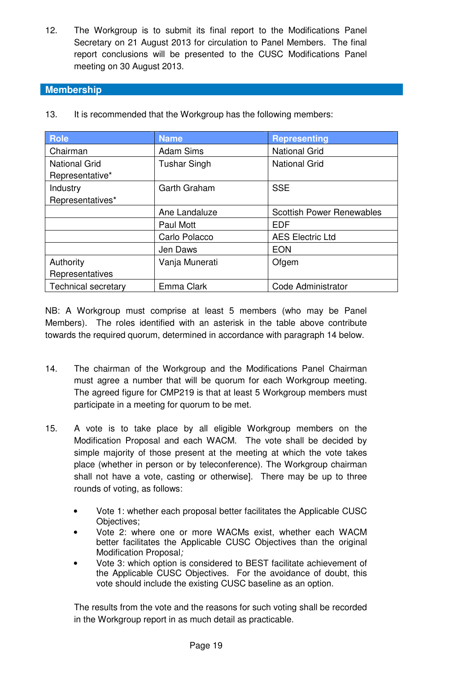12. The Workgroup is to submit its final report to the Modifications Panel Secretary on 21 August 2013 for circulation to Panel Members. The final report conclusions will be presented to the CUSC Modifications Panel meeting on 30 August 2013.

#### **Membership**

| <b>Role</b>                | <b>Name</b>         | <b>Representing</b>              |
|----------------------------|---------------------|----------------------------------|
| Chairman                   | <b>Adam Sims</b>    | <b>National Grid</b>             |
| <b>National Grid</b>       | <b>Tushar Singh</b> | <b>National Grid</b>             |
| Representative*            |                     |                                  |
| Industry                   | Garth Graham        | <b>SSE</b>                       |
| Representatives*           |                     |                                  |
|                            | Ane Landaluze       | <b>Scottish Power Renewables</b> |
|                            | Paul Mott           | <b>EDF</b>                       |
|                            | Carlo Polacco       | <b>AES Electric Ltd</b>          |
|                            | Jen Daws            | <b>EON</b>                       |
| Authority                  | Vanja Munerati      | Ofgem                            |
| Representatives            |                     |                                  |
| <b>Technical secretary</b> | Emma Clark          | Code Administrator               |

13. It is recommended that the Workgroup has the following members:

NB: A Workgroup must comprise at least 5 members (who may be Panel Members). The roles identified with an asterisk in the table above contribute towards the required quorum, determined in accordance with paragraph 14 below.

- 14. The chairman of the Workgroup and the Modifications Panel Chairman must agree a number that will be quorum for each Workgroup meeting. The agreed figure for CMP219 is that at least 5 Workgroup members must participate in a meeting for quorum to be met.
- 15. A vote is to take place by all eligible Workgroup members on the Modification Proposal and each WACM. The vote shall be decided by simple majority of those present at the meeting at which the vote takes place (whether in person or by teleconference). The Workgroup chairman shall not have a vote, casting or otherwise]. There may be up to three rounds of voting, as follows:
	- Vote 1: whether each proposal better facilitates the Applicable CUSC Objectives;
	- Vote 2: where one or more WACMs exist, whether each WACM better facilitates the Applicable CUSC Objectives than the original Modification Proposal;
	- Vote 3: which option is considered to BEST facilitate achievement of the Applicable CUSC Objectives. For the avoidance of doubt, this vote should include the existing CUSC baseline as an option.

The results from the vote and the reasons for such voting shall be recorded in the Workgroup report in as much detail as practicable.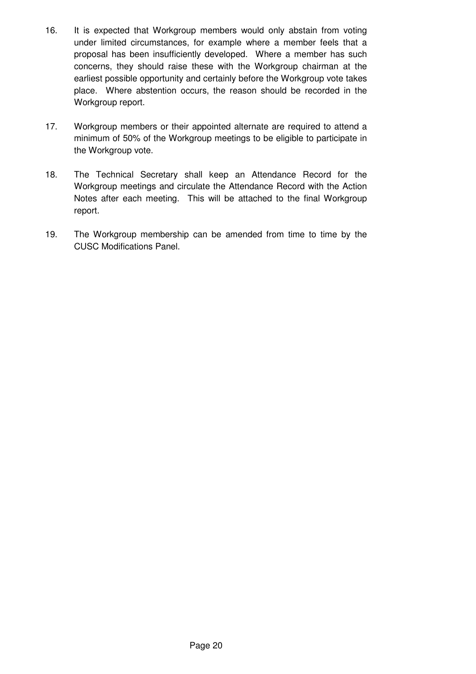- 16. It is expected that Workgroup members would only abstain from voting under limited circumstances, for example where a member feels that a proposal has been insufficiently developed. Where a member has such concerns, they should raise these with the Workgroup chairman at the earliest possible opportunity and certainly before the Workgroup vote takes place. Where abstention occurs, the reason should be recorded in the Workgroup report.
- 17. Workgroup members or their appointed alternate are required to attend a minimum of 50% of the Workgroup meetings to be eligible to participate in the Workgroup vote.
- 18. The Technical Secretary shall keep an Attendance Record for the Workgroup meetings and circulate the Attendance Record with the Action Notes after each meeting. This will be attached to the final Workgroup report.
- 19. The Workgroup membership can be amended from time to time by the CUSC Modifications Panel.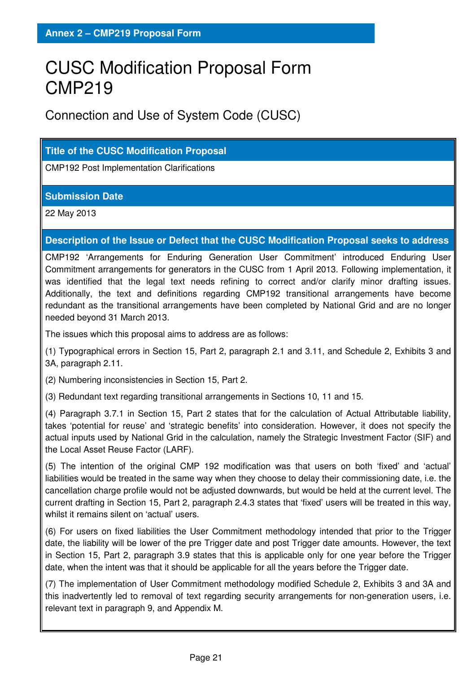# CUSC Modification Proposal Form CMP219

Connection and Use of System Code (CUSC)

#### **Title of the CUSC Modification Proposal**

CMP192 Post Implementation Clarifications

#### **Submission Date**

22 May 2013

#### **Description of the Issue or Defect that the CUSC Modification Proposal seeks to address**

CMP192 'Arrangements for Enduring Generation User Commitment' introduced Enduring User Commitment arrangements for generators in the CUSC from 1 April 2013. Following implementation, it was identified that the legal text needs refining to correct and/or clarify minor drafting issues. Additionally, the text and definitions regarding CMP192 transitional arrangements have become redundant as the transitional arrangements have been completed by National Grid and are no longer needed beyond 31 March 2013.

The issues which this proposal aims to address are as follows:

(1) Typographical errors in Section 15, Part 2, paragraph 2.1 and 3.11, and Schedule 2, Exhibits 3 and 3A, paragraph 2.11.

(2) Numbering inconsistencies in Section 15, Part 2.

(3) Redundant text regarding transitional arrangements in Sections 10, 11 and 15.

(4) Paragraph 3.7.1 in Section 15, Part 2 states that for the calculation of Actual Attributable liability, takes 'potential for reuse' and 'strategic benefits' into consideration. However, it does not specify the actual inputs used by National Grid in the calculation, namely the Strategic Investment Factor (SIF) and the Local Asset Reuse Factor (LARF).

(5) The intention of the original CMP 192 modification was that users on both 'fixed' and 'actual' liabilities would be treated in the same way when they choose to delay their commissioning date, i.e. the cancellation charge profile would not be adjusted downwards, but would be held at the current level. The current drafting in Section 15, Part 2, paragraph 2.4.3 states that 'fixed' users will be treated in this way, whilst it remains silent on 'actual' users.

(6) For users on fixed liabilities the User Commitment methodology intended that prior to the Trigger date, the liability will be lower of the pre Trigger date and post Trigger date amounts. However, the text in Section 15, Part 2, paragraph 3.9 states that this is applicable only for one year before the Trigger date, when the intent was that it should be applicable for all the years before the Trigger date.

(7) The implementation of User Commitment methodology modified Schedule 2, Exhibits 3 and 3A and this inadvertently led to removal of text regarding security arrangements for non-generation users, i.e. relevant text in paragraph 9, and Appendix M.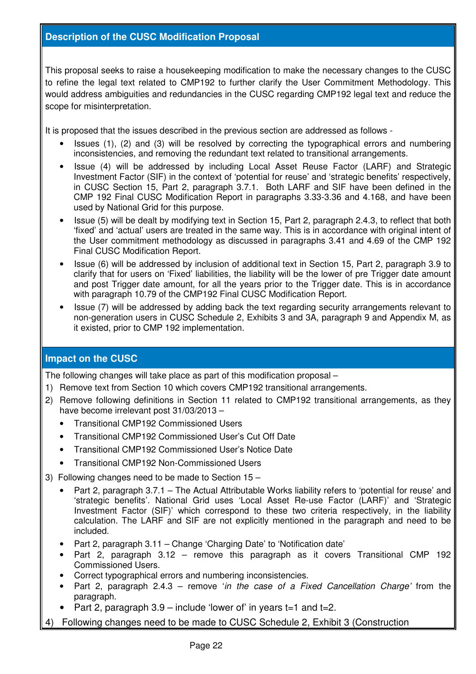#### **Description of the CUSC Modification Proposal**

This proposal seeks to raise a housekeeping modification to make the necessary changes to the CUSC to refine the legal text related to CMP192 to further clarify the User Commitment Methodology. This would address ambiguities and redundancies in the CUSC regarding CMP192 legal text and reduce the scope for misinterpretation.

It is proposed that the issues described in the previous section are addressed as follows -

- Issues (1), (2) and (3) will be resolved by correcting the typographical errors and numbering inconsistencies, and removing the redundant text related to transitional arrangements.
- Issue (4) will be addressed by including Local Asset Reuse Factor (LARF) and Strategic Investment Factor (SIF) in the context of 'potential for reuse' and 'strategic benefits' respectively, in CUSC Section 15, Part 2, paragraph 3.7.1. Both LARF and SIF have been defined in the CMP 192 Final CUSC Modification Report in paragraphs 3.33-3.36 and 4.168, and have been used by National Grid for this purpose.
- Issue (5) will be dealt by modifying text in Section 15, Part 2, paragraph 2.4.3, to reflect that both 'fixed' and 'actual' users are treated in the same way. This is in accordance with original intent of the User commitment methodology as discussed in paragraphs 3.41 and 4.69 of the CMP 192 Final CUSC Modification Report.
- Issue (6) will be addressed by inclusion of additional text in Section 15, Part 2, paragraph 3.9 to clarify that for users on 'Fixed' liabilities, the liability will be the lower of pre Trigger date amount and post Trigger date amount, for all the years prior to the Trigger date. This is in accordance with paragraph 10.79 of the CMP192 Final CUSC Modification Report.
- Issue (7) will be addressed by adding back the text regarding security arrangements relevant to non-generation users in CUSC Schedule 2, Exhibits 3 and 3A, paragraph 9 and Appendix M, as it existed, prior to CMP 192 implementation.

#### **Impact on the CUSC**

The following changes will take place as part of this modification proposal –

- 1) Remove text from Section 10 which covers CMP192 transitional arrangements.
- 2) Remove following definitions in Section 11 related to CMP192 transitional arrangements, as they have become irrelevant post 31/03/2013 –
	- Transitional CMP192 Commissioned Users
	- Transitional CMP192 Commissioned User's Cut Off Date
	- Transitional CMP192 Commissioned User's Notice Date
	- Transitional CMP192 Non-Commissioned Users
- 3) Following changes need to be made to Section 15
	- Part 2, paragraph 3.7.1 The Actual Attributable Works liability refers to 'potential for reuse' and 'strategic benefits'. National Grid uses 'Local Asset Re-use Factor (LARF)' and 'Strategic Investment Factor (SIF)' which correspond to these two criteria respectively, in the liability calculation. The LARF and SIF are not explicitly mentioned in the paragraph and need to be included.
	- Part 2, paragraph 3.11 Change 'Charging Date' to 'Notification date'
	- Part 2, paragraph 3.12 remove this paragraph as it covers Transitional CMP 192 Commissioned Users.
	- Correct typographical errors and numbering inconsistencies.
	- Part 2, paragraph  $2.4.3$  remove 'in the case of a Fixed Cancellation Charge' from the paragraph.
	- Part 2, paragraph  $3.9$  include 'lower of' in years  $t=1$  and  $t=2$ .
- 4) Following changes need to be made to CUSC Schedule 2, Exhibit 3 (Construction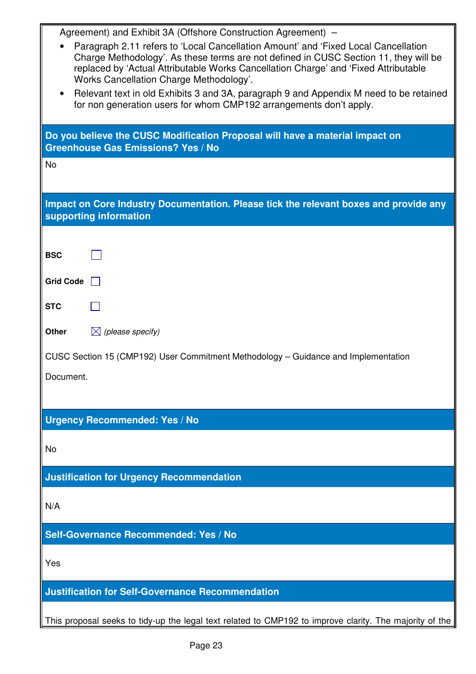| Agreement) and Exhibit 3A (Offshore Construction Agreement) –                                                                                                              |  |  |  |  |
|----------------------------------------------------------------------------------------------------------------------------------------------------------------------------|--|--|--|--|
| Paragraph 2.11 refers to 'Local Cancellation Amount' and 'Fixed Local Cancellation<br>Charge Methodology'. As these terms are not defined in CUSC Section 11, they will be |  |  |  |  |
| replaced by 'Actual Attributable Works Cancellation Charge' and 'Fixed Attributable<br>Works Cancellation Charge Methodology'.                                             |  |  |  |  |
| Relevant text in old Exhibits 3 and 3A, paragraph 9 and Appendix M need to be retained<br>for non generation users for whom CMP192 arrangements don't apply.               |  |  |  |  |
|                                                                                                                                                                            |  |  |  |  |
| Do you believe the CUSC Modification Proposal will have a material impact on<br><b>Greenhouse Gas Emissions? Yes / No</b>                                                  |  |  |  |  |
| <b>No</b>                                                                                                                                                                  |  |  |  |  |
| Impact on Core Industry Documentation. Please tick the relevant boxes and provide any<br>supporting information                                                            |  |  |  |  |
|                                                                                                                                                                            |  |  |  |  |
| <b>BSC</b>                                                                                                                                                                 |  |  |  |  |
| <b>Grid Code</b>                                                                                                                                                           |  |  |  |  |
| <b>STC</b>                                                                                                                                                                 |  |  |  |  |
| $\boxtimes$ (please specify)<br>Other                                                                                                                                      |  |  |  |  |
| CUSC Section 15 (CMP192) User Commitment Methodology - Guidance and Implementation                                                                                         |  |  |  |  |
| Document.                                                                                                                                                                  |  |  |  |  |
|                                                                                                                                                                            |  |  |  |  |
| <b>Urgency Recommended: Yes / No</b>                                                                                                                                       |  |  |  |  |
| No                                                                                                                                                                         |  |  |  |  |
| <b>Justification for Urgency Recommendation</b>                                                                                                                            |  |  |  |  |
| N/A                                                                                                                                                                        |  |  |  |  |
| Self-Governance Recommended: Yes / No                                                                                                                                      |  |  |  |  |
| Yes                                                                                                                                                                        |  |  |  |  |
| <b>Justification for Self-Governance Recommendation</b>                                                                                                                    |  |  |  |  |
| This proposal seeks to tidy-up the legal text related to CMP192 to improve clarity. The majority of the                                                                    |  |  |  |  |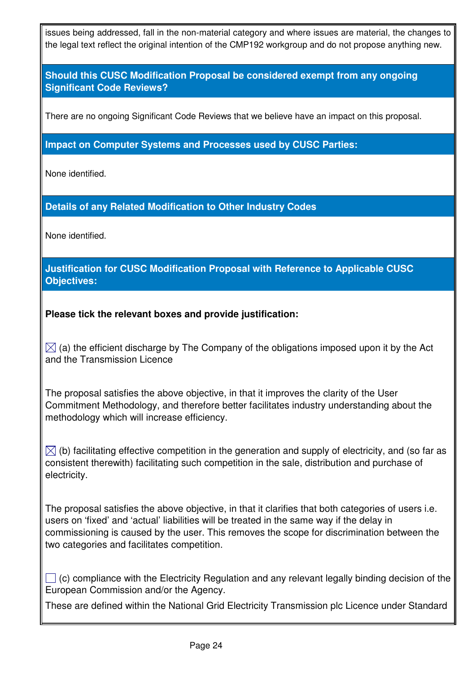issues being addressed, fall in the non-material category and where issues are material, the changes to the legal text reflect the original intention of the CMP192 workgroup and do not propose anything new.

#### **Should this CUSC Modification Proposal be considered exempt from any ongoing Significant Code Reviews?**

There are no ongoing Significant Code Reviews that we believe have an impact on this proposal.

#### **Impact on Computer Systems and Processes used by CUSC Parties:**

None identified.

#### **Details of any Related Modification to Other Industry Codes**

None identified.

#### **Justification for CUSC Modification Proposal with Reference to Applicable CUSC Objectives:**

#### **Please tick the relevant boxes and provide justification:**

 $\boxtimes$  (a) the efficient discharge by The Company of the obligations imposed upon it by the Act and the Transmission Licence

The proposal satisfies the above objective, in that it improves the clarity of the User Commitment Methodology, and therefore better facilitates industry understanding about the methodology which will increase efficiency.

 $\boxtimes$  (b) facilitating effective competition in the generation and supply of electricity, and (so far as consistent therewith) facilitating such competition in the sale, distribution and purchase of electricity.

The proposal satisfies the above objective, in that it clarifies that both categories of users i.e. users on 'fixed' and 'actual' liabilities will be treated in the same way if the delay in commissioning is caused by the user. This removes the scope for discrimination between the two categories and facilitates competition.

 $\Box$  (c) compliance with the Electricity Regulation and any relevant legally binding decision of the European Commission and/or the Agency.

These are defined within the National Grid Electricity Transmission plc Licence under Standard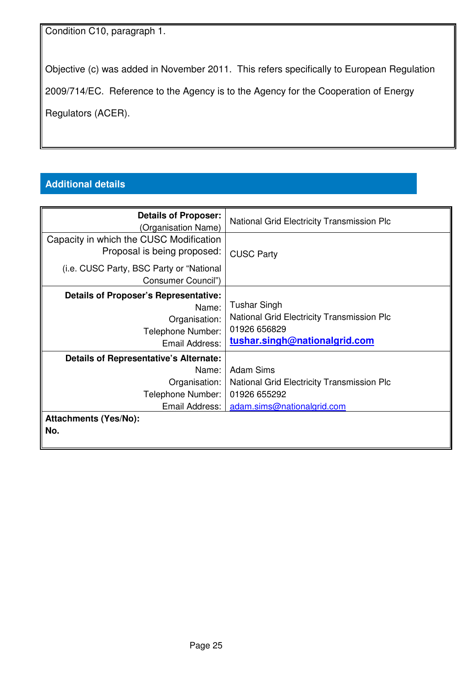Condition C10, paragraph 1.

Objective (c) was added in November 2011. This refers specifically to European Regulation

2009/714/EC. Reference to the Agency is to the Agency for the Cooperation of Energy

Regulators (ACER).

### **Additional details**

| <b>Details of Proposer:</b><br>(Organisation Name)                                                             | <b>National Grid Electricity Transmission Plc</b>                                                                         |
|----------------------------------------------------------------------------------------------------------------|---------------------------------------------------------------------------------------------------------------------------|
| Capacity in which the CUSC Modification<br>Proposal is being proposed:                                         | <b>CUSC Party</b>                                                                                                         |
| (i.e. CUSC Party, BSC Party or "National<br>Consumer Council")                                                 |                                                                                                                           |
| <b>Details of Proposer's Representative:</b><br>Name:<br>Organisation:<br>Telephone Number:<br>Email Address:  | <b>Tushar Singh</b><br><b>National Grid Electricity Transmission Plc</b><br>01926 656829<br>tushar.singh@nationalgrid.com |
| <b>Details of Representative's Alternate:</b><br>Name:<br>Organisation:<br>Telephone Number:<br>Email Address: | <b>Adam Sims</b><br>National Grid Electricity Transmission Plc<br>01926 655292<br>adam.sims@nationalgrid.com              |
| <b>Attachments (Yes/No):</b><br>No.                                                                            |                                                                                                                           |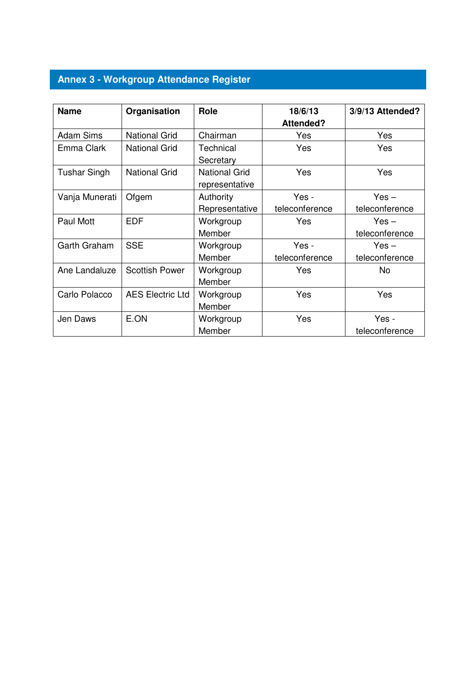## **Annex 3 - Workgroup Attendance Register**

| <b>Name</b>         | Organisation            | Role                 | 18/6/13          | 3/9/13 Attended? |
|---------------------|-------------------------|----------------------|------------------|------------------|
|                     |                         |                      | <b>Attended?</b> |                  |
| <b>Adam Sims</b>    | <b>National Grid</b>    | Chairman             | Yes              | Yes              |
| Emma Clark          | <b>National Grid</b>    | Technical            | Yes              | Yes              |
|                     |                         | Secretary            |                  |                  |
| <b>Tushar Singh</b> | <b>National Grid</b>    | <b>National Grid</b> | Yes              | Yes              |
|                     |                         | representative       |                  |                  |
| Vanja Munerati      | Ofgem                   | Authority            | Yes -            | $Yes -$          |
|                     |                         | Representative       | teleconference   | teleconference   |
| Paul Mott           | <b>EDF</b>              | Workgroup            | Yes              | $Yes -$          |
|                     |                         | Member               |                  | teleconference   |
| Garth Graham        | <b>SSE</b>              | Workgroup            | Yes -            | $Yes -$          |
|                     |                         | Member               | teleconference   | teleconference   |
| Ane Landaluze       | <b>Scottish Power</b>   | Workgroup            | Yes              | No               |
|                     |                         | Member               |                  |                  |
| Carlo Polacco       | <b>AES Electric Ltd</b> | Workgroup            | Yes              | Yes              |
|                     |                         | Member               |                  |                  |
| Jen Daws            | E.ON                    | Workgroup            | Yes              | Yes -            |
|                     |                         | Member               |                  | teleconference   |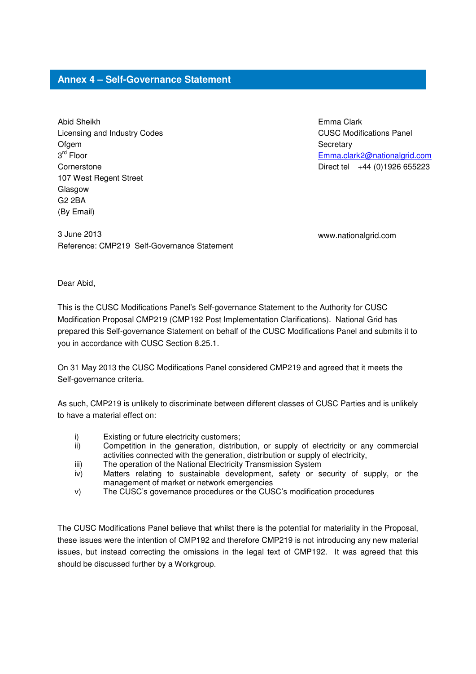#### **Annex 4 – Self-Governance Statement**

Abid Sheikh Licensing and Industry Codes Ofgem 3 rd Floor **Cornerstone** 107 West Regent Street Glasgow G2 2BA (By Email)

Emma Clark CUSC Modifications Panel **Secretary** Emma.clark2@nationalgrid.com Direct tel +44 (0)1926 655223

3 June 2013 www.nationalgrid.com Reference: CMP219 Self-Governance Statement

Dear Abid,

This is the CUSC Modifications Panel's Self-governance Statement to the Authority for CUSC Modification Proposal CMP219 (CMP192 Post Implementation Clarifications). National Grid has prepared this Self-governance Statement on behalf of the CUSC Modifications Panel and submits it to you in accordance with CUSC Section 8.25.1.

On 31 May 2013 the CUSC Modifications Panel considered CMP219 and agreed that it meets the Self-governance criteria.

As such, CMP219 is unlikely to discriminate between different classes of CUSC Parties and is unlikely to have a material effect on:

- i) Existing or future electricity customers;
- ii) Competition in the generation, distribution, or supply of electricity or any commercial activities connected with the generation, distribution or supply of electricity,
- iii) The operation of the National Electricity Transmission System
- iv) Matters relating to sustainable development, safety or security of supply, or the management of market or network emergencies
- v) The CUSC's governance procedures or the CUSC's modification procedures

The CUSC Modifications Panel believe that whilst there is the potential for materiality in the Proposal, these issues were the intention of CMP192 and therefore CMP219 is not introducing any new material issues, but instead correcting the omissions in the legal text of CMP192. It was agreed that this should be discussed further by a Workgroup.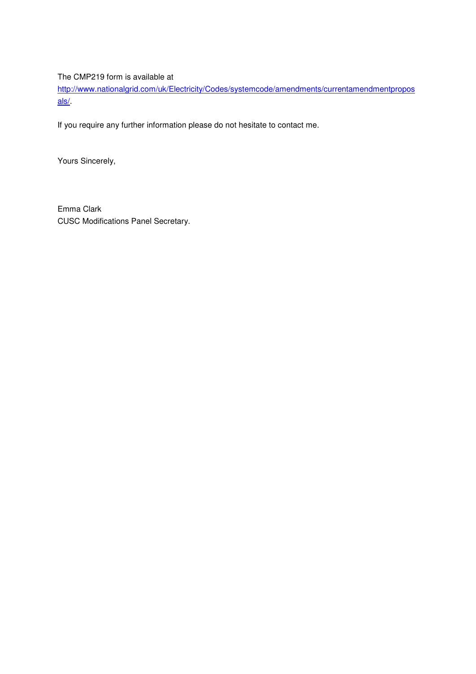#### The CMP219 form is available at

http://www.nationalgrid.com/uk/Electricity/Codes/systemcode/amendments/currentamendmentpropos als/.

If you require any further information please do not hesitate to contact me.

Yours Sincerely,

Emma Clark CUSC Modifications Panel Secretary.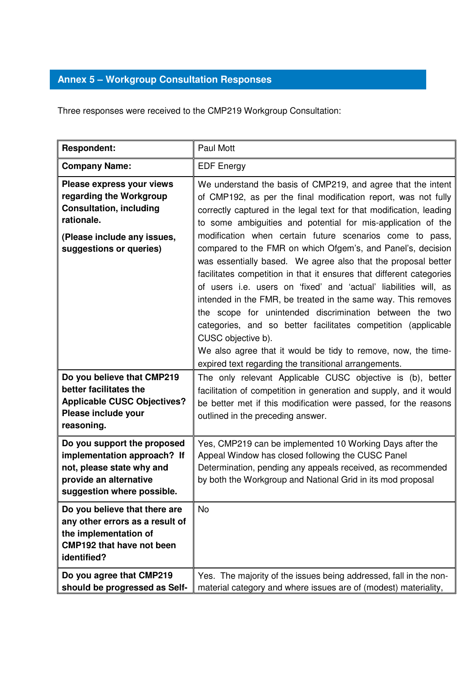### **Annex 5 – Workgroup Consultation Responses**

Three responses were received to the CMP219 Workgroup Consultation:

| <b>Respondent:</b>                                                                                                                                             | <b>Paul Mott</b>                                                                                                                                                                                                                                                                                                                                                                                                                                                                                                                                                                                                                                                                                                                                                                                                                                                                                                                                           |
|----------------------------------------------------------------------------------------------------------------------------------------------------------------|------------------------------------------------------------------------------------------------------------------------------------------------------------------------------------------------------------------------------------------------------------------------------------------------------------------------------------------------------------------------------------------------------------------------------------------------------------------------------------------------------------------------------------------------------------------------------------------------------------------------------------------------------------------------------------------------------------------------------------------------------------------------------------------------------------------------------------------------------------------------------------------------------------------------------------------------------------|
| <b>Company Name:</b>                                                                                                                                           | <b>EDF Energy</b>                                                                                                                                                                                                                                                                                                                                                                                                                                                                                                                                                                                                                                                                                                                                                                                                                                                                                                                                          |
| Please express your views<br>regarding the Workgroup<br><b>Consultation, including</b><br>rationale.<br>(Please include any issues,<br>suggestions or queries) | We understand the basis of CMP219, and agree that the intent<br>of CMP192, as per the final modification report, was not fully<br>correctly captured in the legal text for that modification, leading<br>to some ambiguities and potential for mis-application of the<br>modification when certain future scenarios come to pass,<br>compared to the FMR on which Ofgem's, and Panel's, decision<br>was essentially based. We agree also that the proposal better<br>facilitates competition in that it ensures that different categories<br>of users i.e. users on 'fixed' and 'actual' liabilities will, as<br>intended in the FMR, be treated in the same way. This removes<br>the scope for unintended discrimination between the two<br>categories, and so better facilitates competition (applicable<br>CUSC objective b).<br>We also agree that it would be tidy to remove, now, the time-<br>expired text regarding the transitional arrangements. |
| Do you believe that CMP219<br>better facilitates the<br><b>Applicable CUSC Objectives?</b><br>Please include your<br>reasoning.                                | The only relevant Applicable CUSC objective is (b), better<br>facilitation of competition in generation and supply, and it would<br>be better met if this modification were passed, for the reasons<br>outlined in the preceding answer.                                                                                                                                                                                                                                                                                                                                                                                                                                                                                                                                                                                                                                                                                                                   |
| Do you support the proposed<br>implementation approach? If<br>not, please state why and<br>provide an alternative<br>suggestion where possible.                | Yes, CMP219 can be implemented 10 Working Days after the<br>Appeal Window has closed following the CUSC Panel<br>Determination, pending any appeals received, as recommended<br>by both the Workgroup and National Grid in its mod proposal                                                                                                                                                                                                                                                                                                                                                                                                                                                                                                                                                                                                                                                                                                                |
| Do you believe that there are<br>any other errors as a result of<br>the implementation of<br><b>CMP192 that have not been</b><br>identified?                   | <b>No</b>                                                                                                                                                                                                                                                                                                                                                                                                                                                                                                                                                                                                                                                                                                                                                                                                                                                                                                                                                  |
| Do you agree that CMP219<br>should be progressed as Self-                                                                                                      | Yes. The majority of the issues being addressed, fall in the non-<br>material category and where issues are of (modest) materiality,                                                                                                                                                                                                                                                                                                                                                                                                                                                                                                                                                                                                                                                                                                                                                                                                                       |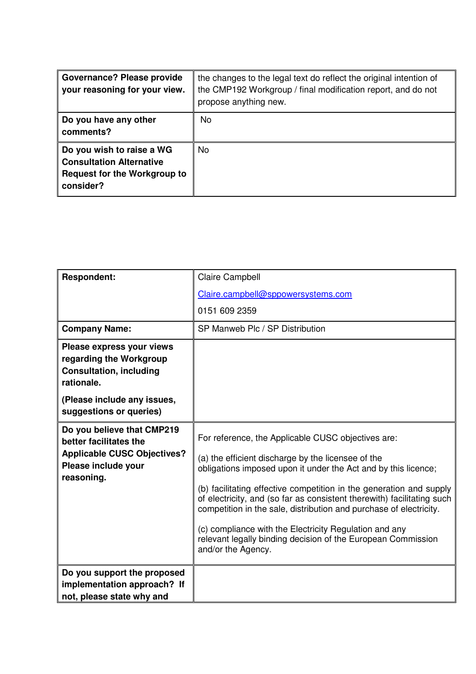| <b>Governance? Please provide</b><br>your reasoning for your view.                                               | the changes to the legal text do reflect the original intention of<br>the CMP192 Workgroup / final modification report, and do not<br>propose anything new. |
|------------------------------------------------------------------------------------------------------------------|-------------------------------------------------------------------------------------------------------------------------------------------------------------|
| Do you have any other<br>comments?                                                                               | No.                                                                                                                                                         |
| Do you wish to raise a WG<br><b>Consultation Alternative</b><br><b>Request for the Workgroup to</b><br>consider? | <b>No</b>                                                                                                                                                   |

| <b>Respondent:</b>                                                                                                                  | <b>Claire Campbell</b>                                                                                                                                                                                                                                                                                                                                                                                                                                                                                                                            |
|-------------------------------------------------------------------------------------------------------------------------------------|---------------------------------------------------------------------------------------------------------------------------------------------------------------------------------------------------------------------------------------------------------------------------------------------------------------------------------------------------------------------------------------------------------------------------------------------------------------------------------------------------------------------------------------------------|
|                                                                                                                                     | Claire.campbell@sppowersystems.com                                                                                                                                                                                                                                                                                                                                                                                                                                                                                                                |
|                                                                                                                                     | 0151 609 2359                                                                                                                                                                                                                                                                                                                                                                                                                                                                                                                                     |
| <b>Company Name:</b>                                                                                                                | SP Manweb Plc / SP Distribution                                                                                                                                                                                                                                                                                                                                                                                                                                                                                                                   |
| Please express your views<br>regarding the Workgroup<br><b>Consultation, including</b><br>rationale.<br>(Please include any issues, |                                                                                                                                                                                                                                                                                                                                                                                                                                                                                                                                                   |
| suggestions or queries)                                                                                                             |                                                                                                                                                                                                                                                                                                                                                                                                                                                                                                                                                   |
| Do you believe that CMP219<br>better facilitates the<br><b>Applicable CUSC Objectives?</b><br>Please include your<br>reasoning.     | For reference, the Applicable CUSC objectives are:<br>(a) the efficient discharge by the licensee of the<br>obligations imposed upon it under the Act and by this licence;<br>(b) facilitating effective competition in the generation and supply<br>of electricity, and (so far as consistent therewith) facilitating such<br>competition in the sale, distribution and purchase of electricity.<br>(c) compliance with the Electricity Regulation and any<br>relevant legally binding decision of the European Commission<br>and/or the Agency. |
| Do you support the proposed                                                                                                         |                                                                                                                                                                                                                                                                                                                                                                                                                                                                                                                                                   |
| implementation approach? If<br>not, please state why and                                                                            |                                                                                                                                                                                                                                                                                                                                                                                                                                                                                                                                                   |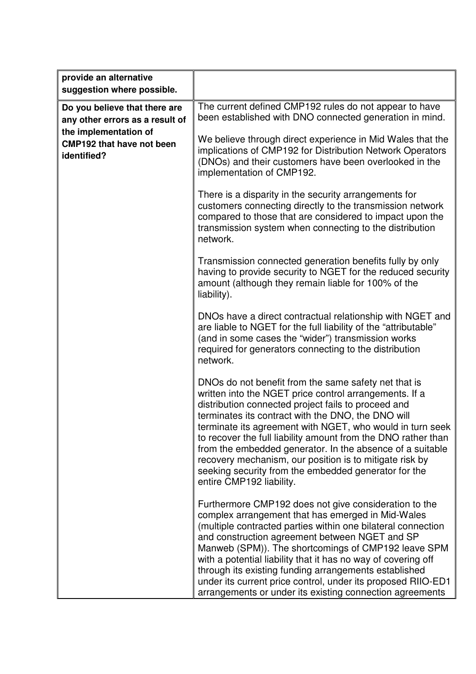| provide an alternative<br>suggestion where possible.                     |                                                                                                                                                                                                                                                                                                                                                                                                                                                                                                                                                                       |
|--------------------------------------------------------------------------|-----------------------------------------------------------------------------------------------------------------------------------------------------------------------------------------------------------------------------------------------------------------------------------------------------------------------------------------------------------------------------------------------------------------------------------------------------------------------------------------------------------------------------------------------------------------------|
| Do you believe that there are<br>any other errors as a result of         | The current defined CMP192 rules do not appear to have<br>been established with DNO connected generation in mind.                                                                                                                                                                                                                                                                                                                                                                                                                                                     |
| the implementation of<br><b>CMP192 that have not been</b><br>identified? | We believe through direct experience in Mid Wales that the<br>implications of CMP192 for Distribution Network Operators<br>(DNOs) and their customers have been overlooked in the<br>implementation of CMP192.                                                                                                                                                                                                                                                                                                                                                        |
|                                                                          | There is a disparity in the security arrangements for<br>customers connecting directly to the transmission network<br>compared to those that are considered to impact upon the<br>transmission system when connecting to the distribution<br>network.                                                                                                                                                                                                                                                                                                                 |
|                                                                          | Transmission connected generation benefits fully by only<br>having to provide security to NGET for the reduced security<br>amount (although they remain liable for 100% of the<br>liability).                                                                                                                                                                                                                                                                                                                                                                         |
|                                                                          | DNOs have a direct contractual relationship with NGET and<br>are liable to NGET for the full liability of the "attributable"<br>(and in some cases the "wider") transmission works<br>required for generators connecting to the distribution<br>network.                                                                                                                                                                                                                                                                                                              |
|                                                                          | DNOs do not benefit from the same safety net that is<br>written into the NGET price control arrangements. If a<br>distribution connected project fails to proceed and<br>terminates its contract with the DNO, the DNO will<br>terminate its agreement with NGET, who would in turn seek<br>to recover the full liability amount from the DNO rather than<br>from the embedded generator. In the absence of a suitable<br>recovery mechanism, our position is to mitigate risk by<br>seeking security from the embedded generator for the<br>entire CMP192 liability. |
|                                                                          | Furthermore CMP192 does not give consideration to the<br>complex arrangement that has emerged in Mid-Wales<br>(multiple contracted parties within one bilateral connection<br>and construction agreement between NGET and SP<br>Manweb (SPM)). The shortcomings of CMP192 leave SPM<br>with a potential liability that it has no way of covering off<br>through its existing funding arrangements established<br>under its current price control, under its proposed RIIO-ED1<br>arrangements or under its existing connection agreements                             |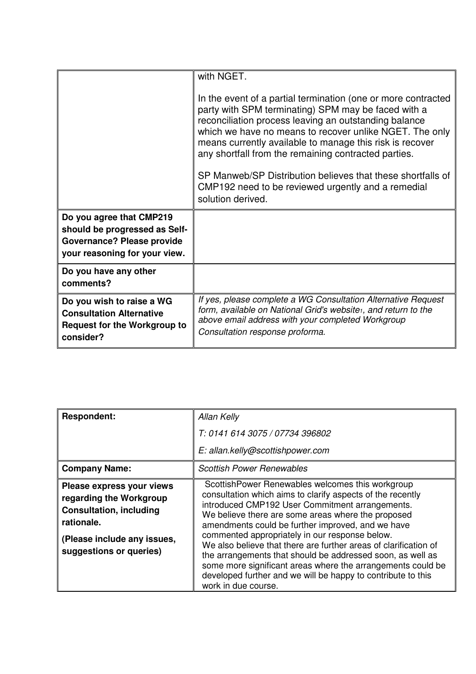|                                                                                                                                 | with NGET.                                                                                                                                                                                                                                                                                                                                                                                                                                                                                             |
|---------------------------------------------------------------------------------------------------------------------------------|--------------------------------------------------------------------------------------------------------------------------------------------------------------------------------------------------------------------------------------------------------------------------------------------------------------------------------------------------------------------------------------------------------------------------------------------------------------------------------------------------------|
|                                                                                                                                 | In the event of a partial termination (one or more contracted<br>party with SPM terminating) SPM may be faced with a<br>reconciliation process leaving an outstanding balance<br>which we have no means to recover unlike NGET. The only<br>means currently available to manage this risk is recover<br>any shortfall from the remaining contracted parties.<br>SP Manweb/SP Distribution believes that these shortfalls of<br>CMP192 need to be reviewed urgently and a remedial<br>solution derived. |
| Do you agree that CMP219<br>should be progressed as Self-<br><b>Governance? Please provide</b><br>your reasoning for your view. |                                                                                                                                                                                                                                                                                                                                                                                                                                                                                                        |
| Do you have any other<br>comments?                                                                                              |                                                                                                                                                                                                                                                                                                                                                                                                                                                                                                        |
| Do you wish to raise a WG<br><b>Consultation Alternative</b><br><b>Request for the Workgroup to</b><br>consider?                | If yes, please complete a WG Consultation Alternative Request<br>form, available on National Grid's website <sub>1</sub> , and return to the<br>above email address with your completed Workgroup<br>Consultation response proforma.                                                                                                                                                                                                                                                                   |

| <b>Respondent:</b>                                                                                                                                             | Allan Kelly                                                                                                                                                                                                                                                                                                                                                                                                                                                                                                                                                                                                            |
|----------------------------------------------------------------------------------------------------------------------------------------------------------------|------------------------------------------------------------------------------------------------------------------------------------------------------------------------------------------------------------------------------------------------------------------------------------------------------------------------------------------------------------------------------------------------------------------------------------------------------------------------------------------------------------------------------------------------------------------------------------------------------------------------|
|                                                                                                                                                                | T: 0141 614 3075 / 07734 396802                                                                                                                                                                                                                                                                                                                                                                                                                                                                                                                                                                                        |
|                                                                                                                                                                | E: allan.kelly@scottishpower.com                                                                                                                                                                                                                                                                                                                                                                                                                                                                                                                                                                                       |
| <b>Company Name:</b>                                                                                                                                           | <b>Scottish Power Renewables</b>                                                                                                                                                                                                                                                                                                                                                                                                                                                                                                                                                                                       |
| Please express your views<br>regarding the Workgroup<br><b>Consultation, including</b><br>rationale.<br>(Please include any issues,<br>suggestions or queries) | ScottishPower Renewables welcomes this workgroup<br>consultation which aims to clarify aspects of the recently<br>introduced CMP192 User Commitment arrangements.<br>We believe there are some areas where the proposed<br>amendments could be further improved, and we have<br>commented appropriately in our response below.<br>We also believe that there are further areas of clarification of<br>the arrangements that should be addressed soon, as well as<br>some more significant areas where the arrangements could be<br>developed further and we will be happy to contribute to this<br>work in due course. |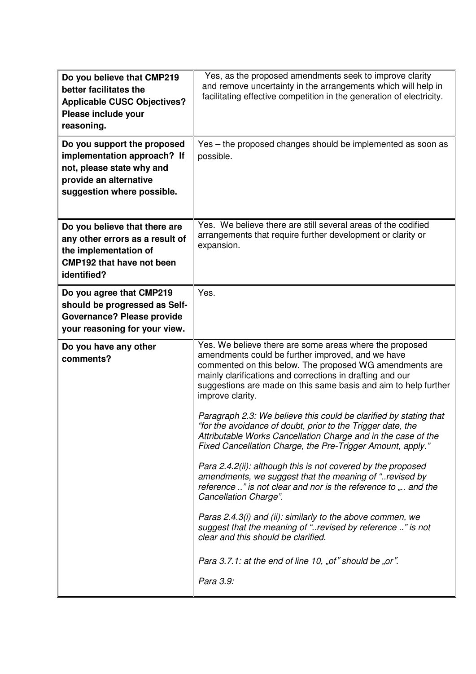| Do you believe that CMP219<br>better facilitates the<br><b>Applicable CUSC Objectives?</b><br>Please include your<br>reasoning.                 | Yes, as the proposed amendments seek to improve clarity<br>and remove uncertainty in the arrangements which will help in<br>facilitating effective competition in the generation of electricity.                                                                                                                                                                                                                                                                                                                                                                                                                                                                                                                                                                                                                                                                                                                                                                                                                                                               |
|-------------------------------------------------------------------------------------------------------------------------------------------------|----------------------------------------------------------------------------------------------------------------------------------------------------------------------------------------------------------------------------------------------------------------------------------------------------------------------------------------------------------------------------------------------------------------------------------------------------------------------------------------------------------------------------------------------------------------------------------------------------------------------------------------------------------------------------------------------------------------------------------------------------------------------------------------------------------------------------------------------------------------------------------------------------------------------------------------------------------------------------------------------------------------------------------------------------------------|
| Do you support the proposed<br>implementation approach? If<br>not, please state why and<br>provide an alternative<br>suggestion where possible. | Yes – the proposed changes should be implemented as soon as<br>possible.                                                                                                                                                                                                                                                                                                                                                                                                                                                                                                                                                                                                                                                                                                                                                                                                                                                                                                                                                                                       |
| Do you believe that there are<br>any other errors as a result of<br>the implementation of<br><b>CMP192 that have not been</b><br>identified?    | Yes. We believe there are still several areas of the codified<br>arrangements that require further development or clarity or<br>expansion.                                                                                                                                                                                                                                                                                                                                                                                                                                                                                                                                                                                                                                                                                                                                                                                                                                                                                                                     |
| Do you agree that CMP219<br>should be progressed as Self-<br><b>Governance? Please provide</b><br>your reasoning for your view.                 | Yes.                                                                                                                                                                                                                                                                                                                                                                                                                                                                                                                                                                                                                                                                                                                                                                                                                                                                                                                                                                                                                                                           |
| Do you have any other<br>comments?                                                                                                              | Yes. We believe there are some areas where the proposed<br>amendments could be further improved, and we have<br>commented on this below. The proposed WG amendments are<br>mainly clarifications and corrections in drafting and our<br>suggestions are made on this same basis and aim to help further<br>improve clarity.<br>Paragraph 2.3: We believe this could be clarified by stating that<br>"for the avoidance of doubt, prior to the Trigger date, the<br>Attributable Works Cancellation Charge and in the case of the<br>Fixed Cancellation Charge, the Pre-Trigger Amount, apply."<br>Para 2.4.2(ii): although this is not covered by the proposed<br>amendments, we suggest that the meaning of "revised by<br>reference " is not clear and nor is the reference to " and the<br>Cancellation Charge".<br>Paras 2.4.3(i) and (ii): similarly to the above commen, we<br>suggest that the meaning of "revised by reference " is not<br>clear and this should be clarified.<br>Para 3.7.1: at the end of line 10, "of" should be "or".<br>Para 3.9: |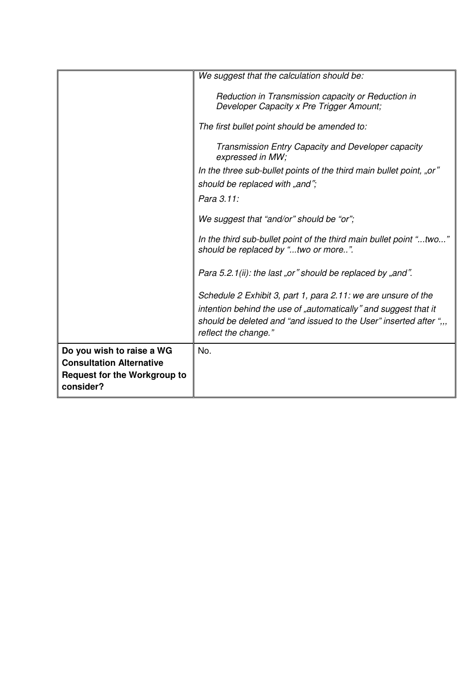|                                                                                                                  | We suggest that the calculation should be:                                                                                                                                                                                     |
|------------------------------------------------------------------------------------------------------------------|--------------------------------------------------------------------------------------------------------------------------------------------------------------------------------------------------------------------------------|
|                                                                                                                  | Reduction in Transmission capacity or Reduction in<br>Developer Capacity x Pre Trigger Amount;                                                                                                                                 |
|                                                                                                                  | The first bullet point should be amended to:                                                                                                                                                                                   |
|                                                                                                                  | Transmission Entry Capacity and Developer capacity<br>expressed in MW;                                                                                                                                                         |
|                                                                                                                  | In the three sub-bullet points of the third main bullet point, "or"                                                                                                                                                            |
|                                                                                                                  | should be replaced with "and";                                                                                                                                                                                                 |
|                                                                                                                  | Para 3.11:                                                                                                                                                                                                                     |
|                                                                                                                  | We suggest that "and/or" should be "or";                                                                                                                                                                                       |
|                                                                                                                  | In the third sub-bullet point of the third main bullet point "two"<br>should be replaced by "two or more".                                                                                                                     |
|                                                                                                                  | Para 5.2.1(ii): the last "or" should be replaced by "and".                                                                                                                                                                     |
|                                                                                                                  | Schedule 2 Exhibit 3, part 1, para 2.11: we are unsure of the<br>intention behind the use of "automatically" and suggest that it<br>should be deleted and "and issued to the User" inserted after ",,,<br>reflect the change." |
| Do you wish to raise a WG<br><b>Consultation Alternative</b><br><b>Request for the Workgroup to</b><br>consider? | No.                                                                                                                                                                                                                            |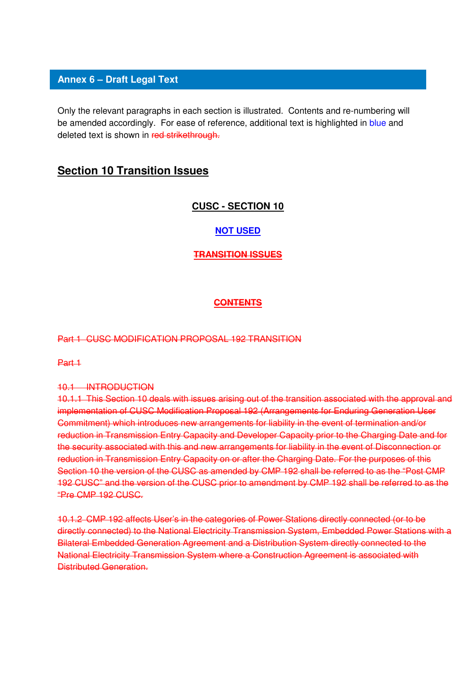#### **Annex 6 – Draft Legal Text**

Only the relevant paragraphs in each section is illustrated. Contents and re-numbering will be amended accordingly. For ease of reference, additional text is highlighted in blue and deleted text is shown in red strikethrough.

#### **Section 10 Transition Issues**

#### **CUSC - SECTION 10**

#### **NOT USED**

#### **TRANSITION ISSUES**

#### **CONTENTS**

#### Part 1 CUSC MODIFICATION PROPOSAL 192 TRANSITION

Part 1

#### 10.1 INTRODUCTION

10.1.1 This Section 10 deals with issues arising out of the transition associated with the approval and implementation of CUSC Modification Proposal 192 (Arrangements for Enduring Generation User Commitment) which introduces new arrangements for liability in the event of termination and/or reduction in Transmission Entry Capacity and Developer Capacity prior to the Charging Date and for the security associated with this and new arrangements for liability in the event of Disconnection or reduction in Transmission Entry Capacity on or after the Charging Date. For the purposes of this Section 10 the version of the CUSC as amended by CMP 192 shall be referred to as the "Post CMP 192 CUSC" and the version of the CUSC prior to amendment by CMP 192 shall be referred to as the "Pre CMP 192 CUSC.

10.1.2 CMP 192 affects User's in the categories of Power Stations directly connected (or to be directly connected) to the National Electricity Transmission System, Embedded Power Stations with a Bilateral Embedded Generation Agreement and a Distribution System directly connected to the National Electricity Transmission System where a Construction Agreement is associated with Distributed Generation.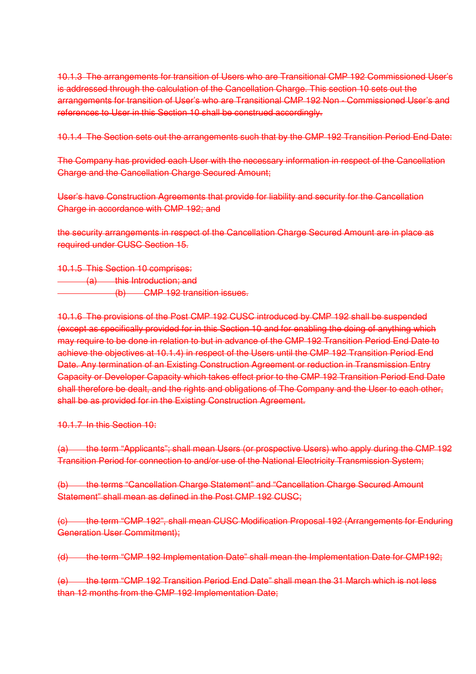10.1.3 The arrangements for transition of Users who are Transitional CMP 192 Commissioned User's is addressed through the calculation of the Cancellation Charge. This section 10 sets out the arrangements for transition of User's who are Transitional CMP 192 Non - Commissioned User's and references to User in this Section 10 shall be construed accordingly.

10.1.4 The Section sets out the arrangements such that by the CMP 192 Transition Period End Date:

The Company has provided each User with the necessary information in respect of the Cancellation Charge and the Cancellation Charge Secured Amount;

User's have Construction Agreements that provide for liability and security for the Cancellation Charge in accordance with CMP 192; and

the security arrangements in respect of the Cancellation Charge Secured Amount are in place as required under CUSC Section 15.

10.1.5 This Section 10 comprises: (a) this Introduction; and (b) CMP 192 transition issues.

10.1.6 The provisions of the Post CMP 192 CUSC introduced by CMP 192 shall be suspended (except as specifically provided for in this Section 10 and for enabling the doing of anything which may require to be done in relation to but in advance of the CMP 192 Transition Period End Date to achieve the objectives at 10.1.4) in respect of the Users until the CMP 192 Transition Period End Date. Any termination of an Existing Construction Agreement or reduction in Transmission Entry Capacity or Developer Capacity which takes effect prior to the CMP 192 Transition Period End Date shall therefore be dealt, and the rights and obligations of The Company and the User to each other, shall be as provided for in the Existing Construction Agreement.

10.1.7 In this Section 10:

(a) the term "Applicants"; shall mean Users (or prospective Users) who apply during the CMP 192 Transition Period for connection to and/or use of the National Electricity Transmission System;

(b) the terms "Cancellation Charge Statement" and "Cancellation Charge Secured Amount Statement" shall mean as defined in the Post CMP 192 CUSC:

(c) the term "CMP 192", shall mean CUSC Modification Proposal 192 (Arrangements for Enduring Generation User Commitment);

(d) the term "CMP 192 Implementation Date" shall mean the Implementation Date for CMP192;

(e) the term "CMP 192 Transition Period End Date" shall mean the 31 March which is not less than 12 months from the CMP 192 Implementation Date;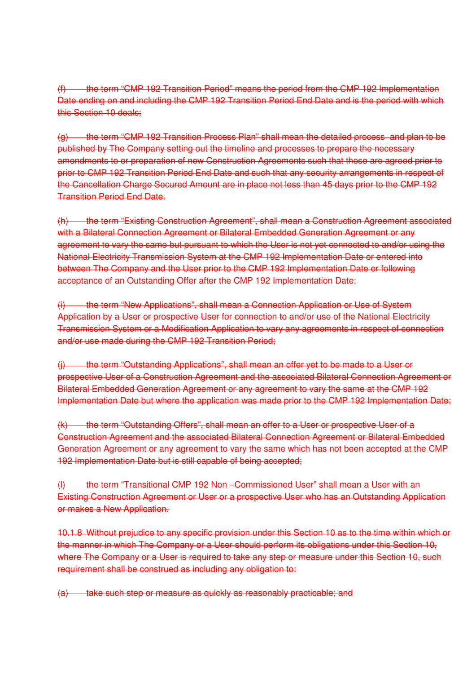(f) the term "CMP 192 Transition Period" means the period from the CMP 192 Implementation Date ending on and including the CMP 192 Transition Period End Date and is the period with which this Section 10 deals;

(g) the term "CMP 192 Transition Process Plan" shall mean the detailed process and plan to be published by The Company setting out the timeline and processes to prepare the necessary amendments to or preparation of new Construction Agreements such that these are agreed prior to prior to CMP 192 Transition Period End Date and such that any security arrangements in respect of the Cancellation Charge Secured Amount are in place not less than 45 days prior to the CMP 192 Transition Period End Date.

(h) the term "Existing Construction Agreement", shall mean a Construction Agreement associated with a Bilateral Connection Agreement or Bilateral Embedded Generation Agreement or any agreement to vary the same but pursuant to which the User is not yet connected to and/or using the National Electricity Transmission System at the CMP 192 Implementation Date or entered into between The Company and the User prior to the CMP 192 Implementation Date or following acceptance of an Outstanding Offer after the CMP 192 Implementation Date;

(i) the term "New Applications", shall mean a Connection Application or Use of System Application by a User or prospective User for connection to and/or use of the National Electricity Transmission System or a Modification Application to vary any agreements in respect of connection and/or use made during the CMP 192 Transition Period;

(i) the term "Outstanding Applications", shall mean an offer yet to be made to a User or prospective User of a Construction Agreement and the associated Bilateral Connection Agreement or Bilateral Embedded Generation Agreement or any agreement to vary the same at the CMP 192 Implementation Date but where the application was made prior to the CMP 192 Implementation Date;

(k) the term "Outstanding Offers", shall mean an offer to a User or prospective User of a Construction Agreement and the associated Bilateral Connection Agreement or Bilateral Embedded Generation Agreement or any agreement to vary the same which has not been accepted at the CMP 192 Implementation Date but is still capable of being accepted;

(l) the term "Transitional CMP 192 Non –Commissioned User" shall mean a User with an Existing Construction Agreement or User or a prospective User who has an Outstanding Application or makes a New Application.

10.1.8 Without prejudice to any specific provision under this Section 10 as to the time within which or the manner in which The Company or a User should perform its obligations under this Section 10, where The Company or a User is required to take any step or measure under this Section 10, such requirement shall be construed as including any obligation to:

(a) take such step or measure as quickly as reasonably practicable; and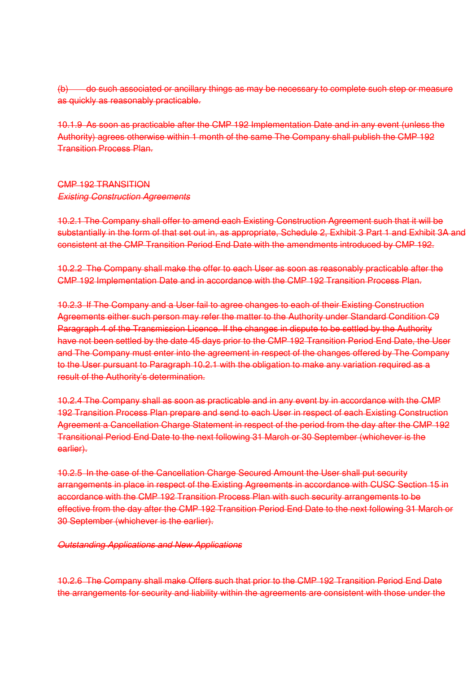(b) do such associated or ancillary things as may be necessary to complete such step or measure as quickly as reasonably practicable.

10.1.9 As soon as practicable after the CMP 192 Implementation Date and in any event (unless the Authority) agrees otherwise within 1 month of the same The Company shall publish the CMP 192 Transition Process Plan.

## CMP 192 TRANSITION Existing Construction Agreements

10.2.1 The Company shall offer to amend each Existing Construction Agreement such that it will be substantially in the form of that set out in, as appropriate, Schedule 2, Exhibit 3 Part 1 and Exhibit 3A and consistent at the CMP Transition Period End Date with the amendments introduced by CMP 192.

10.2.2 The Company shall make the offer to each User as soon as reasonably practicable after the CMP 192 Implementation Date and in accordance with the CMP 192 Transition Process Plan.

10.2.3 If The Company and a User fail to agree changes to each of their Existing Construction Agreements either such person may refer the matter to the Authority under Standard Condition C9 Paragraph 4 of the Transmission Licence. If the changes in dispute to be settled by the Authority have not been settled by the date 45 days prior to the CMP 192 Transition Period End Date, the User and The Company must enter into the agreement in respect of the changes offered by The Company to the User pursuant to Paragraph 10.2.1 with the obligation to make any variation required as a result of the Authority's determination.

10.2.4 The Company shall as soon as practicable and in any event by in accordance with the CMP 192 Transition Process Plan prepare and send to each User in respect of each Existing Construction Agreement a Cancellation Charge Statement in respect of the period from the day after the CMP 192 Transitional Period End Date to the next following 31 March or 30 September (whichever is the earlier).

10.2.5 In the case of the Cancellation Charge Secured Amount the User shall put security arrangements in place in respect of the Existing Agreements in accordance with CUSC Section 15 in accordance with the CMP 192 Transition Process Plan with such security arrangements to be effective from the day after the CMP 192 Transition Period End Date to the next following 31 March or 30 September (whichever is the earlier).

## Outstanding Applications and New Applications

10.2.6 The Company shall make Offers such that prior to the CMP 192 Transition Period End Date the arrangements for security and liability within the agreements are consistent with those under the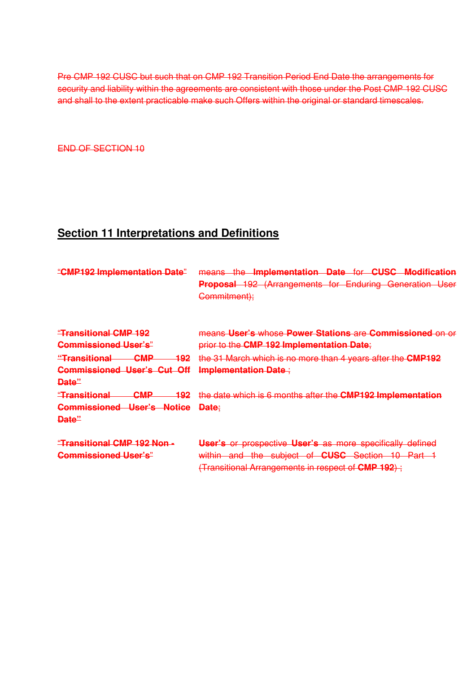Pre CMP 192 CUSC but such that on CMP 192 Transition Period End Date the arrangements for security and liability within the agreements are consistent with those under the Post CMP 192 CUSC and shall to the extent practicable make such Offers within the original or standard timescales.

END OF SECTION 10

# **Section 11 Interpretations and Definitions**

| "CMP192 Implementation Date"                          | means the Implementation Date for CUSC Modification<br>Proposal 192 (Arrangements for Enduring Generation User<br>Commitment); |
|-------------------------------------------------------|--------------------------------------------------------------------------------------------------------------------------------|
| <b>"Transitional CMP 192</b>                          | means User's whose Power Stations are Commissioned on or                                                                       |
| <b>Commissioned User's"</b>                           | prior to the CMP 192 Implementation Date;                                                                                      |
| <b>CMP</b><br><u> "Transitional</u><br><del>192</del> | the 31 March which is no more than 4 years after the CMP192                                                                    |
| <b>Commissioned User's Cut Off</b>                    | <b>Implementation Date:</b>                                                                                                    |
| <del>Date"</del>                                      |                                                                                                                                |
| <b>CMP</b><br><del>"Transitional</del><br>192         | the date which is 6 months after the CMP192 Implementation                                                                     |
| <b>Commissioned User's Notice</b>                     | Date:                                                                                                                          |
| Date"                                                 |                                                                                                                                |
| "Transitional CMP 192 Non -                           | User's or prospective User's as more specifically defined                                                                      |
| <b>Commissioned User's"</b>                           | within and the subject of CUSC Section 10 Part 1                                                                               |
|                                                       | (Transitional Arrangements in respect of <b>CMP 192</b> );                                                                     |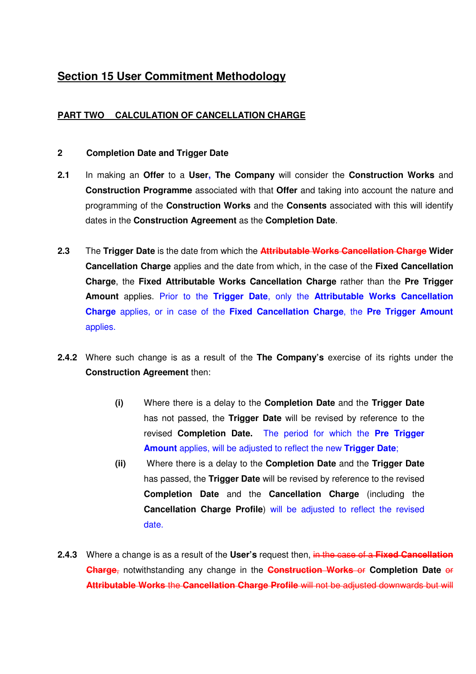# **Section 15 User Commitment Methodology**

## **PART TWO CALCULATION OF CANCELLATION CHARGE**

## **2 Completion Date and Trigger Date**

- **2.1** In making an **Offer** to a **User, The Company** will consider the **Construction Works** and **Construction Programme** associated with that **Offer** and taking into account the nature and programming of the **Construction Works** and the **Consents** associated with this will identify dates in the **Construction Agreement** as the **Completion Date**.
- **2.3** The **Trigger Date** is the date from which the **Attributable Works Cancellation Charge Wider Cancellation Charge** applies and the date from which, in the case of the **Fixed Cancellation Charge**, the **Fixed Attributable Works Cancellation Charge** rather than the **Pre Trigger Amount** applies. Prior to the **Trigger Date**, only the **Attributable Works Cancellation Charge** applies, or in case of the **Fixed Cancellation Charge**, the **Pre Trigger Amount** applies.
- **2.4.2** Where such change is as a result of the **The Company's** exercise of its rights under the **Construction Agreement** then:
	- **(i)** Where there is a delay to the **Completion Date** and the **Trigger Date**  has not passed, the **Trigger Date** will be revised by reference to the revised **Completion Date.** The period for which the **Pre Trigger Amount** applies, will be adjusted to reflect the new **Trigger Date**;
	- **(ii)** Where there is a delay to the **Completion Date** and the **Trigger Date** has passed, the **Trigger Date** will be revised by reference to the revised **Completion Date** and the **Cancellation Charge** (including the **Cancellation Charge Profile**) will be adjusted to reflect the revised date.
- **2.4.3** Where a change is as a result of the **User's** request then, in the case of a **Fixed Cancellation Charge**, notwithstanding any change in the **Construction Works** or **Completion Date** or **Attributable Works** the **Cancellation Charge Profile** will not be adjusted downwards but will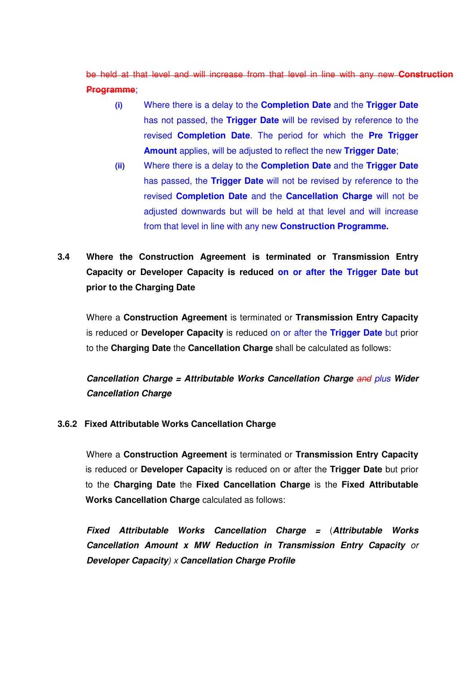be held at that level and will increase from that level in line with any new **Construction Programme**;

- **(i)** Where there is a delay to the **Completion Date** and the **Trigger Date** has not passed, the **Trigger Date** will be revised by reference to the revised **Completion Date**. The period for which the **Pre Trigger Amount** applies, will be adjusted to reflect the new **Trigger Date**;
- **(ii)** Where there is a delay to the **Completion Date** and the **Trigger Date**  has passed, the **Trigger Date** will not be revised by reference to the revised **Completion Date** and the **Cancellation Charge** will not be adjusted downwards but will be held at that level and will increase from that level in line with any new **Construction Programme.**

# **3.4 Where the Construction Agreement is terminated or Transmission Entry Capacity or Developer Capacity is reduced on or after the Trigger Date but prior to the Charging Date**

Where a **Construction Agreement** is terminated or **Transmission Entry Capacity** is reduced or **Developer Capacity** is reduced on or after the **Trigger Date** but prior to the **Charging Date** the **Cancellation Charge** shall be calculated as follows:

**Cancellation Charge = Attributable Works Cancellation Charge** and plus **Wider Cancellation Charge** 

## **3.6.2 Fixed Attributable Works Cancellation Charge**

Where a **Construction Agreement** is terminated or **Transmission Entry Capacity** is reduced or **Developer Capacity** is reduced on or after the **Trigger Date** but prior to the **Charging Date** the **Fixed Cancellation Charge** is the **Fixed Attributable Works Cancellation Charge** calculated as follows:

**Fixed Attributable Works Cancellation Charge =** (**Attributable Works Cancellation Amount x MW Reduction in Transmission Entry Capacity** or **Developer Capacity**) x **Cancellation Charge Profile**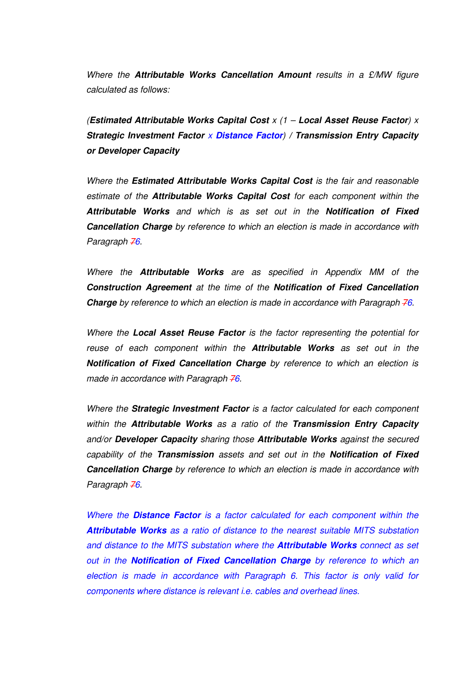Where the **Attributable Works Cancellation Amount** results in a £/MW figure calculated as follows:

(**Estimated Attributable Works Capital Cost** x (1 – **Local Asset Reuse Factor**) x **Strategic Investment Factor** x **Distance Factor**) **/ Transmission Entry Capacity or Developer Capacity** 

Where the **Estimated Attributable Works Capital Cost** is the fair and reasonable estimate of the **Attributable Works Capital Cost** for each component within the **Attributable Works** and which is as set out in the **Notification of Fixed Cancellation Charge** by reference to which an election is made in accordance with Paragraph 76.

Where the **Attributable Works** are as specified in Appendix MM of the **Construction Agreement** at the time of the **Notification of Fixed Cancellation Charge** by reference to which an election is made in accordance with Paragraph 76.

Where the **Local Asset Reuse Factor** is the factor representing the potential for reuse of each component within the **Attributable Works** as set out in the **Notification of Fixed Cancellation Charge** by reference to which an election is made in accordance with Paragraph  $\overline{76}$ .

Where the **Strategic Investment Factor** is a factor calculated for each component within the **Attributable Works** as a ratio of the **Transmission Entry Capacity**  and/or **Developer Capacity** sharing those **Attributable Works** against the secured capability of the **Transmission** assets and set out in the **Notification of Fixed Cancellation Charge** by reference to which an election is made in accordance with Paragraph 76.

Where the **Distance Factor** is a factor calculated for each component within the **Attributable Works** as a ratio of distance to the nearest suitable MITS substation and distance to the MITS substation where the **Attributable Works** connect as set out in the **Notification of Fixed Cancellation Charge** by reference to which an election is made in accordance with Paragraph 6. This factor is only valid for components where distance is relevant i.e. cables and overhead lines.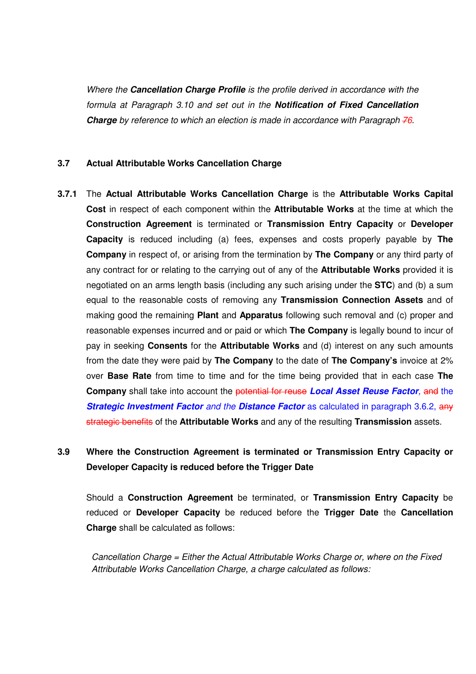Where the **Cancellation Charge Profile** is the profile derived in accordance with the formula at Paragraph 3.10 and set out in the **Notification of Fixed Cancellation Charge** by reference to which an election is made in accordance with Paragraph 76.

## **3.7 Actual Attributable Works Cancellation Charge**

**3.7.1** The **Actual Attributable Works Cancellation Charge** is the **Attributable Works Capital Cost** in respect of each component within the **Attributable Works** at the time at which the **Construction Agreement** is terminated or **Transmission Entry Capacity** or **Developer Capacity** is reduced including (a) fees, expenses and costs properly payable by **The Company** in respect of, or arising from the termination by **The Company** or any third party of any contract for or relating to the carrying out of any of the **Attributable Works** provided it is negotiated on an arms length basis (including any such arising under the **STC**) and (b) a sum equal to the reasonable costs of removing any **Transmission Connection Assets** and of making good the remaining **Plant** and **Apparatus** following such removal and (c) proper and reasonable expenses incurred and or paid or which **The Company** is legally bound to incur of pay in seeking **Consents** for the **Attributable Works** and (d) interest on any such amounts from the date they were paid by **The Company** to the date of **The Company's** invoice at 2% over **Base Rate** from time to time and for the time being provided that in each case **The Company** shall take into account the potential for reuse **Local Asset Reuse Factor**, and the **Strategic Investment Factor** and the **Distance Factor** as calculated in paragraph 3.6.2, any strategic benefits of the **Attributable Works** and any of the resulting **Transmission** assets.

# **3.9 Where the Construction Agreement is terminated or Transmission Entry Capacity or Developer Capacity is reduced before the Trigger Date**

Should a **Construction Agreement** be terminated, or **Transmission Entry Capacity** be reduced or **Developer Capacity** be reduced before the **Trigger Date** the **Cancellation Charge** shall be calculated as follows:

Cancellation Charge = Either the Actual Attributable Works Charge or, where on the Fixed Attributable Works Cancellation Charge, a charge calculated as follows: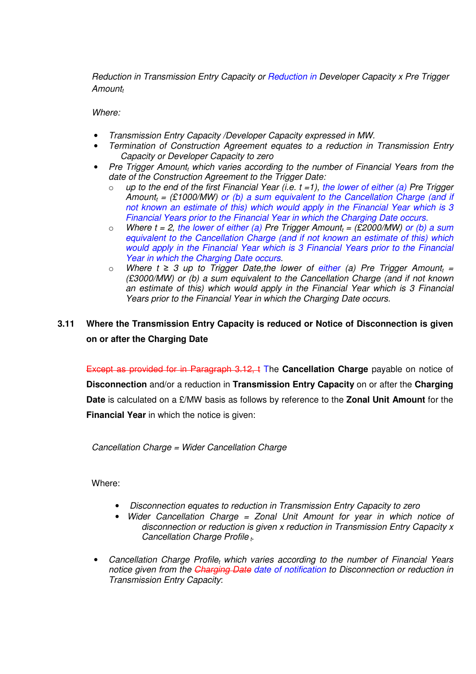Reduction in Transmission Entry Capacity or Reduction in Developer Capacity x Pre Trigger Amount,

Where:

- Transmission Entry Capacity /Developer Capacity expressed in MW.
- Termination of Construction Agreement equates to a reduction in Transmission Entry Capacity or Developer Capacity to zero
- Pre Trigger Amount, which varies according to the number of Financial Years from the date of the Construction Agreement to the Trigger Date:
	- $\circ$  up to the end of the first Financial Year (i.e. t = 1), the lower of either (a) Pre Trigger Amount<sub>t</sub> = (£1000/MW) or (b) a sum equivalent to the Cancellation Charge (and if not known an estimate of this) which would apply in the Financial Year which is 3 Financial Years prior to the Financial Year in which the Charging Date occurs.
	- $\circ$  Where t = 2, the lower of either (a) Pre Trigger Amount<sub>t</sub> = (£2000/MW) or (b) a sum equivalent to the Cancellation Charge (and if not known an estimate of this) which would apply in the Financial Year which is 3 Financial Years prior to the Financial Year in which the Charging Date occurs.
	- o Where  $t \geq 3$  up to Trigger Date, the lower of either (a) Pre Trigger Amount<sub>t</sub> = (£3000/MW) or (b) a sum equivalent to the Cancellation Charge (and if not known an estimate of this) which would apply in the Financial Year which is 3 Financial Years prior to the Financial Year in which the Charging Date occurs.

## **3.11 Where the Transmission Entry Capacity is reduced or Notice of Disconnection is given on or after the Charging Date**

Except as provided for in Paragraph 3.12, t The **Cancellation Charge** payable on notice of **Disconnection** and/or a reduction in **Transmission Entry Capacity** on or after the **Charging Date** is calculated on a £/MW basis as follows by reference to the **Zonal Unit Amount** for the **Financial Year** in which the notice is given:

Cancellation Charge = Wider Cancellation Charge

Where:

- Disconnection equates to reduction in Transmission Entry Capacity to zero
- Wider Cancellation Charge = Zonal Unit Amount for year in which notice of disconnection or reduction is given x reduction in Transmission Entry Capacity x Cancellation Charge Profile  $<sub>t</sub>$ .</sub>
- Cancellation Charge Profile<sub>t</sub> which varies according to the number of Financial Years notice given from the Charging Date date of notification to Disconnection or reduction in Transmission Entry Capacity: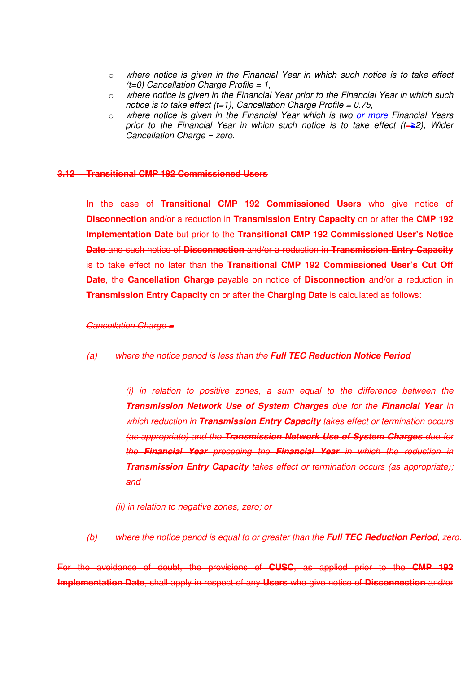- o where notice is given in the Financial Year in which such notice is to take effect  $(t=0)$  Cancellation Charge Profile = 1.
- o where notice is given in the Financial Year prior to the Financial Year in which such notice is to take effect  $(t=1)$ . Cancellation Charge Profile = 0.75,
- $\circ$  where notice is given in the Financial Year which is two or more Financial Years prior to the Financial Year in which such notice is to take effect  $(t=\geq 2)$ , Wider Cancellation Charge = zero.

#### **3.12 Transitional CMP 192 Commissioned Users**

In the case of **Transitional CMP 192 Commissioned Users** who give notice of **Disconnection** and/or a reduction in **Transmission Entry Capacity** on or after the **CMP 192 Implementation Date** but prior to the **Transitional CMP 192 Commissioned User's Notice Date** and such notice of **Disconnection** and/or a reduction in **Transmission Entry Capacity** is to take effect no later than the **Transitional CMP 192 Commissioned User's Cut Off Date, the Cancellation Charge** payable on notice of **Disconnection** and/or a reduction in **Transmission Entry Capacity** on or after the **Charging Date** is calculated as follows:

#### Cancellation Charge =

(a) where the notice period is less than the **Full TEC Reduction Notice Period** 

(i) in relation to positive zones, a sum equal to the difference between the **Transmission Network Use of System Charges** due for the **Financial Year** in which reduction in **Transmission Entry Capacity** takes effect or termination occurs (as appropriate) and the **Transmission Network Use of System Charges** due for the **Financial Year** preceding the **Financial Year** in which the reduction in **Transmission Entry Capacity** takes effect or termination occurs (as appropriate); and

(ii) in relation to negative zones, zero; or

(b) where the notice period is equal to or greater than the **Full TEC Reduction Period**, zero.

For the avoidance of doubt, the provisions of **CUSC**, as applied prior to the **CMP 192 Implementation Date**, shall apply in respect of any **Users** who give notice of **Disconnection** and/or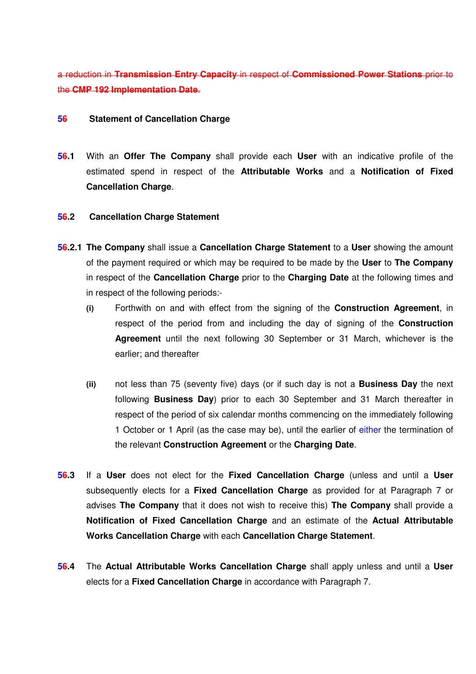a reduction in **Transmission Entry Capacity** in respect of **Commissioned Power Stations** prior to the **CMP 192 Implementation Date**.

## **56 Statement of Cancellation Charge**

**56.1** With an **Offer The Company** shall provide each **User** with an indicative profile of the estimated spend in respect of the **Attributable Works** and a **Notification of Fixed Cancellation Charge**.

## **56.2 Cancellation Charge Statement**

- **56.2.1 The Company** shall issue a **Cancellation Charge Statement** to a **User** showing the amount of the payment required or which may be required to be made by the **User** to **The Company**  in respect of the **Cancellation Charge** prior to the **Charging Date** at the following times and in respect of the following periods:-
	- **(i)** Forthwith on and with effect from the signing of the **Construction Agreement**, in respect of the period from and including the day of signing of the **Construction Agreement** until the next following 30 September or 31 March, whichever is the earlier; and thereafter
	- **(ii)** not less than 75 (seventy five) days (or if such day is not a **Business Day** the next following **Business Day**) prior to each 30 September and 31 March thereafter in respect of the period of six calendar months commencing on the immediately following 1 October or 1 April (as the case may be), until the earlier of either the termination of the relevant **Construction Agreement** or the **Charging Date**.
- **56.3** If a **User** does not elect for the **Fixed Cancellation Charge** (unless and until a **User** subsequently elects for a **Fixed Cancellation Charge** as provided for at Paragraph 7 or advises **The Company** that it does not wish to receive this) **The Company** shall provide a **Notification of Fixed Cancellation Charge** and an estimate of the **Actual Attributable Works Cancellation Charge** with each **Cancellation Charge Statement**.
- **56.4** The **Actual Attributable Works Cancellation Charge** shall apply unless and until a **User** elects for a **Fixed Cancellation Charge** in accordance with Paragraph 7.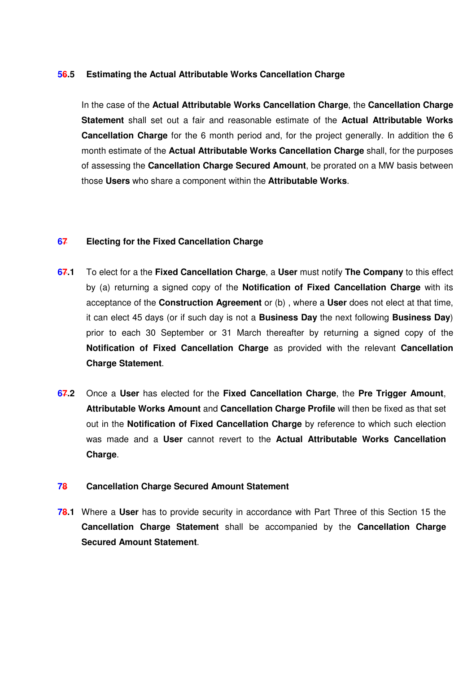## **56.5 Estimating the Actual Attributable Works Cancellation Charge**

In the case of the **Actual Attributable Works Cancellation Charge**, the **Cancellation Charge Statement** shall set out a fair and reasonable estimate of the **Actual Attributable Works Cancellation Charge** for the 6 month period and, for the project generally. In addition the 6 month estimate of the **Actual Attributable Works Cancellation Charge** shall, for the purposes of assessing the **Cancellation Charge Secured Amount**, be prorated on a MW basis between those **Users** who share a component within the **Attributable Works**.

## **67 Electing for the Fixed Cancellation Charge**

- **67.1** To elect for a the **Fixed Cancellation Charge**, a **User** must notify **The Company** to this effect by (a) returning a signed copy of the **Notification of Fixed Cancellation Charge** with its acceptance of the **Construction Agreement** or (b) , where a **User** does not elect at that time, it can elect 45 days (or if such day is not a **Business Day** the next following **Business Day**) prior to each 30 September or 31 March thereafter by returning a signed copy of the **Notification of Fixed Cancellation Charge** as provided with the relevant **Cancellation Charge Statement**.
- **67.2** Once a **User** has elected for the **Fixed Cancellation Charge**, the **Pre Trigger Amount**, **Attributable Works Amount** and **Cancellation Charge Profile** will then be fixed as that set out in the **Notification of Fixed Cancellation Charge** by reference to which such election was made and a **User** cannot revert to the **Actual Attributable Works Cancellation Charge**.

## **78 Cancellation Charge Secured Amount Statement**

**78.1** Where a **User** has to provide security in accordance with Part Three of this Section 15 the **Cancellation Charge Statement** shall be accompanied by the **Cancellation Charge Secured Amount Statement**.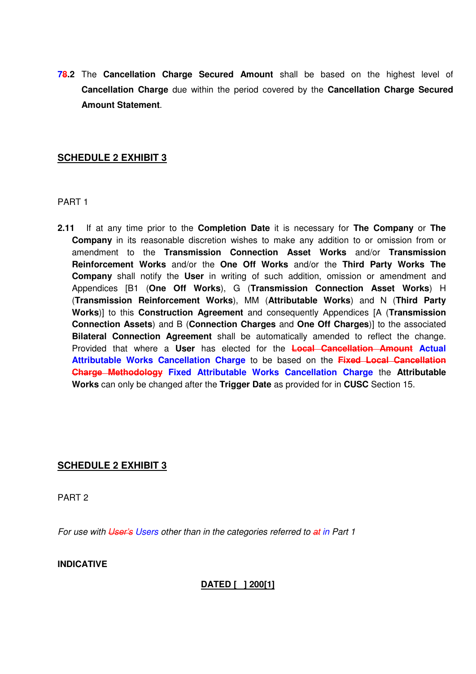**78.2** The **Cancellation Charge Secured Amount** shall be based on the highest level of **Cancellation Charge** due within the period covered by the **Cancellation Charge Secured Amount Statement**.

## **SCHEDULE 2 EXHIBIT 3**

PART 1

**2.11** If at any time prior to the **Completion Date** it is necessary for **The Company** or **The Company** in its reasonable discretion wishes to make any addition to or omission from or amendment to the **Transmission Connection Asset Works** and/or **Transmission Reinforcement Works** and/or the **One Off Works** and/or the **Third Party Works The Company** shall notify the **User** in writing of such addition, omission or amendment and Appendices [B1 (**One Off Works**), G (**Transmission Connection Asset Works**) H (**Transmission Reinforcement Works**), MM (**Attributable Works**) and N (**Third Party Works**)] to this **Construction Agreement** and consequently Appendices [A (**Transmission Connection Assets**) and B (**Connection Charges** and **One Off Charges**)] to the associated **Bilateral Connection Agreement** shall be automatically amended to reflect the change. Provided that where a **User** has elected for the **Local Cancellation Amount Actual Attributable Works Cancellation Charge** to be based on the **Fixed Local Cancellation Charge Methodology Fixed Attributable Works Cancellation Charge** the **Attributable Works** can only be changed after the **Trigger Date** as provided for in **CUSC** Section 15.

## **SCHEDULE 2 EXHIBIT 3**

PART 2

For use with User's Users other than in the categories referred to at in Part 1

**INDICATIVE** 

**DATED [ ] 200[1]**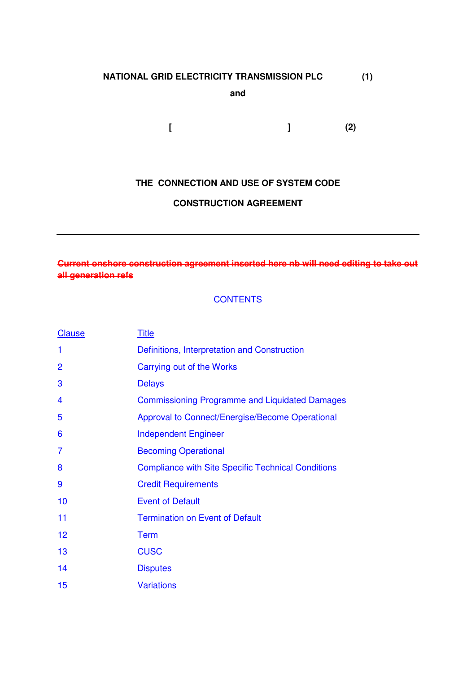## **NATIONAL GRID ELECTRICITY TRANSMISSION PLC (1)**

**and** 

 **[ ] (2)** 

## **THE CONNECTION AND USE OF SYSTEM CODE**

## **CONSTRUCTION AGREEMENT**

## **Current onshore construction agreement inserted here nb will need editing to take out all generation refs**

## **CONTENTS**

| <b>Clause</b>  | <b>Title</b>                                              |
|----------------|-----------------------------------------------------------|
| 1              | Definitions, Interpretation and Construction              |
| 2              | Carrying out of the Works                                 |
| 3              | <b>Delays</b>                                             |
| 4              | <b>Commissioning Programme and Liquidated Damages</b>     |
| 5              | Approval to Connect/Energise/Become Operational           |
| 6              | <b>Independent Engineer</b>                               |
| $\overline{7}$ | <b>Becoming Operational</b>                               |
| 8              | <b>Compliance with Site Specific Technical Conditions</b> |
| 9              | <b>Credit Requirements</b>                                |
| 10             | <b>Event of Default</b>                                   |
| 11             | <b>Termination on Event of Default</b>                    |
| 12             | <b>Term</b>                                               |
| 13             | <b>CUSC</b>                                               |
| 14             | <b>Disputes</b>                                           |
| 15             | <b>Variations</b>                                         |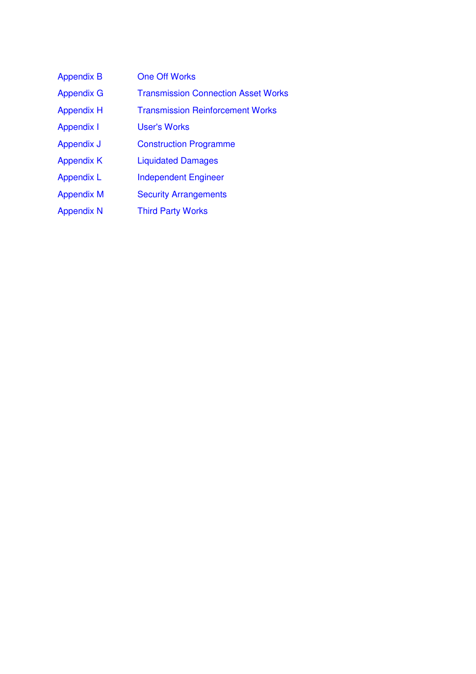| <b>Appendix B</b> | <b>One Off Works</b>                       |
|-------------------|--------------------------------------------|
| <b>Appendix G</b> | <b>Transmission Connection Asset Works</b> |
| <b>Appendix H</b> | <b>Transmission Reinforcement Works</b>    |
| <b>Appendix I</b> | <b>User's Works</b>                        |
| Appendix J        | <b>Construction Programme</b>              |
| <b>Appendix K</b> | <b>Liquidated Damages</b>                  |
| <b>Appendix L</b> | <b>Independent Engineer</b>                |
| <b>Appendix M</b> | <b>Security Arrangements</b>               |
| <b>Appendix N</b> | <b>Third Party Works</b>                   |
|                   |                                            |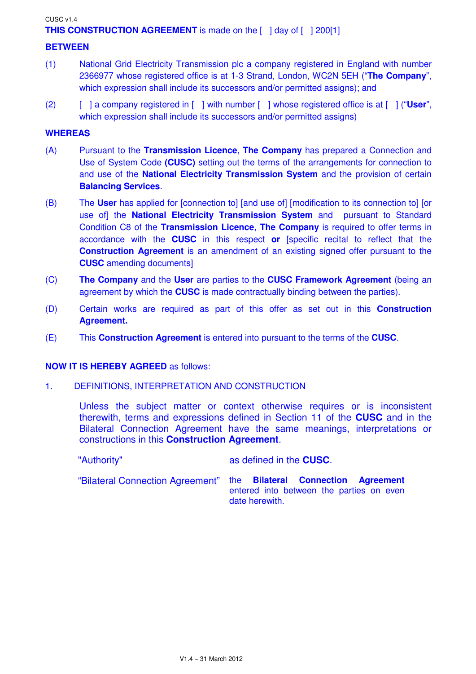#### CUSC v1.4

## **THIS CONSTRUCTION AGREEMENT** is made on the [ ] day of [ ] 200[1]

#### **BETWEEN**

- (1) National Grid Electricity Transmission plc a company registered in England with number 2366977 whose registered office is at 1-3 Strand, London, WC2N 5EH ("**The Company**", which expression shall include its successors and/or permitted assigns); and
- (2) [ ] a company registered in [ ] with number [ ] whose registered office is at [ ] ("**User**", which expression shall include its successors and/or permitted assigns)

#### **WHEREAS**

- (A) Pursuant to the **Transmission Licence**, **The Company** has prepared a Connection and Use of System Code **(CUSC)** setting out the terms of the arrangements for connection to and use of the **National Electricity Transmission System** and the provision of certain **Balancing Services**.
- (B) The **User** has applied for [connection to] [and use of] [modification to its connection to] [or use of] the **National Electricity Transmission System** and pursuant to Standard Condition C8 of the **Transmission Licence**, **The Company** is required to offer terms in accordance with the **CUSC** in this respect **or** [specific recital to reflect that the **Construction Agreement** is an amendment of an existing signed offer pursuant to the **CUSC** amending documents]
- (C) **The Company** and the **User** are parties to the **CUSC Framework Agreement** (being an agreement by which the **CUSC** is made contractually binding between the parties).
- (D) Certain works are required as part of this offer as set out in this **Construction Agreement.**
- (E) This **Construction Agreement** is entered into pursuant to the terms of the **CUSC**.

#### **NOW IT IS HEREBY AGREED** as follows:

1. DEFINITIONS, INTERPRETATION AND CONSTRUCTION

Unless the subject matter or context otherwise requires or is inconsistent therewith, terms and expressions defined in Section 11 of the **CUSC** and in the Bilateral Connection Agreement have the same meanings, interpretations or constructions in this **Construction Agreement**.

| "Authority" | as defined in the <b>CUSC</b> . |
|-------------|---------------------------------|
|-------------|---------------------------------|

"Bilateral Connection Agreement" the **Bilateral Connection Agreement**  entered into between the parties on even date herewith.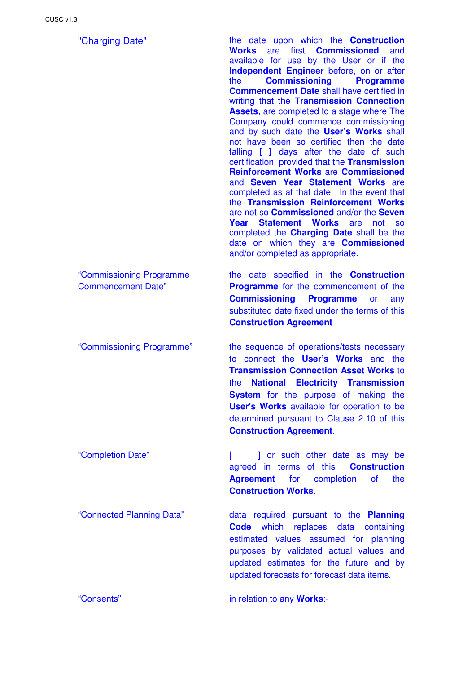"Commissioning Programme Commencement Date"

"Charging Date" the date upon which the **Construction Works** are first **Commissioned** and available for use by the User or if the **Independent Engineer** before, on or after the **Commissioning Programme Commencement Date** shall have certified in writing that the **Transmission Connection Assets**, are completed to a stage where The Company could commence commissioning and by such date the **User's Works** shall not have been so certified then the date falling **[ ]** days after the date of such certification, provided that the **Transmission Reinforcement Works** are **Commissioned** and **Seven Year Statement Works** are completed as at that date. In the event that the **Transmission Reinforcement Works** are not so **Commissioned** and/or the **Seven Year Statement Works** are not so completed the **Charging Date** shall be the date on which they are **Commissioned** and/or completed as appropriate.

> the date specified in the **Construction Programme** for the commencement of the **Commissioning Programme** or any substituted date fixed under the terms of this **Construction Agreement**

"Commissioning Programme" the sequence of operations/tests necessary to connect the **User's Works** and the **Transmission Connection Asset Works** to the **National Electricity Transmission System** for the purpose of making the **User's Works** available for operation to be determined pursuant to Clause 2.10 of this **Construction Agreement**.

"Connected Planning Data" data required pursuant to the **Planning Code** which replaces data containing estimated values assumed for planning purposes by validated actual values and updated estimates for the future and by updated forecasts for forecast data items.

"Consents" in relation to any **Works**:-

<sup>&</sup>quot;Completion Date" [ ] or such other date as may be agreed in terms of this **Construction Agreement** for completion of the **Construction Works**.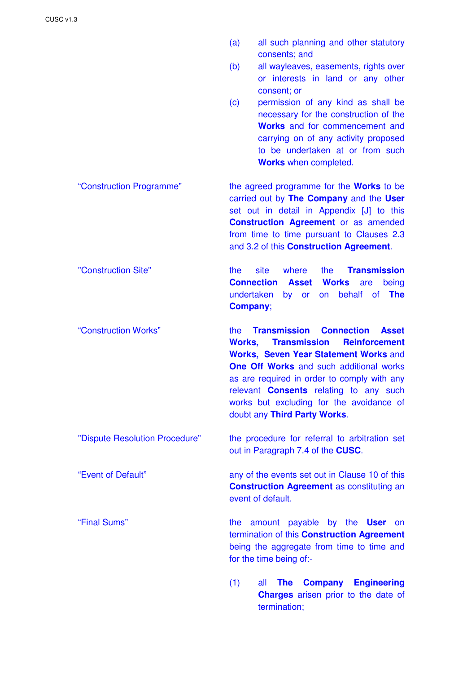(a) all such planning and other statutory consents; and (b) all wayleaves, easements, rights over or interests in land or any other consent; or (c) permission of any kind as shall be necessary for the construction of the **Works** and for commencement and carrying on of any activity proposed to be undertaken at or from such **Works** when completed. "Construction Programme" the agreed programme for the **Works** to be carried out by **The Company** and the **User** set out in detail in Appendix [J] to this **Construction Agreement** or as amended from time to time pursuant to Clauses 2.3 and 3.2 of this **Construction Agreement**. "Construction Site" the site where the **Transmission Connection Asset Works** are being undertaken by or on behalf of **The Company**; "Construction Works" the **Transmission Connection Asset Works, Transmission Reinforcement Works, Seven Year Statement Works** and **One Off Works** and such additional works as are required in order to comply with any relevant **Consents** relating to any such works but excluding for the avoidance of doubt any **Third Party Works**. "Dispute Resolution Procedure" the procedure for referral to arbitration set out in Paragraph 7.4 of the **CUSC**. "Event of Default" any of the events set out in Clause 10 of this **Construction Agreement** as constituting an event of default. "Final Sums" the amount payable by the **User** on termination of this **Construction Agreement** being the aggregate from time to time and for the time being of:- (1) all **The Company Engineering Charges** arisen prior to the date of

termination;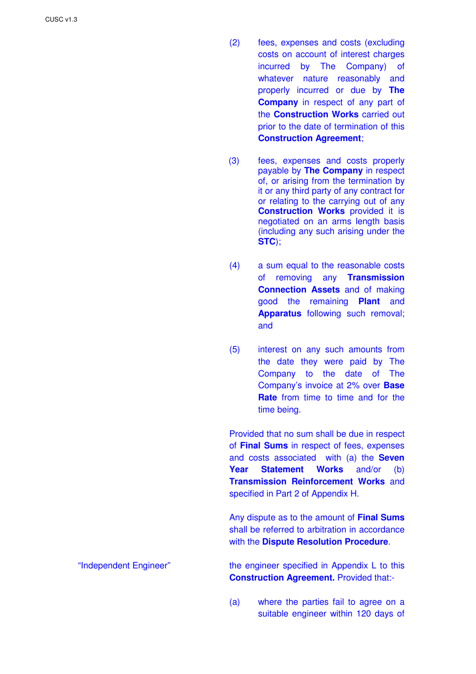- (2) fees, expenses and costs (excluding costs on account of interest charges incurred by The Company) of whatever nature reasonably and properly incurred or due by **The Company** in respect of any part of the **Construction Works** carried out prior to the date of termination of this **Construction Agreement**;
- (3) fees, expenses and costs properly payable by **The Company** in respect of, or arising from the termination by it or any third party of any contract for or relating to the carrying out of any **Construction Works** provided it is negotiated on an arms length basis (including any such arising under the **STC**);
- (4) a sum equal to the reasonable costs of removing any **Transmission Connection Assets** and of making good the remaining **Plant** and **Apparatus** following such removal; and
- (5) interest on any such amounts from the date they were paid by The Company to the date of The Company's invoice at 2% over **Base Rate** from time to time and for the time being.

Provided that no sum shall be due in respect of **Final Sums** in respect of fees, expenses and costs associated with (a) the **Seven Year Statement Works** and/or (b) **Transmission Reinforcement Works** and specified in Part 2 of Appendix H.

Any dispute as to the amount of **Final Sums** shall be referred to arbitration in accordance with the **Dispute Resolution Procedure**.

"Independent Engineer" the engineer specified in Appendix L to this **Construction Agreement.** Provided that:-

> (a) where the parties fail to agree on a suitable engineer within 120 days of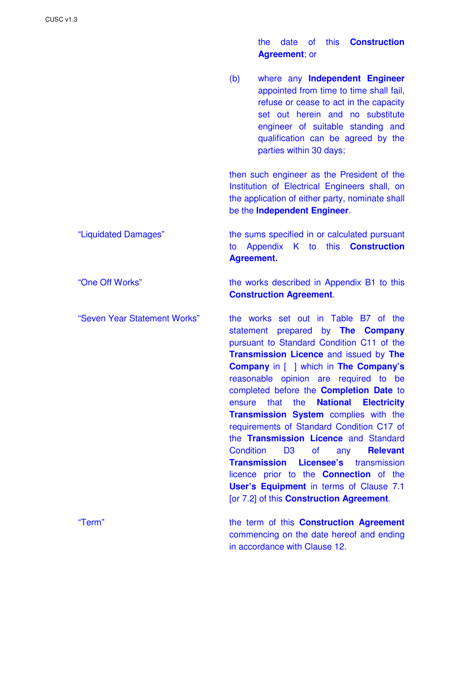the date of this **Construction Agreement**; or

(b) where any **Independent Engineer** appointed from time to time shall fail, refuse or cease to act in the capacity set out herein and no substitute engineer of suitable standing and qualification can be agreed by the parties within 30 days;

then such engineer as the President of the Institution of Electrical Engineers shall, on the application of either party, nominate shall be the **Independent Engineer**.

## "Liquidated Damages" the sums specified in or calculated pursuant to Appendix K to this **Construction Agreement.**

"One Off Works" the works described in Appendix B1 to this **Construction Agreement**.

"Seven Year Statement Works" the works set out in Table B7 of the statement prepared by **The Company** pursuant to Standard Condition C11 of the **Transmission Licence** and issued by **The Company** in [ ] which in **The Company's** reasonable opinion are required to be completed before the **Completion Date** to ensure that the **National Electricity Transmission System** complies with the requirements of Standard Condition C17 of the **Transmission Licence** and Standard Condition D3 of any **Relevant Transmission Licensee's** transmission licence prior to the **Connection** of the **User's Equipment** in terms of Clause 7.1 [or 7.2] of this **Construction Agreement**.

"Term" the term of this **Construction Agreement**  commencing on the date hereof and ending in accordance with Clause 12.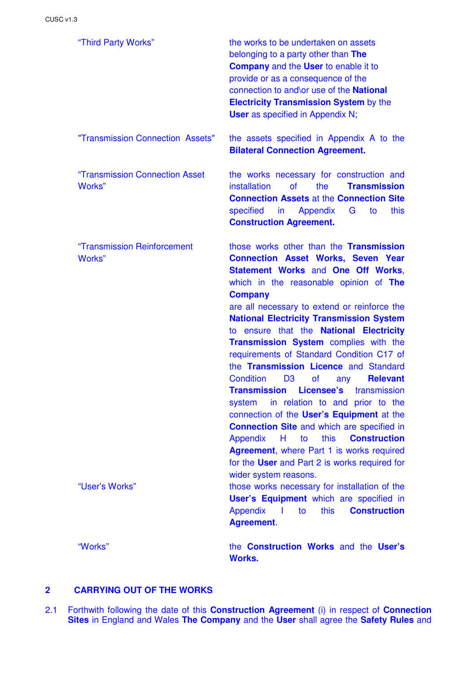| "Third Party Works"                                     | the works to be undertaken on assets<br>belonging to a party other than The<br><b>Company</b> and the User to enable it to<br>provide or as a consequence of the<br>connection to and\or use of the National<br><b>Electricity Transmission System by the</b><br><b>User</b> as specified in Appendix N;                                                                                                                                                                                                                                                                                                                                                                                                                                                                                                                                                                                                                                                                                                                                                  |
|---------------------------------------------------------|-----------------------------------------------------------------------------------------------------------------------------------------------------------------------------------------------------------------------------------------------------------------------------------------------------------------------------------------------------------------------------------------------------------------------------------------------------------------------------------------------------------------------------------------------------------------------------------------------------------------------------------------------------------------------------------------------------------------------------------------------------------------------------------------------------------------------------------------------------------------------------------------------------------------------------------------------------------------------------------------------------------------------------------------------------------|
| "Transmission Connection Assets"                        | the assets specified in Appendix A to the<br><b>Bilateral Connection Agreement.</b>                                                                                                                                                                                                                                                                                                                                                                                                                                                                                                                                                                                                                                                                                                                                                                                                                                                                                                                                                                       |
| "Transmission Connection Asset<br>Works"                | the works necessary for construction and<br>installation<br>οf<br>the<br><b>Transmission</b><br><b>Connection Assets at the Connection Site</b><br>specified<br>$\mathsf{in}$<br>Appendix<br>G<br>this<br>to<br><b>Construction Agreement.</b>                                                                                                                                                                                                                                                                                                                                                                                                                                                                                                                                                                                                                                                                                                                                                                                                            |
| "Transmission Reinforcement<br>Works"<br>"User's Works" | those works other than the <b>Transmission</b><br><b>Connection Asset Works, Seven Year</b><br><b>Statement Works and One Off Works,</b><br>which in the reasonable opinion of The<br><b>Company</b><br>are all necessary to extend or reinforce the<br><b>National Electricity Transmission System</b><br>to ensure that the National Electricity<br>Transmission System complies with the<br>requirements of Standard Condition C17 of<br>the Transmission Licence and Standard<br><b>Condition</b><br><b>Relevant</b><br>D <sub>3</sub><br><b>of</b><br>any<br><b>Transmission Licensee's</b> transmission<br>in relation to and prior to the<br>system<br>connection of the User's Equipment at the<br><b>Connection Site and which are specified in</b><br>this<br><b>Construction</b><br>$\overline{H}$<br>Appendix<br>to<br><b>Agreement, where Part 1 is works required</b><br>for the User and Part 2 is works required for<br>wider system reasons.<br>those works necessary for installation of the<br>User's Equipment which are specified in |
|                                                         | <b>Construction</b><br>Appendix  <br>this<br>to<br><b>Agreement.</b>                                                                                                                                                                                                                                                                                                                                                                                                                                                                                                                                                                                                                                                                                                                                                                                                                                                                                                                                                                                      |
| "Works"                                                 | the Construction Works and the User's<br><b>Works.</b>                                                                                                                                                                                                                                                                                                                                                                                                                                                                                                                                                                                                                                                                                                                                                                                                                                                                                                                                                                                                    |

## **2 CARRYING OUT OF THE WORKS**

2.1 Forthwith following the date of this **Construction Agreement** (i) in respect of **Connection Sites** in England and Wales **The Company** and the **User** shall agree the **Safety Rules** and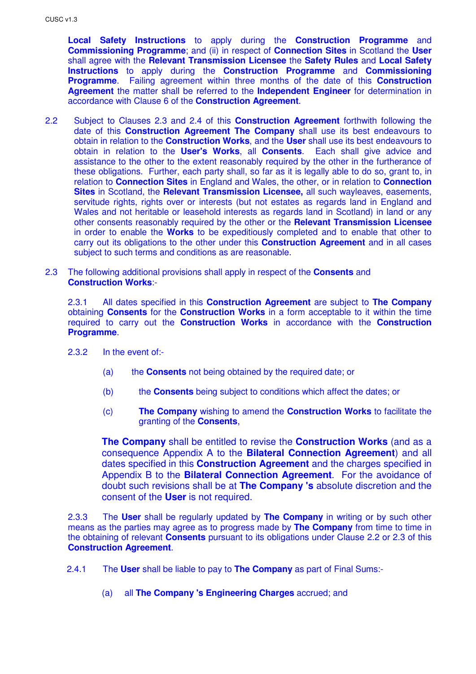**Local Safety Instructions** to apply during the **Construction Programme** and **Commissioning Programme**; and (ii) in respect of **Connection Sites** in Scotland the **User** shall agree with the **Relevant Transmission Licensee** the **Safety Rules** and **Local Safety Instructions** to apply during the **Construction Programme** and **Commissioning Programme**. Failing agreement within three months of the date of this **Construction Agreement** the matter shall be referred to the **Independent Engineer** for determination in accordance with Clause 6 of the **Construction Agreement**.

- 2.2 Subject to Clauses 2.3 and 2.4 of this **Construction Agreement** forthwith following the date of this **Construction Agreement The Company** shall use its best endeavours to obtain in relation to the **Construction Works**, and the **User** shall use its best endeavours to obtain in relation to the **User's Works**, all **Consents**. Each shall give advice and assistance to the other to the extent reasonably required by the other in the furtherance of these obligations. Further, each party shall, so far as it is legally able to do so, grant to, in relation to **Connection Sites** in England and Wales, the other, or in relation to **Connection Sites** in Scotland, the **Relevant Transmission Licensee,** all such wayleaves, easements, servitude rights, rights over or interests (but not estates as regards land in England and Wales and not heritable or leasehold interests as regards land in Scotland) in land or any other consents reasonably required by the other or the **Relevant Transmission Licensee** in order to enable the **Works** to be expeditiously completed and to enable that other to carry out its obligations to the other under this **Construction Agreement** and in all cases subject to such terms and conditions as are reasonable.
- 2.3 The following additional provisions shall apply in respect of the **Consents** and **Construction Works**:-

2.3.1 All dates specified in this **Construction Agreement** are subject to **The Company** obtaining **Consents** for the **Construction Works** in a form acceptable to it within the time required to carry out the **Construction Works** in accordance with the **Construction Programme**.

- 2.3.2 In the event of:-
	- (a) the **Consents** not being obtained by the required date; or
	- (b) the **Consents** being subject to conditions which affect the dates; or
	- (c) **The Company** wishing to amend the **Construction Works** to facilitate the granting of the **Consents**,

**The Company** shall be entitled to revise the **Construction Works** (and as a consequence Appendix A to the **Bilateral Connection Agreement**) and all dates specified in this **Construction Agreement** and the charges specified in Appendix B to the **Bilateral Connection Agreement**. For the avoidance of doubt such revisions shall be at **The Company 's** absolute discretion and the consent of the **User** is not required.

2.3.3 The **User** shall be regularly updated by **The Company** in writing or by such other means as the parties may agree as to progress made by **The Company** from time to time in the obtaining of relevant **Consents** pursuant to its obligations under Clause 2.2 or 2.3 of this **Construction Agreement**.

- 2.4.1 The **User** shall be liable to pay to **The Company** as part of Final Sums:-
	- (a) all **The Company 's Engineering Charges** accrued; and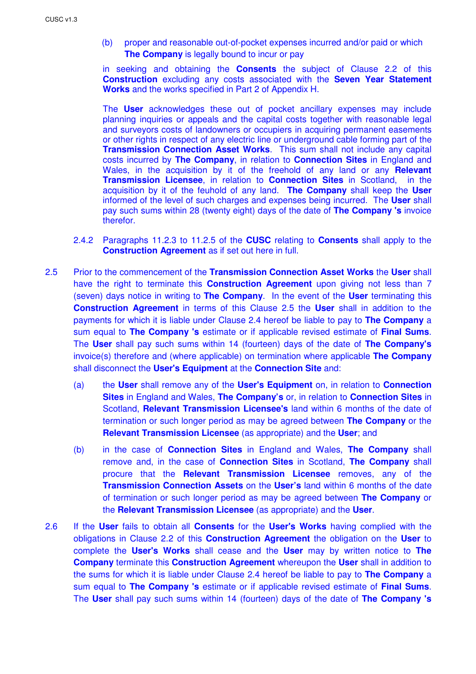(b) proper and reasonable out-of-pocket expenses incurred and/or paid or which **The Company** is legally bound to incur or pay

in seeking and obtaining the **Consents** the subject of Clause 2.2 of this **Construction** excluding any costs associated with the **Seven Year Statement Works** and the works specified in Part 2 of Appendix H.

The **User** acknowledges these out of pocket ancillary expenses may include planning inquiries or appeals and the capital costs together with reasonable legal and surveyors costs of landowners or occupiers in acquiring permanent easements or other rights in respect of any electric line or underground cable forming part of the **Transmission Connection Asset Works**. This sum shall not include any capital costs incurred by **The Company**, in relation to **Connection Sites** in England and Wales, in the acquisition by it of the freehold of any land or any **Relevant Transmission Licensee**, in relation to **Connection Sites** in Scotland, in the acquisition by it of the feuhold of any land. **The Company** shall keep the **User** informed of the level of such charges and expenses being incurred. The **User** shall pay such sums within 28 (twenty eight) days of the date of **The Company 's** invoice therefor.

- 2.4.2 Paragraphs 11.2.3 to 11.2.5 of the **CUSC** relating to **Consents** shall apply to the **Construction Agreement** as if set out here in full.
- 2.5 Prior to the commencement of the **Transmission Connection Asset Works** the **User** shall have the right to terminate this **Construction Agreement** upon giving not less than 7 (seven) days notice in writing to **The Company**. In the event of the **User** terminating this **Construction Agreement** in terms of this Clause 2.5 the **User** shall in addition to the payments for which it is liable under Clause 2.4 hereof be liable to pay to **The Company** a sum equal to **The Company 's** estimate or if applicable revised estimate of **Final Sums**. The **User** shall pay such sums within 14 (fourteen) days of the date of **The Company's**  invoice(s) therefore and (where applicable) on termination where applicable **The Company** shall disconnect the **User's Equipment** at the **Connection Site** and:
	- (a) the **User** shall remove any of the **User's Equipment** on, in relation to **Connection Sites** in England and Wales, **The Company's** or, in relation to **Connection Sites** in Scotland, **Relevant Transmission Licensee's** land within 6 months of the date of termination or such longer period as may be agreed between **The Company** or the **Relevant Transmission Licensee** (as appropriate) and the **User**; and
	- (b) in the case of **Connection Sites** in England and Wales, **The Company** shall remove and, in the case of **Connection Sites** in Scotland, **The Company** shall procure that the **Relevant Transmission Licensee** removes, any of the **Transmission Connection Assets** on the **User's** land within 6 months of the date of termination or such longer period as may be agreed between **The Company** or the **Relevant Transmission Licensee** (as appropriate) and the **User**.
- 2.6 If the **User** fails to obtain all **Consents** for the **User's Works** having complied with the obligations in Clause 2.2 of this **Construction Agreement** the obligation on the **User** to complete the **User's Works** shall cease and the **User** may by written notice to **The Company** terminate this **Construction Agreement** whereupon the **User** shall in addition to the sums for which it is liable under Clause 2.4 hereof be liable to pay to **The Company** a sum equal to **The Company 's** estimate or if applicable revised estimate of **Final Sums**. The **User** shall pay such sums within 14 (fourteen) days of the date of **The Company 's**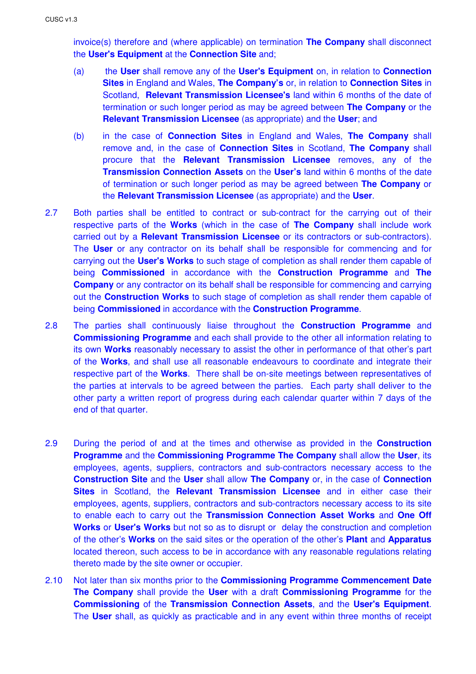invoice(s) therefore and (where applicable) on termination **The Company** shall disconnect the **User's Equipment** at the **Connection Site** and;

- (a) the **User** shall remove any of the **User's Equipment** on, in relation to **Connection Sites** in England and Wales, **The Company's** or, in relation to **Connection Sites** in Scotland, **Relevant Transmission Licensee's** land within 6 months of the date of termination or such longer period as may be agreed between **The Company** or the **Relevant Transmission Licensee** (as appropriate) and the **User**; and
- (b) in the case of **Connection Sites** in England and Wales, **The Company** shall remove and, in the case of **Connection Sites** in Scotland, **The Company** shall procure that the **Relevant Transmission Licensee** removes, any of the **Transmission Connection Assets** on the **User's** land within 6 months of the date of termination or such longer period as may be agreed between **The Company** or the **Relevant Transmission Licensee** (as appropriate) and the **User**.
- 2.7 Both parties shall be entitled to contract or sub-contract for the carrying out of their respective parts of the **Works** (which in the case of **The Company** shall include work carried out by a **Relevant Transmission Licensee** or its contractors or sub-contractors). The **User** or any contractor on its behalf shall be responsible for commencing and for carrying out the **User's Works** to such stage of completion as shall render them capable of being **Commissioned** in accordance with the **Construction Programme** and **The Company** or any contractor on its behalf shall be responsible for commencing and carrying out the **Construction Works** to such stage of completion as shall render them capable of being **Commissioned** in accordance with the **Construction Programme**.
- 2.8 The parties shall continuously liaise throughout the **Construction Programme** and **Commissioning Programme** and each shall provide to the other all information relating to its own **Works** reasonably necessary to assist the other in performance of that other's part of the **Works**, and shall use all reasonable endeavours to coordinate and integrate their respective part of the **Works**. There shall be on-site meetings between representatives of the parties at intervals to be agreed between the parties. Each party shall deliver to the other party a written report of progress during each calendar quarter within 7 days of the end of that quarter.
- 2.9 During the period of and at the times and otherwise as provided in the **Construction Programme** and the **Commissioning Programme The Company** shall allow the **User**, its employees, agents, suppliers, contractors and sub-contractors necessary access to the **Construction Site** and the **User** shall allow **The Company** or, in the case of **Connection Sites** in Scotland, the **Relevant Transmission Licensee** and in either case their employees, agents, suppliers, contractors and sub-contractors necessary access to its site to enable each to carry out the **Transmission Connection Asset Works** and **One Off Works** or **User's Works** but not so as to disrupt or delay the construction and completion of the other's **Works** on the said sites or the operation of the other's **Plant** and **Apparatus** located thereon, such access to be in accordance with any reasonable regulations relating thereto made by the site owner or occupier.
- 2.10 Not later than six months prior to the **Commissioning Programme Commencement Date The Company** shall provide the **User** with a draft **Commissioning Programme** for the **Commissioning** of the **Transmission Connection Assets**, and the **User's Equipment**. The **User** shall, as quickly as practicable and in any event within three months of receipt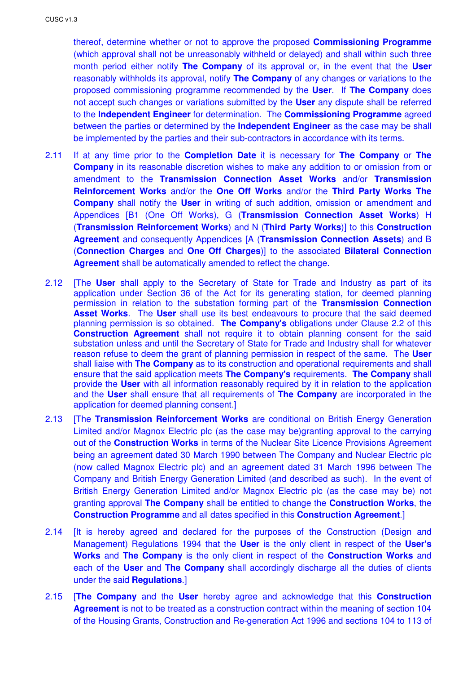thereof, determine whether or not to approve the proposed **Commissioning Programme** (which approval shall not be unreasonably withheld or delayed) and shall within such three month period either notify **The Company** of its approval or, in the event that the **User** reasonably withholds its approval, notify **The Company** of any changes or variations to the proposed commissioning programme recommended by the **User**. If **The Company** does not accept such changes or variations submitted by the **User** any dispute shall be referred to the **Independent Engineer** for determination. The **Commissioning Programme** agreed between the parties or determined by the **Independent Engineer** as the case may be shall be implemented by the parties and their sub-contractors in accordance with its terms.

- 2.11 If at any time prior to the **Completion Date** it is necessary for **The Company** or **The Company** in its reasonable discretion wishes to make any addition to or omission from or amendment to the **Transmission Connection Asset Works** and/or **Transmission Reinforcement Works** and/or the **One Off Works** and/or the **Third Party Works The Company** shall notify the **User** in writing of such addition, omission or amendment and Appendices [B1 (One Off Works), G (**Transmission Connection Asset Works**) H (**Transmission Reinforcement Works**) and N (**Third Party Works**)] to this **Construction Agreement** and consequently Appendices [A (**Transmission Connection Assets**) and B (**Connection Charges** and **One Off Charges**)] to the associated **Bilateral Connection Agreement** shall be automatically amended to reflect the change.
- 2.12 [The **User** shall apply to the Secretary of State for Trade and Industry as part of its application under Section 36 of the Act for its generating station, for deemed planning permission in relation to the substation forming part of the **Transmission Connection Asset Works**. The **User** shall use its best endeavours to procure that the said deemed planning permission is so obtained. **The Company's** obligations under Clause 2.2 of this **Construction Agreement** shall not require it to obtain planning consent for the said substation unless and until the Secretary of State for Trade and Industry shall for whatever reason refuse to deem the grant of planning permission in respect of the same. The **User** shall liaise with **The Company** as to its construction and operational requirements and shall ensure that the said application meets **The Company's** requirements. **The Company** shall provide the **User** with all information reasonably required by it in relation to the application and the **User** shall ensure that all requirements of **The Company** are incorporated in the application for deemed planning consent.]
- 2.13 [The **Transmission Reinforcement Works** are conditional on British Energy Generation Limited and/or Magnox Electric plc (as the case may be)granting approval to the carrying out of the **Construction Works** in terms of the Nuclear Site Licence Provisions Agreement being an agreement dated 30 March 1990 between The Company and Nuclear Electric plc (now called Magnox Electric plc) and an agreement dated 31 March 1996 between The Company and British Energy Generation Limited (and described as such). In the event of British Energy Generation Limited and/or Magnox Electric plc (as the case may be) not granting approval **The Company** shall be entitled to change the **Construction Works**, the **Construction Programme** and all dates specified in this **Construction Agreement**.]
- 2.14 [It is hereby agreed and declared for the purposes of the Construction (Design and Management) Regulations 1994 that the **User** is the only client in respect of the **User's Works** and **The Company** is the only client in respect of the **Construction Works** and each of the **User** and **The Company** shall accordingly discharge all the duties of clients under the said **Regulations**.]
- 2.15 [**The Company** and the **User** hereby agree and acknowledge that this **Construction Agreement** is not to be treated as a construction contract within the meaning of section 104 of the Housing Grants, Construction and Re-generation Act 1996 and sections 104 to 113 of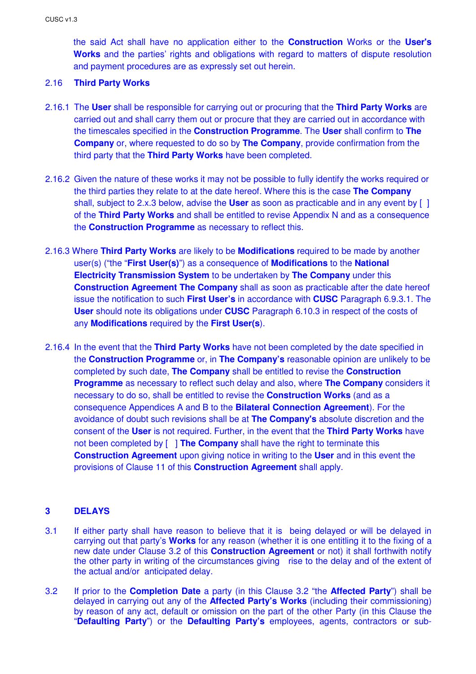the said Act shall have no application either to the **Construction** Works or the **User's Works** and the parties' rights and obligations with regard to matters of dispute resolution and payment procedures are as expressly set out herein.

## 2.16 **Third Party Works**

- 2.16.1 The **User** shall be responsible for carrying out or procuring that the **Third Party Works** are carried out and shall carry them out or procure that they are carried out in accordance with the timescales specified in the **Construction Programme**. The **User** shall confirm to **The Company** or, where requested to do so by **The Company**, provide confirmation from the third party that the **Third Party Works** have been completed.
- 2.16.2 Given the nature of these works it may not be possible to fully identify the works required or the third parties they relate to at the date hereof. Where this is the case **The Company** shall, subject to 2.x.3 below, advise the **User** as soon as practicable and in any event by [ ] of the **Third Party Works** and shall be entitled to revise Appendix N and as a consequence the **Construction Programme** as necessary to reflect this.
- 2.16.3 Where **Third Party Works** are likely to be **Modifications** required to be made by another user(s) ("the "**First User(s)**") as a consequence of **Modifications** to the **National Electricity Transmission System** to be undertaken by **The Company** under this **Construction Agreement The Company** shall as soon as practicable after the date hereof issue the notification to such **First User's** in accordance with **CUSC** Paragraph 6.9.3.1. The **User** should note its obligations under **CUSC** Paragraph 6.10.3 in respect of the costs of any **Modifications** required by the **First User(s**).
- 2.16.4 In the event that the **Third Party Works** have not been completed by the date specified in the **Construction Programme** or, in **The Company's** reasonable opinion are unlikely to be completed by such date, **The Company** shall be entitled to revise the **Construction Programme** as necessary to reflect such delay and also, where **The Company** considers it necessary to do so, shall be entitled to revise the **Construction Works** (and as a consequence Appendices A and B to the **Bilateral Connection Agreement**). For the avoidance of doubt such revisions shall be at **The Company's** absolute discretion and the consent of the **User** is not required. Further, in the event that the **Third Party Works** have not been completed by [ ] **The Company** shall have the right to terminate this **Construction Agreement** upon giving notice in writing to the **User** and in this event the provisions of Clause 11 of this **Construction Agreement** shall apply.

## **3 DELAYS**

- 3.1 If either party shall have reason to believe that it is being delayed or will be delayed in carrying out that party's **Works** for any reason (whether it is one entitling it to the fixing of a new date under Clause 3.2 of this **Construction Agreement** or not) it shall forthwith notify the other party in writing of the circumstances giving rise to the delay and of the extent of the actual and/or anticipated delay.
- 3.2 If prior to the **Completion Date** a party (in this Clause 3.2 "the **Affected Party**") shall be delayed in carrying out any of the **Affected Party's Works** (including their commissioning) by reason of any act, default or omission on the part of the other Party (in this Clause the "**Defaulting Party**") or the **Defaulting Party's** employees, agents, contractors or sub-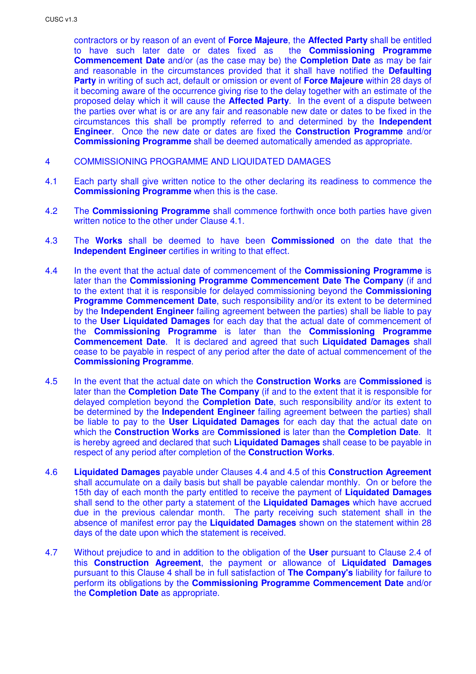contractors or by reason of an event of **Force Majeure**, the **Affected Party** shall be entitled to have such later date or dates fixed as the **Commissioning Programme Commencement Date** and/or (as the case may be) the **Completion Date** as may be fair and reasonable in the circumstances provided that it shall have notified the **Defaulting Party** in writing of such act, default or omission or event of **Force Majeure** within 28 days of it becoming aware of the occurrence giving rise to the delay together with an estimate of the proposed delay which it will cause the **Affected Party**. In the event of a dispute between the parties over what is or are any fair and reasonable new date or dates to be fixed in the circumstances this shall be promptly referred to and determined by the **Independent Engineer**. Once the new date or dates are fixed the **Construction Programme** and/or **Commissioning Programme** shall be deemed automatically amended as appropriate.

- 4 COMMISSIONING PROGRAMME AND LIQUIDATED DAMAGES
- 4.1 Each party shall give written notice to the other declaring its readiness to commence the **Commissioning Programme** when this is the case.
- 4.2 The **Commissioning Programme** shall commence forthwith once both parties have given written notice to the other under Clause 4.1.
- 4.3 The **Works** shall be deemed to have been **Commissioned** on the date that the **Independent Engineer** certifies in writing to that effect.
- 4.4 In the event that the actual date of commencement of the **Commissioning Programme** is later than the **Commissioning Programme Commencement Date The Company** (if and to the extent that it is responsible for delayed commissioning beyond the **Commissioning Programme Commencement Date**, such responsibility and/or its extent to be determined by the **Independent Engineer** failing agreement between the parties) shall be liable to pay to the **User Liquidated Damages** for each day that the actual date of commencement of the **Commissioning Programme** is later than the **Commissioning Programme Commencement Date**. It is declared and agreed that such **Liquidated Damages** shall cease to be payable in respect of any period after the date of actual commencement of the **Commissioning Programme**.
- 4.5 In the event that the actual date on which the **Construction Works** are **Commissioned** is later than the **Completion Date The Company** (if and to the extent that it is responsible for delayed completion beyond the **Completion Date**, such responsibility and/or its extent to be determined by the **Independent Engineer** failing agreement between the parties) shall be liable to pay to the **User Liquidated Damages** for each day that the actual date on which the **Construction Works** are **Commissioned** is later than the **Completion Date**. It is hereby agreed and declared that such **Liquidated Damages** shall cease to be payable in respect of any period after completion of the **Construction Works**.
- 4.6 **Liquidated Damages** payable under Clauses 4.4 and 4.5 of this **Construction Agreement** shall accumulate on a daily basis but shall be payable calendar monthly. On or before the 15th day of each month the party entitled to receive the payment of **Liquidated Damages** shall send to the other party a statement of the **Liquidated Damages** which have accrued due in the previous calendar month. The party receiving such statement shall in the absence of manifest error pay the **Liquidated Damages** shown on the statement within 28 days of the date upon which the statement is received.
- 4.7 Without prejudice to and in addition to the obligation of the **User** pursuant to Clause 2.4 of this **Construction Agreement**, the payment or allowance of **Liquidated Damages** pursuant to this Clause 4 shall be in full satisfaction of **The Company's** liability for failure to perform its obligations by the **Commissioning Programme Commencement Date** and/or the **Completion Date** as appropriate.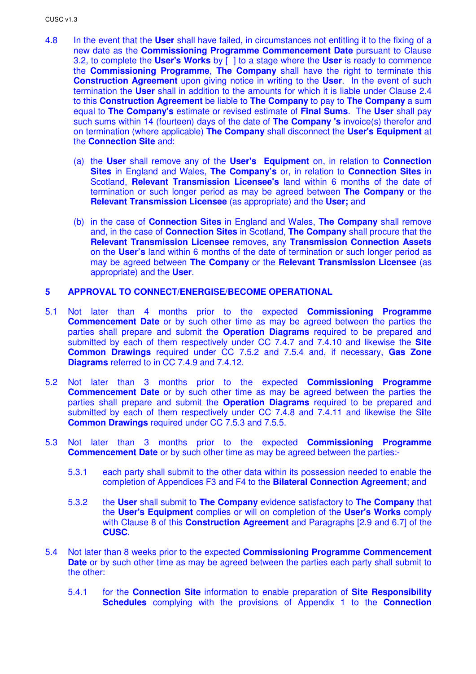- 4.8 In the event that the **User** shall have failed, in circumstances not entitling it to the fixing of a new date as the **Commissioning Programme Commencement Date** pursuant to Clause 3.2, to complete the **User's Works** by [ ] to a stage where the **User** is ready to commence the **Commissioning Programme**, **The Company** shall have the right to terminate this **Construction Agreement** upon giving notice in writing to the **User**. In the event of such termination the **User** shall in addition to the amounts for which it is liable under Clause 2.4 to this **Construction Agreement** be liable to **The Company** to pay to **The Company** a sum equal to **The Company's** estimate or revised estimate of **Final Sums**. The **User** shall pay such sums within 14 (fourteen) days of the date of **The Company 's** invoice(s) therefor and on termination (where applicable) **The Company** shall disconnect the **User's Equipment** at the **Connection Site** and:
	- (a) the **User** shall remove any of the **User's Equipment** on, in relation to **Connection Sites** in England and Wales, **The Company's** or, in relation to **Connection Sites** in Scotland, **Relevant Transmission Licensee's** land within 6 months of the date of termination or such longer period as may be agreed between **The Company** or the **Relevant Transmission Licensee** (as appropriate) and the **User;** and
	- (b) in the case of **Connection Sites** in England and Wales, **The Company** shall remove and, in the case of **Connection Sites** in Scotland, **The Company** shall procure that the **Relevant Transmission Licensee** removes, any **Transmission Connection Assets** on the **User's** land within 6 months of the date of termination or such longer period as may be agreed between **The Company** or the **Relevant Transmission Licensee** (as appropriate) and the **User**.

## **5 APPROVAL TO CONNECT/ENERGISE/BECOME OPERATIONAL**

- 5.1 Not later than 4 months prior to the expected **Commissioning Programme Commencement Date** or by such other time as may be agreed between the parties the parties shall prepare and submit the **Operation Diagrams** required to be prepared and submitted by each of them respectively under CC 7.4.7 and 7.4.10 and likewise the **Site Common Drawings** required under CC 7.5.2 and 7.5.4 and, if necessary, **Gas Zone Diagrams** referred to in CC 7.4.9 and 7.4.12.
- 5.2 Not later than 3 months prior to the expected **Commissioning Programme Commencement Date** or by such other time as may be agreed between the parties the parties shall prepare and submit the **Operation Diagrams** required to be prepared and submitted by each of them respectively under CC 7.4.8 and 7.4.11 and likewise the S**i**te **Common Drawings** required under CC 7.5.3 and 7.5.5.
- 5.3 Not later than 3 months prior to the expected **Commissioning Programme Commencement Date** or by such other time as may be agreed between the parties:-
	- 5.3.1 each party shall submit to the other data within its possession needed to enable the completion of Appendices F3 and F4 to the **Bilateral Connection Agreement**; and
	- 5.3.2 the **User** shall submit to **The Company** evidence satisfactory to **The Company** that the **User's Equipment** complies or will on completion of the **User's Works** comply with Clause 8 of this **Construction Agreement** and Paragraphs [2.9 and 6.7] of the **CUSC**.
- 5.4 Not later than 8 weeks prior to the expected **Commissioning Programme Commencement Date** or by such other time as may be agreed between the parties each party shall submit to the other:
	- 5.4.1 for the **Connection Site** information to enable preparation of **Site Responsibility Schedules** complying with the provisions of Appendix 1 to the **Connection**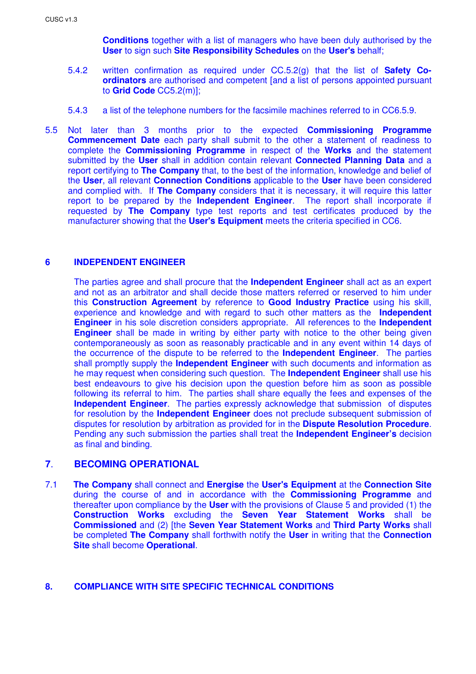**Conditions** together with a list of managers who have been duly authorised by the **User** to sign such **Site Responsibility Schedules** on the **User's** behalf;

- 5.4.2 written confirmation as required under CC.5.2(g) that the list of **Safety Coordinators** are authorised and competent [and a list of persons appointed pursuant to **Grid Code** CC5.2(m)];
- 5.4.3 a list of the telephone numbers for the facsimile machines referred to in CC6.5.9.
- 5.5 Not later than 3 months prior to the expected **Commissioning Programme Commencement Date** each party shall submit to the other a statement of readiness to complete the **Commissioning Programme** in respect of the **Works** and the statement submitted by the **User** shall in addition contain relevant **Connected Planning Data** and a report certifying to **The Company** that, to the best of the information, knowledge and belief of the **User**, all relevant **Connection Conditions** applicable to the **User** have been considered and complied with. If **The Company** considers that it is necessary, it will require this latter report to be prepared by the **Independent Engineer**. The report shall incorporate if requested by **The Company** type test reports and test certificates produced by the manufacturer showing that the **User's Equipment** meets the criteria specified in CC6.

## **6 INDEPENDENT ENGINEER**

The parties agree and shall procure that the **Independent Engineer** shall act as an expert and not as an arbitrator and shall decide those matters referred or reserved to him under this **Construction Agreement** by reference to **Good Industry Practice** using his skill, experience and knowledge and with regard to such other matters as the **Independent Engineer** in his sole discretion considers appropriate. All references to the **Independent Engineer** shall be made in writing by either party with notice to the other being given contemporaneously as soon as reasonably practicable and in any event within 14 days of the occurrence of the dispute to be referred to the **Independent Engineer**. The parties shall promptly supply the **Independent Engineer** with such documents and information as he may request when considering such question. The **Independent Engineer** shall use his best endeavours to give his decision upon the question before him as soon as possible following its referral to him. The parties shall share equally the fees and expenses of the **Independent Engineer**. The parties expressly acknowledge that submission of disputes for resolution by the **Independent Engineer** does not preclude subsequent submission of disputes for resolution by arbitration as provided for in the **Dispute Resolution Procedure**. Pending any such submission the parties shall treat the **Independent Engineer's** decision as final and binding.

## **7**. **BECOMING OPERATIONAL**

7.1 **The Company** shall connect and **Energise** the **User's Equipment** at the **Connection Site** during the course of and in accordance with the **Commissioning Programme** and thereafter upon compliance by the **User** with the provisions of Clause 5 and provided (1) the **Construction Works** excluding the **Seven Year Statement Works** shall be **Commissioned** and (2) [the **Seven Year Statement Works** and **Third Party Works** shall be completed **The Company** shall forthwith notify the **User** in writing that the **Connection Site** shall become **Operational**.

#### **8. COMPLIANCE WITH SITE SPECIFIC TECHNICAL CONDITIONS**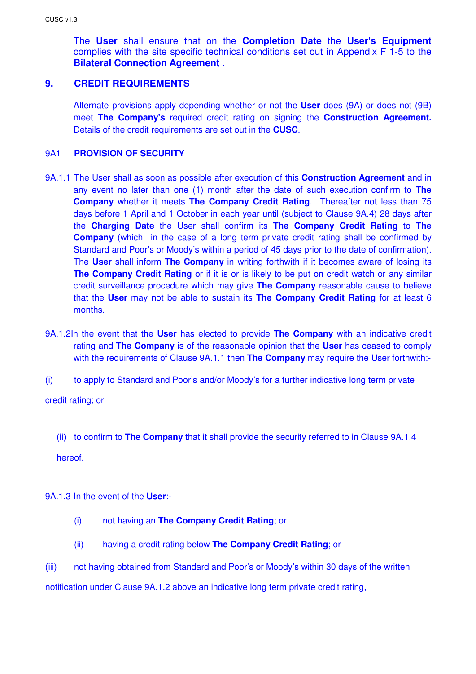The **User** shall ensure that on the **Completion Date** the **User's Equipment** complies with the site specific technical conditions set out in Appendix F 1-5 to the **Bilateral Connection Agreement** .

## **9. CREDIT REQUIREMENTS**

Alternate provisions apply depending whether or not the **User** does (9A) or does not (9B) meet **The Company's** required credit rating on signing the **Construction Agreement.**  Details of the credit requirements are set out in the **CUSC**.

## 9A1 **PROVISION OF SECURITY**

- 9A.1.1 The User shall as soon as possible after execution of this **Construction Agreement** and in any event no later than one (1) month after the date of such execution confirm to **The Company** whether it meets **The Company Credit Rating**. Thereafter not less than 75 days before 1 April and 1 October in each year until (subject to Clause 9A.4) 28 days after the **Charging Date** the User shall confirm its **The Company Credit Rating** to **The Company** (which in the case of a long term private credit rating shall be confirmed by Standard and Poor's or Moody's within a period of 45 days prior to the date of confirmation). The **User** shall inform **The Company** in writing forthwith if it becomes aware of losing its **The Company Credit Rating** or if it is or is likely to be put on credit watch or any similar credit surveillance procedure which may give **The Company** reasonable cause to believe that the **User** may not be able to sustain its **The Company Credit Rating** for at least 6 months.
- 9A.1.2In the event that the **User** has elected to provide **The Company** with an indicative credit rating and **The Company** is of the reasonable opinion that the **User** has ceased to comply with the requirements of Clause 9A.1.1 then **The Company** may require the User forthwith:-
- (i) to apply to Standard and Poor's and/or Moody's for a further indicative long term private

credit rating; or

(ii) to confirm to **The Company** that it shall provide the security referred to in Clause 9A.1.4

hereof.

9A.1.3 In the event of the **User**:-

- (i) not having an **The Company Credit Rating**; or
- (ii) having a credit rating below **The Company Credit Rating**; or
- (iii) not having obtained from Standard and Poor's or Moody's within 30 days of the written

notification under Clause 9A.1.2 above an indicative long term private credit rating,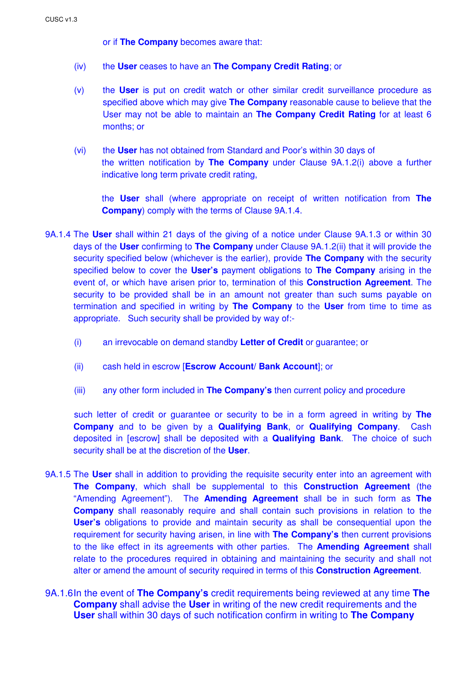or if **The Company** becomes aware that:

- (iv) the **User** ceases to have an **The Company Credit Rating**; or
- (v) the **User** is put on credit watch or other similar credit surveillance procedure as specified above which may give **The Company** reasonable cause to believe that the User may not be able to maintain an **The Company Credit Rating** for at least 6 months; or
- (vi) the **User** has not obtained from Standard and Poor's within 30 days of the written notification by **The Company** under Clause 9A.1.2(i) above a further indicative long term private credit rating,

 the **User** shall (where appropriate on receipt of written notification from **The Company**) comply with the terms of Clause 9A.1.4.

- 9A.1.4 The **User** shall within 21 days of the giving of a notice under Clause 9A.1.3 or within 30 days of the **User** confirming to **The Company** under Clause 9A.1.2(ii) that it will provide the security specified below (whichever is the earlier), provide **The Company** with the security specified below to cover the **User's** payment obligations to **The Company** arising in the event of, or which have arisen prior to, termination of this **Construction Agreement**. The security to be provided shall be in an amount not greater than such sums payable on termination and specified in writing by **The Company** to the **User** from time to time as appropriate. Such security shall be provided by way of:-
	- (i) an irrevocable on demand standby **Letter of Credit** or guarantee; or
	- (ii) cash held in escrow [**Escrow Account/ Bank Account**]; or
	- (iii) any other form included in **The Company's** then current policy and procedure

such letter of credit or guarantee or security to be in a form agreed in writing by **The Company** and to be given by a **Qualifying Bank**, or **Qualifying Company**. Cash deposited in [escrow] shall be deposited with a **Qualifying Bank**. The choice of such security shall be at the discretion of the **User**.

- 9A.1.5 The **User** shall in addition to providing the requisite security enter into an agreement with **The Company**, which shall be supplemental to this **Construction Agreement** (the "Amending Agreement"). The **Amending Agreement** shall be in such form as **The Company** shall reasonably require and shall contain such provisions in relation to the **User's** obligations to provide and maintain security as shall be consequential upon the requirement for security having arisen, in line with **The Company's** then current provisions to the like effect in its agreements with other parties. The **Amending Agreement** shall relate to the procedures required in obtaining and maintaining the security and shall not alter or amend the amount of security required in terms of this **Construction Agreement**.
- 9A.1.6 In the event of **The Company's** credit requirements being reviewed at any time **The Company** shall advise the **User** in writing of the new credit requirements and the **User** shall within 30 days of such notification confirm in writing to **The Company**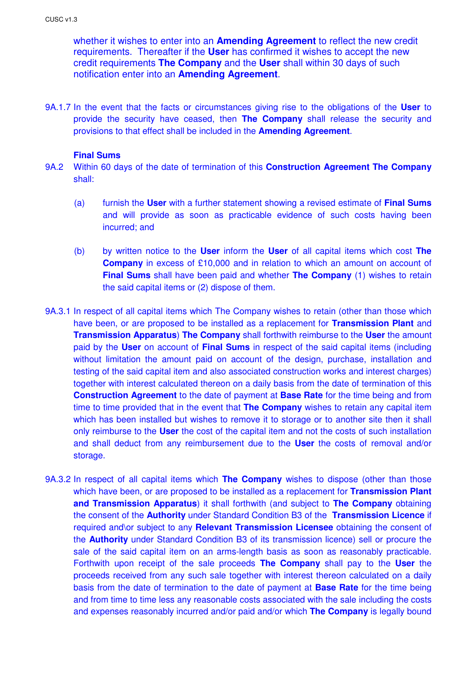whether it wishes to enter into an **Amending Agreement** to reflect the new credit requirements. Thereafter if the **User** has confirmed it wishes to accept the new credit requirements **The Company** and the **User** shall within 30 days of such notification enter into an **Amending Agreement**.

9A.1.7 In the event that the facts or circumstances giving rise to the obligations of the **User** to provide the security have ceased, then **The Company** shall release the security and provisions to that effect shall be included in the **Amending Agreement**.

#### **Final Sums**

- 9A.2 Within 60 days of the date of termination of this **Construction Agreement The Company** shall:
	- (a) furnish the **User** with a further statement showing a revised estimate of **Final Sums** and will provide as soon as practicable evidence of such costs having been incurred; and
	- (b) by written notice to the **User** inform the **User** of all capital items which cost **The Company** in excess of £10,000 and in relation to which an amount on account of **Final Sums** shall have been paid and whether **The Company** (1) wishes to retain the said capital items or (2) dispose of them.
- 9A.3.1 In respect of all capital items which The Company wishes to retain (other than those which have been, or are proposed to be installed as a replacement for **Transmission Plant** and **Transmission Apparatus**) **The Company** shall forthwith reimburse to the **User** the amount paid by the **User** on account of **Final Sums** in respect of the said capital items (including without limitation the amount paid on account of the design, purchase, installation and testing of the said capital item and also associated construction works and interest charges) together with interest calculated thereon on a daily basis from the date of termination of this **Construction Agreement** to the date of payment at **Base Rate** for the time being and from time to time provided that in the event that **The Company** wishes to retain any capital item which has been installed but wishes to remove it to storage or to another site then it shall only reimburse to the **User** the cost of the capital item and not the costs of such installation and shall deduct from any reimbursement due to the **User** the costs of removal and/or storage.
- 9A.3.2 In respect of all capital items which **The Company** wishes to dispose (other than those which have been, or are proposed to be installed as a replacement for **Transmission Plant and Transmission Apparatus**) it shall forthwith (and subject to **The Company** obtaining the consent of the **Authority** under Standard Condition B3 of the **Transmission Licence** if required and\or subject to any **Relevant Transmission Licensee** obtaining the consent of the **Authority** under Standard Condition B3 of its transmission licence) sell or procure the sale of the said capital item on an arms-length basis as soon as reasonably practicable. Forthwith upon receipt of the sale proceeds **The Company** shall pay to the **User** the proceeds received from any such sale together with interest thereon calculated on a daily basis from the date of termination to the date of payment at **Base Rate** for the time being and from time to time less any reasonable costs associated with the sale including the costs and expenses reasonably incurred and/or paid and/or which **The Company** is legally bound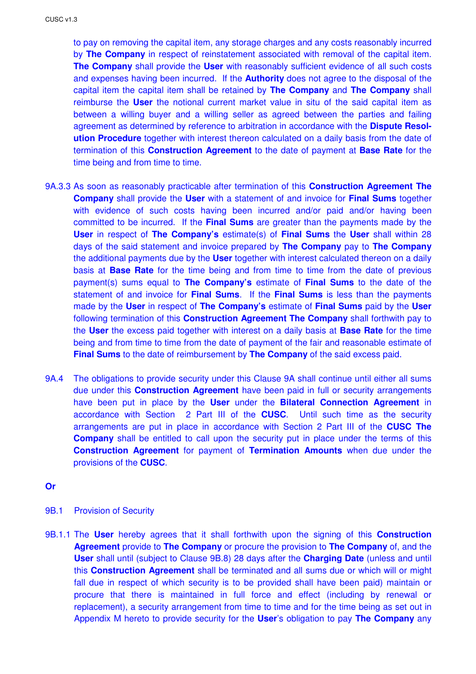to pay on removing the capital item, any storage charges and any costs reasonably incurred by **The Company** in respect of reinstatement associated with removal of the capital item. **The Company** shall provide the **User** with reasonably sufficient evidence of all such costs and expenses having been incurred. If the **Authority** does not agree to the disposal of the capital item the capital item shall be retained by **The Company** and **The Company** shall reimburse the **User** the notional current market value in situ of the said capital item as between a willing buyer and a willing seller as agreed between the parties and failing agreement as determined by reference to arbitration in accordance with the **Dispute Resolution Procedure** together with interest thereon calculated on a daily basis from the date of termination of this **Construction Agreement** to the date of payment at **Base Rate** for the time being and from time to time.

- 9A.3.3 As soon as reasonably practicable after termination of this **Construction Agreement The Company** shall provide the **User** with a statement of and invoice for **Final Sums** together with evidence of such costs having been incurred and/or paid and/or having been committed to be incurred. If the **Final Sums** are greater than the payments made by the **User** in respect of **The Company's** estimate(s) of **Final Sums** the **User** shall within 28 days of the said statement and invoice prepared by **The Company** pay to **The Company**  the additional payments due by the **User** together with interest calculated thereon on a daily basis at **Base Rate** for the time being and from time to time from the date of previous payment(s) sums equal to **The Company's** estimate of **Final Sums** to the date of the statement of and invoice for **Final Sums**. If the **Final Sums** is less than the payments made by the **User** in respect of **The Company's** estimate of **Final Sums** paid by the **User** following termination of this **Construction Agreement The Company** shall forthwith pay to the **User** the excess paid together with interest on a daily basis at **Base Rate** for the time being and from time to time from the date of payment of the fair and reasonable estimate of **Final Sums** to the date of reimbursement by **The Company** of the said excess paid.
- 9A.4 The obligations to provide security under this Clause 9A shall continue until either all sums due under this **Construction Agreement** have been paid in full or security arrangements have been put in place by the **User** under the **Bilateral Connection Agreement** in accordance with Section 2 Part III of the **CUSC**. Until such time as the security arrangements are put in place in accordance with Section 2 Part III of the **CUSC The Company** shall be entitled to call upon the security put in place under the terms of this **Construction Agreement** for payment of **Termination Amounts** when due under the provisions of the **CUSC**.

#### **Or**

- 9B.1 Provision of Security
- 9B.1.1 The **User** hereby agrees that it shall forthwith upon the signing of this **Construction Agreement** provide to **The Company** or procure the provision to **The Company** of, and the **User** shall until (subject to Clause 9B.8) 28 days after the **Charging Date** (unless and until this **Construction Agreement** shall be terminated and all sums due or which will or might fall due in respect of which security is to be provided shall have been paid) maintain or procure that there is maintained in full force and effect (including by renewal or replacement), a security arrangement from time to time and for the time being as set out in Appendix M hereto to provide security for the **User**'s obligation to pay **The Company** any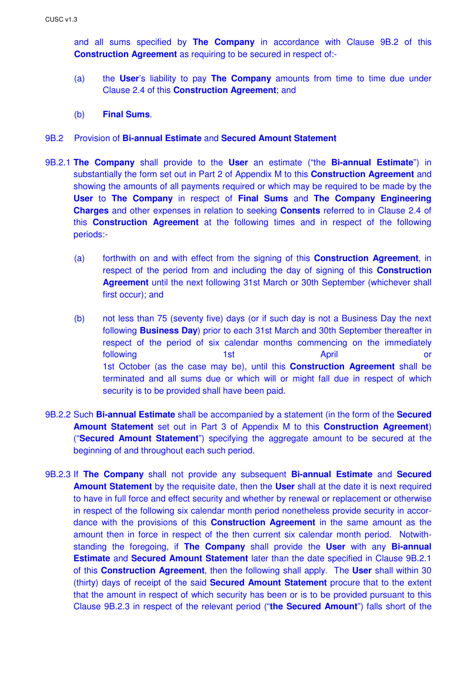and all sums specified by **The Company** in accordance with Clause 9B.2 of this **Construction Agreement** as requiring to be secured in respect of:-

- (a) the **User**'s liability to pay **The Company** amounts from time to time due under Clause 2.4 of this **Construction Agreement**; and
- (b) **Final Sums**.

## 9B.2 Provision of **Bi-annual Estimate** and **Secured Amount Statement**

- 9B.2.1 **The Company** shall provide to the **User** an estimate ("the **Bi-annual Estimate**") in substantially the form set out in Part 2 of Appendix M to this **Construction Agreement** and showing the amounts of all payments required or which may be required to be made by the **User** to **The Company** in respect of **Final Sums** and **The Company Engineering Charges** and other expenses in relation to seeking **Consents** referred to in Clause 2.4 of this **Construction Agreement** at the following times and in respect of the following periods:-
	- (a) forthwith on and with effect from the signing of this **Construction Agreement**, in respect of the period from and including the day of signing of this **Construction Agreement** until the next following 31st March or 30th September (whichever shall first occur); and
	- (b) not less than 75 (seventy five) days (or if such day is not a Business Day the next following **Business Day**) prior to each 31st March and 30th September thereafter in respect of the period of six calendar months commencing on the immediately following a contract that the state of the April and April and Oriental Corp. April and Oriental April and Ori 1st October (as the case may be), until this **Construction Agreement** shall be terminated and all sums due or which will or might fall due in respect of which security is to be provided shall have been paid.
- 9B.2.2 Such **Bi-annual Estimate** shall be accompanied by a statement (in the form of the **Secured Amount Statement** set out in Part 3 of Appendix M to this **Construction Agreement**) ("**Secured Amount Statement**") specifying the aggregate amount to be secured at the beginning of and throughout each such period.
- 9B.2.3 If **The Company** shall not provide any subsequent **Bi-annual Estimate** and **Secured Amount Statement** by the requisite date, then the **User** shall at the date it is next required to have in full force and effect security and whether by renewal or replacement or otherwise in respect of the following six calendar month period nonetheless provide security in accordance with the provisions of this **Construction Agreement** in the same amount as the amount then in force in respect of the then current six calendar month period. Notwithstanding the foregoing, if **The Company** shall provide the **User** with any **Bi-annual Estimate** and **Secured Amount Statement** later than the date specified in Clause 9B.2.1 of this **Construction Agreement**, then the following shall apply. The **User** shall within 30 (thirty) days of receipt of the said **Secured Amount Statement** procure that to the extent that the amount in respect of which security has been or is to be provided pursuant to this Clause 9B.2.3 in respect of the relevant period ("**the Secured Amount**") falls short of the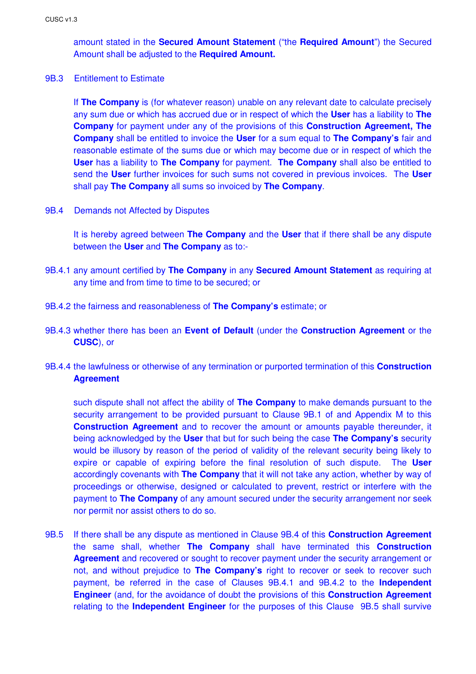amount stated in the **Secured Amount Statement** ("the **Required Amount**") the Secured Amount shall be adjusted to the **Required Amount.** 

#### 9B.3 Entitlement to Estimate

If **The Company** is (for whatever reason) unable on any relevant date to calculate precisely any sum due or which has accrued due or in respect of which the **User** has a liability to **The Company** for payment under any of the provisions of this **Construction Agreement, The Company** shall be entitled to invoice the **User** for a sum equal to **The Company's** fair and reasonable estimate of the sums due or which may become due or in respect of which the **User** has a liability to **The Company** for payment. **The Company** shall also be entitled to send the **User** further invoices for such sums not covered in previous invoices. The **User** shall pay **The Company** all sums so invoiced by **The Company**.

9B.4 Demands not Affected by Disputes

It is hereby agreed between **The Company** and the **User** that if there shall be any dispute between the **User** and **The Company** as to:-

- 9B.4.1 any amount certified by **The Company** in any **Secured Amount Statement** as requiring at any time and from time to time to be secured; or
- 9B.4.2 the fairness and reasonableness of **The Company's** estimate; or
- 9B.4.3 whether there has been an **Event of Default** (under the **Construction Agreement** or the **CUSC**), or
- 9B.4.4 the lawfulness or otherwise of any termination or purported termination of this **Construction Agreement**

 such dispute shall not affect the ability of **The Company** to make demands pursuant to the security arrangement to be provided pursuant to Clause 9B.1 of and Appendix M to this **Construction Agreement** and to recover the amount or amounts payable thereunder, it being acknowledged by the **User** that but for such being the case **The Company's** security would be illusory by reason of the period of validity of the relevant security being likely to expire or capable of expiring before the final resolution of such dispute. The **User** accordingly covenants with **The Company** that it will not take any action, whether by way of proceedings or otherwise, designed or calculated to prevent, restrict or interfere with the payment to **The Company** of any amount secured under the security arrangement nor seek nor permit nor assist others to do so.

9B.5 If there shall be any dispute as mentioned in Clause 9B.4 of this **Construction Agreement** the same shall, whether **The Company** shall have terminated this **Construction Agreement** and recovered or sought to recover payment under the security arrangement or not, and without prejudice to **The Company's** right to recover or seek to recover such payment, be referred in the case of Clauses 9B.4.1 and 9B.4.2 to the **Independent Engineer** (and, for the avoidance of doubt the provisions of this **Construction Agreement**  relating to the **Independent Engineer** for the purposes of this Clause 9B.5 shall survive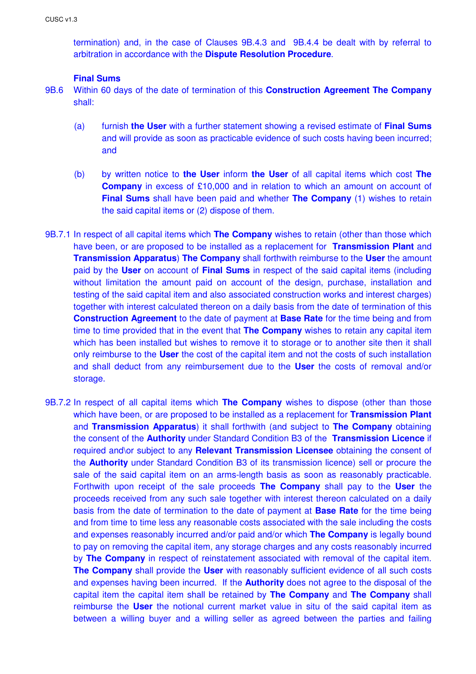termination) and, in the case of Clauses 9B.4.3 and 9B.4.4 be dealt with by referral to arbitration in accordance with the **Dispute Resolution Procedure**.

## **Final Sums**

- 9B.6 Within 60 days of the date of termination of this **Construction Agreement The Company** shall:
	- (a) furnish **the User** with a further statement showing a revised estimate of **Final Sums** and will provide as soon as practicable evidence of such costs having been incurred; and
	- (b) by written notice to **the User** inform **the User** of all capital items which cost **The Company** in excess of £10,000 and in relation to which an amount on account of **Final Sums** shall have been paid and whether **The Company** (1) wishes to retain the said capital items or (2) dispose of them.
- 9B.7.1 In respect of all capital items which **The Company** wishes to retain (other than those which have been, or are proposed to be installed as a replacement for **Transmission Plant** and **Transmission Apparatus**) **The Company** shall forthwith reimburse to the **User** the amount paid by the **User** on account of **Final Sums** in respect of the said capital items (including without limitation the amount paid on account of the design, purchase, installation and testing of the said capital item and also associated construction works and interest charges) together with interest calculated thereon on a daily basis from the date of termination of this **Construction Agreement** to the date of payment at **Base Rate** for the time being and from time to time provided that in the event that **The Company** wishes to retain any capital item which has been installed but wishes to remove it to storage or to another site then it shall only reimburse to the **User** the cost of the capital item and not the costs of such installation and shall deduct from any reimbursement due to the **User** the costs of removal and/or storage.
- 9B.7.2 In respect of all capital items which **The Company** wishes to dispose (other than those which have been, or are proposed to be installed as a replacement for **Transmission Plant**  and **Transmission Apparatus**) it shall forthwith (and subject to **The Company** obtaining the consent of the **Authority** under Standard Condition B3 of the **Transmission Licence** if required and\or subject to any **Relevant Transmission Licensee** obtaining the consent of the **Authority** under Standard Condition B3 of its transmission licence) sell or procure the sale of the said capital item on an arms-length basis as soon as reasonably practicable. Forthwith upon receipt of the sale proceeds **The Company** shall pay to the **User** the proceeds received from any such sale together with interest thereon calculated on a daily basis from the date of termination to the date of payment at **Base Rate** for the time being and from time to time less any reasonable costs associated with the sale including the costs and expenses reasonably incurred and/or paid and/or which **The Company** is legally bound to pay on removing the capital item, any storage charges and any costs reasonably incurred by **The Company** in respect of reinstatement associated with removal of the capital item. **The Company** shall provide the **User** with reasonably sufficient evidence of all such costs and expenses having been incurred. If the **Authority** does not agree to the disposal of the capital item the capital item shall be retained by **The Company** and **The Company** shall reimburse the **User** the notional current market value in situ of the said capital item as between a willing buyer and a willing seller as agreed between the parties and failing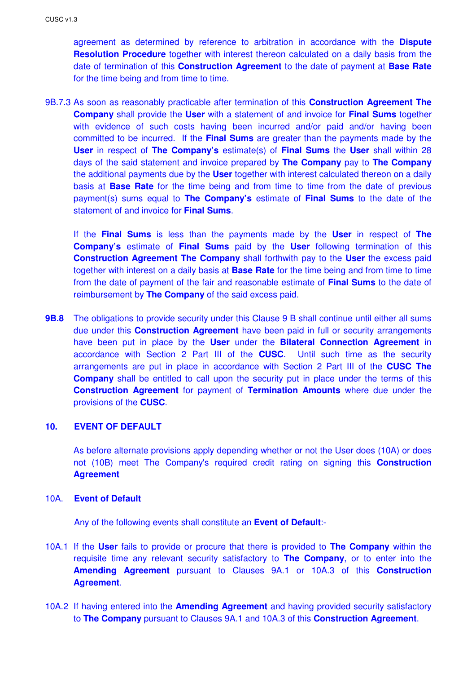agreement as determined by reference to arbitration in accordance with the **Dispute Resolution Procedure** together with interest thereon calculated on a daily basis from the date of termination of this **Construction Agreement** to the date of payment at **Base Rate** for the time being and from time to time.

9B.7.3 As soon as reasonably practicable after termination of this **Construction Agreement The Company** shall provide the **User** with a statement of and invoice for **Final Sums** together with evidence of such costs having been incurred and/or paid and/or having been committed to be incurred. If the **Final Sums** are greater than the payments made by the **User** in respect of **The Company's** estimate(s) of **Final Sums** the **User** shall within 28 days of the said statement and invoice prepared by **The Company** pay to **The Company** the additional payments due by the **User** together with interest calculated thereon on a daily basis at **Base Rate** for the time being and from time to time from the date of previous payment(s) sums equal to **The Company's** estimate of **Final Sums** to the date of the statement of and invoice for **Final Sums**.

If the **Final Sums** is less than the payments made by the **User** in respect of **The Company's** estimate of **Final Sums** paid by the **User** following termination of this **Construction Agreement The Company** shall forthwith pay to the **User** the excess paid together with interest on a daily basis at **Base Rate** for the time being and from time to time from the date of payment of the fair and reasonable estimate of **Final Sums** to the date of reimbursement by **The Company** of the said excess paid.

**9B.8** The obligations to provide security under this Clause 9 B shall continue until either all sums due under this **Construction Agreement** have been paid in full or security arrangements have been put in place by the **User** under the **Bilateral Connection Agreement** in accordance with Section 2 Part III of the **CUSC**. Until such time as the security arrangements are put in place in accordance with Section 2 Part III of the **CUSC The Company** shall be entitled to call upon the security put in place under the terms of this **Construction Agreement** for payment of **Termination Amounts** where due under the provisions of the **CUSC**.

## **10. EVENT OF DEFAULT**

As before alternate provisions apply depending whether or not the User does (10A) or does not (10B) meet The Company's required credit rating on signing this **Construction Agreement** 

## 10A. **Event of Default**

Any of the following events shall constitute an **Event of Default**:-

- 10A.1 If the **User** fails to provide or procure that there is provided to **The Company** within the requisite time any relevant security satisfactory to **The Company**, or to enter into the **Amending Agreement** pursuant to Clauses 9A.1 or 10A.3 of this **Construction Agreement**.
- 10A.2 If having entered into the **Amending Agreement** and having provided security satisfactory to **The Company** pursuant to Clauses 9A.1 and 10A.3 of this **Construction Agreement**.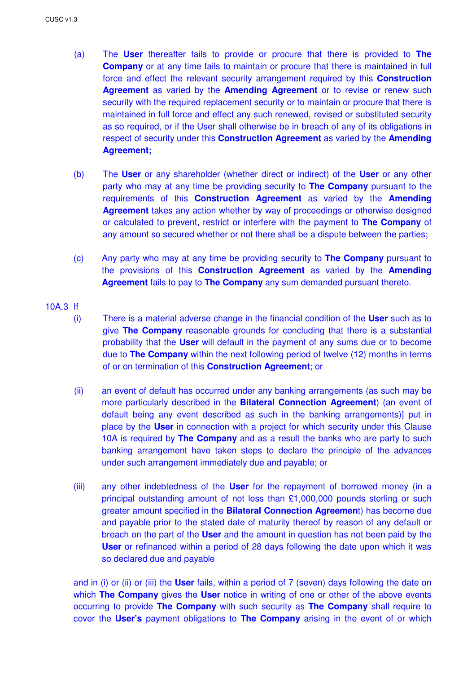- (a) The **User** thereafter fails to provide or procure that there is provided to **The Company** or at any time fails to maintain or procure that there is maintained in full force and effect the relevant security arrangement required by this **Construction Agreement** as varied by the **Amending Agreement** or to revise or renew such security with the required replacement security or to maintain or procure that there is maintained in full force and effect any such renewed, revised or substituted security as so required, or if the User shall otherwise be in breach of any of its obligations in respect of security under this **Construction Agreement** as varied by the **Amending Agreement;**
- (b) The **User** or any shareholder (whether direct or indirect) of the **User** or any other party who may at any time be providing security to **The Company** pursuant to the requirements of this **Construction Agreement** as varied by the **Amending Agreement** takes any action whether by way of proceedings or otherwise designed or calculated to prevent, restrict or interfere with the payment to **The Company** of any amount so secured whether or not there shall be a dispute between the parties;
- (c) Any party who may at any time be providing security to **The Company** pursuant to the provisions of this **Construction Agreement** as varied by the **Amending Agreement** fails to pay to **The Company** any sum demanded pursuant thereto.

#### 10A.3 If

- (i) There is a material adverse change in the financial condition of the **User** such as to give **The Company** reasonable grounds for concluding that there is a substantial probability that the **User** will default in the payment of any sums due or to become due to **The Company** within the next following period of twelve (12) months in terms of or on termination of this **Construction Agreement**; or
- (ii) an event of default has occurred under any banking arrangements (as such may be more particularly described in the **Bilateral Connection Agreement**) (an event of default being any event described as such in the banking arrangements)] put in place by the **User** in connection with a project for which security under this Clause 10A is required by **The Company** and as a result the banks who are party to such banking arrangement have taken steps to declare the principle of the advances under such arrangement immediately due and payable; or
- (iii) any other indebtedness of the **User** for the repayment of borrowed money (in a principal outstanding amount of not less than £1,000,000 pounds sterling or such greater amount specified in the **Bilateral Connection Agreemen**t) has become due and payable prior to the stated date of maturity thereof by reason of any default or breach on the part of the **User** and the amount in question has not been paid by the **User** or refinanced within a period of 28 days following the date upon which it was so declared due and payable

and in (i) or (ii) or (iii) the **User** fails, within a period of 7 (seven) days following the date on which **The Company** gives the **User** notice in writing of one or other of the above events occurring to provide **The Company** with such security as **The Company** shall require to cover the **User's** payment obligations to **The Company** arising in the event of or which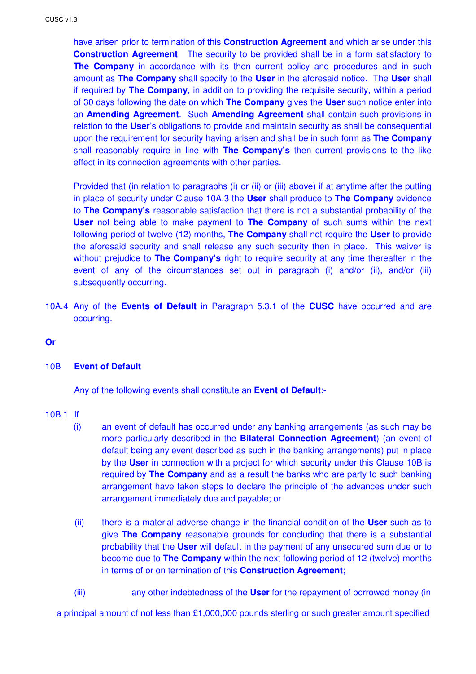have arisen prior to termination of this **Construction Agreement** and which arise under this **Construction Agreement**. The security to be provided shall be in a form satisfactory to **The Company** in accordance with its then current policy and procedures and in such amount as **The Company** shall specify to the **User** in the aforesaid notice. The **User** shall if required by **The Company,** in addition to providing the requisite security, within a period of 30 days following the date on which **The Company** gives the **User** such notice enter into an **Amending Agreement**. Such **Amending Agreement** shall contain such provisions in relation to the **User**'s obligations to provide and maintain security as shall be consequential upon the requirement for security having arisen and shall be in such form as **The Company** shall reasonably require in line with **The Company's** then current provisions to the like effect in its connection agreements with other parties.

Provided that (in relation to paragraphs (i) or (ii) or (iii) above) if at anytime after the putting in place of security under Clause 10A.3 the **User** shall produce to **The Company** evidence to **The Company's** reasonable satisfaction that there is not a substantial probability of the **User** not being able to make payment to **The Company** of such sums within the next following period of twelve (12) months, **The Company** shall not require the **User** to provide the aforesaid security and shall release any such security then in place. This waiver is without prejudice to **The Company's** right to require security at any time thereafter in the event of any of the circumstances set out in paragraph (i) and/or (ii), and/or (iii) subsequently occurring.

- 10A.4 Any of the **Events of Default** in Paragraph 5.3.1 of the **CUSC** have occurred and are occurring.
- **Or**

#### 10B **Event of Default**

Any of the following events shall constitute an **Event of Default**:-

#### 10B.1 If

- (i) an event of default has occurred under any banking arrangements (as such may be more particularly described in the **Bilateral Connection Agreement**) (an event of default being any event described as such in the banking arrangements) put in place by the **User** in connection with a project for which security under this Clause 10B is required by **The Company** and as a result the banks who are party to such banking arrangement have taken steps to declare the principle of the advances under such arrangement immediately due and payable; or
- (ii) there is a material adverse change in the financial condition of the **User** such as to give **The Company** reasonable grounds for concluding that there is a substantial probability that the **User** will default in the payment of any unsecured sum due or to become due to **The Company** within the next following period of 12 (twelve) months in terms of or on termination of this **Construction Agreement**;
- (iii) any other indebtedness of the **User** for the repayment of borrowed money (in

a principal amount of not less than £1,000,000 pounds sterling or such greater amount specified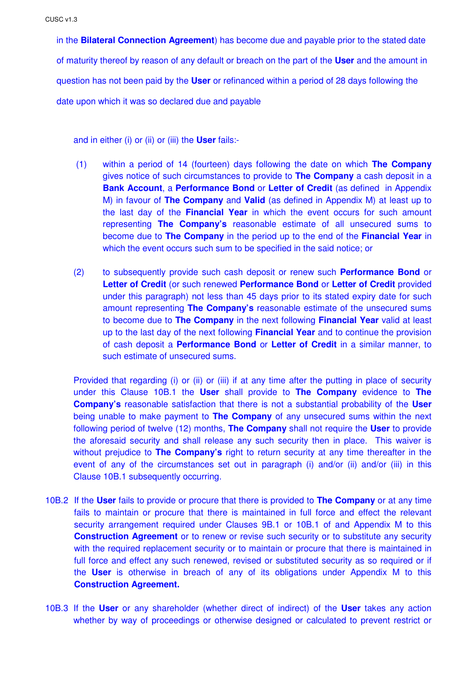in the **Bilateral Connection Agreement**) has become due and payable prior to the stated date of maturity thereof by reason of any default or breach on the part of the **User** and the amount in question has not been paid by the **User** or refinanced within a period of 28 days following the date upon which it was so declared due and payable

and in either (i) or (ii) or (iii) the **User** fails:-

- (1) within a period of 14 (fourteen) days following the date on which **The Company** gives notice of such circumstances to provide to **The Company** a cash deposit in a **Bank Account**, a **Performance Bond** or **Letter of Credit** (as defined in Appendix M) in favour of **The Company** and **Valid** (as defined in Appendix M) at least up to the last day of the **Financial Year** in which the event occurs for such amount representing **The Company's** reasonable estimate of all unsecured sums to become due to **The Company** in the period up to the end of the **Financial Year** in which the event occurs such sum to be specified in the said notice; or
- (2) to subsequently provide such cash deposit or renew such **Performance Bond** or **Letter of Credit** (or such renewed **Performance Bond** or **Letter of Credit** provided under this paragraph) not less than 45 days prior to its stated expiry date for such amount representing **The Company's** reasonable estimate of the unsecured sums to become due to **The Company** in the next following **Financial Year** valid at least up to the last day of the next following **Financial Year** and to continue the provision of cash deposit a **Performance Bond** or **Letter of Credit** in a similar manner, to such estimate of unsecured sums.

Provided that regarding (i) or (ii) or (iii) if at any time after the putting in place of security under this Clause 10B.1 the **User** shall provide to **The Company** evidence to **The Company's** reasonable satisfaction that there is not a substantial probability of the **User** being unable to make payment to **The Company** of any unsecured sums within the next following period of twelve (12) months, **The Company** shall not require the **User** to provide the aforesaid security and shall release any such security then in place. This waiver is without prejudice to **The Company's** right to return security at any time thereafter in the event of any of the circumstances set out in paragraph (i) and/or (ii) and/or (iii) in this Clause 10B.1 subsequently occurring.

- 10B.2 If the **User** fails to provide or procure that there is provided to **The Company** or at any time fails to maintain or procure that there is maintained in full force and effect the relevant security arrangement required under Clauses 9B.1 or 10B.1 of and Appendix M to this **Construction Agreement** or to renew or revise such security or to substitute any security with the required replacement security or to maintain or procure that there is maintained in full force and effect any such renewed, revised or substituted security as so required or if the **User** is otherwise in breach of any of its obligations under Appendix M to this **Construction Agreement.**
- 10B.3 If the **User** or any shareholder (whether direct of indirect) of the **User** takes any action whether by way of proceedings or otherwise designed or calculated to prevent restrict or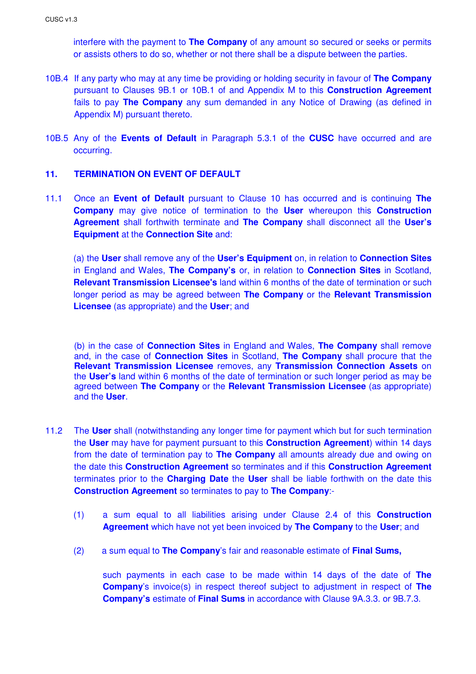interfere with the payment to **The Company** of any amount so secured or seeks or permits or assists others to do so, whether or not there shall be a dispute between the parties.

- 10B.4 If any party who may at any time be providing or holding security in favour of **The Company** pursuant to Clauses 9B.1 or 10B.1 of and Appendix M to this **Construction Agreement** fails to pay **The Company** any sum demanded in any Notice of Drawing (as defined in Appendix M) pursuant thereto.
- 10B.5 Any of the **Events of Default** in Paragraph 5.3.1 of the **CUSC** have occurred and are occurring.

### **11. TERMINATION ON EVENT OF DEFAULT**

11.1 Once an **Event of Default** pursuant to Clause 10 has occurred and is continuing **The Company** may give notice of termination to the **User** whereupon this **Construction Agreement** shall forthwith terminate and **The Company** shall disconnect all the **User's Equipment** at the **Connection Site** and:

 (a) the **User** shall remove any of the **User's Equipment** on, in relation to **Connection Sites** in England and Wales, **The Company's** or, in relation to **Connection Sites** in Scotland, **Relevant Transmission Licensee's** land within 6 months of the date of termination or such longer period as may be agreed between **The Company** or the **Relevant Transmission Licensee** (as appropriate) and the **User**; and

(b) in the case of **Connection Sites** in England and Wales, **The Company** shall remove and, in the case of **Connection Sites** in Scotland, **The Company** shall procure that the **Relevant Transmission Licensee** removes, any **Transmission Connection Assets** on the **User's** land within 6 months of the date of termination or such longer period as may be agreed between **The Company** or the **Relevant Transmission Licensee** (as appropriate) and the **User**.

- 11.2 The **User** shall (notwithstanding any longer time for payment which but for such termination the **User** may have for payment pursuant to this **Construction Agreement**) within 14 days from the date of termination pay to **The Company** all amounts already due and owing on the date this **Construction Agreement** so terminates and if this **Construction Agreement** terminates prior to the **Charging Date** the **User** shall be liable forthwith on the date this **Construction Agreement** so terminates to pay to **The Company**:-
	- (1) a sum equal to all liabilities arising under Clause 2.4 of this **Construction Agreement** which have not yet been invoiced by **The Company** to the **User**; and
	- (2) a sum equal to **The Company**'s fair and reasonable estimate of **Final Sums,**

such payments in each case to be made within 14 days of the date of **The Company**'s invoice(s) in respect thereof subject to adjustment in respect of **The Company's** estimate of **Final Sums** in accordance with Clause 9A.3.3. or 9B.7.3.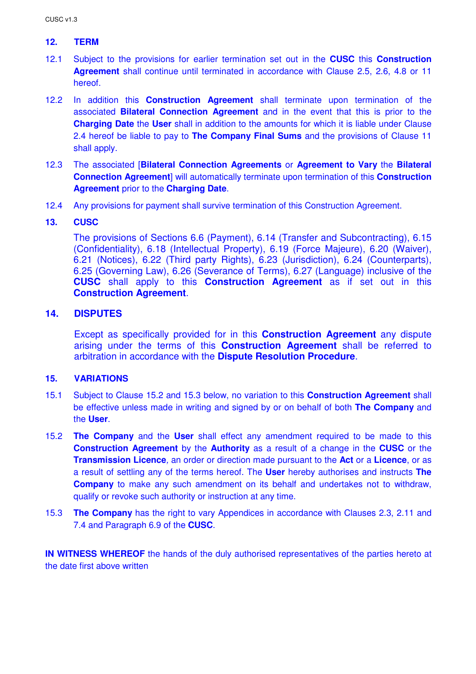## **12. TERM**

- 12.1 Subject to the provisions for earlier termination set out in the **CUSC** this **Construction Agreement** shall continue until terminated in accordance with Clause 2.5, 2.6, 4.8 or 11 hereof.
- 12.2 In addition this **Construction Agreement** shall terminate upon termination of the associated **Bilateral Connection Agreement** and in the event that this is prior to the **Charging Date** the **User** shall in addition to the amounts for which it is liable under Clause 2.4 hereof be liable to pay to **The Company Final Sums** and the provisions of Clause 11 shall apply.
- 12.3 The associated [**Bilateral Connection Agreements** or **Agreement to Vary** the **Bilateral Connection Agreement**] will automatically terminate upon termination of this **Construction Agreement** prior to the **Charging Date**.
- 12.4 Any provisions for payment shall survive termination of this Construction Agreement.

### **13. CUSC**

The provisions of Sections 6.6 (Payment), 6.14 (Transfer and Subcontracting), 6.15 (Confidentiality), 6.18 (Intellectual Property), 6.19 (Force Majeure), 6.20 (Waiver), 6.21 (Notices), 6.22 (Third party Rights), 6.23 (Jurisdiction), 6.24 (Counterparts), 6.25 (Governing Law), 6.26 (Severance of Terms), 6.27 (Language) inclusive of the **CUSC** shall apply to this **Construction Agreement** as if set out in this **Construction Agreement**.

## **14. DISPUTES**

Except as specifically provided for in this **Construction Agreement** any dispute arising under the terms of this **Construction Agreement** shall be referred to arbitration in accordance with the **Dispute Resolution Procedure**.

### **15. VARIATIONS**

- 15.1 Subject to Clause 15.2 and 15.3 below, no variation to this **Construction Agreement** shall be effective unless made in writing and signed by or on behalf of both **The Company** and the **User**.
- 15.2 **The Company** and the **User** shall effect any amendment required to be made to this **Construction Agreement** by the **Authority** as a result of a change in the **CUSC** or the **Transmission Licence**, an order or direction made pursuant to the **Act** or a **Licence**, or as a result of settling any of the terms hereof. The **User** hereby authorises and instructs **The Company** to make any such amendment on its behalf and undertakes not to withdraw, qualify or revoke such authority or instruction at any time.
- 15.3 **The Company** has the right to vary Appendices in accordance with Clauses 2.3, 2.11 and 7.4 and Paragraph 6.9 of the **CUSC**.

**IN WITNESS WHEREOF** the hands of the duly authorised representatives of the parties hereto at the date first above written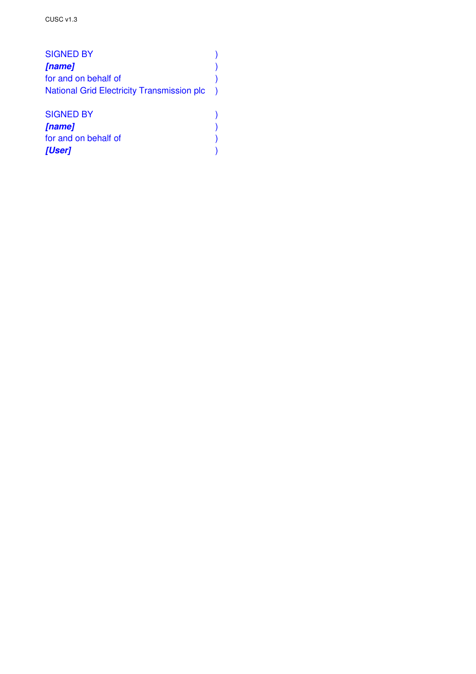| <b>SIGNED BY</b>                                  |  |
|---------------------------------------------------|--|
| [name]                                            |  |
| for and on behalf of                              |  |
| <b>National Grid Electricity Transmission plc</b> |  |
|                                                   |  |
| <b>SIGNED BY</b>                                  |  |
| [name]                                            |  |
| for and on behalf of                              |  |
| [User]                                            |  |
|                                                   |  |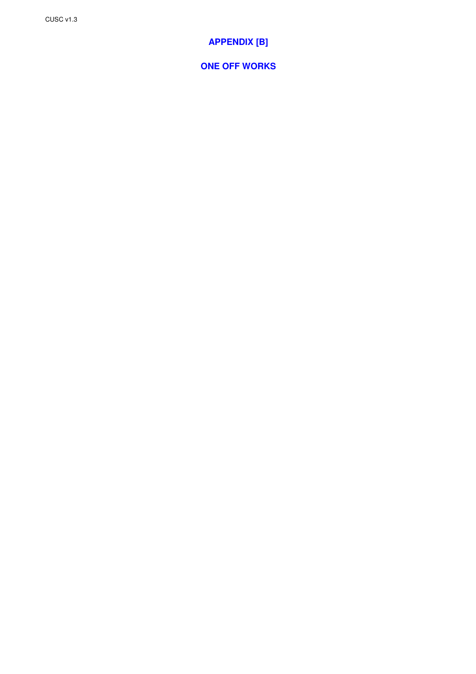# **APPENDIX [B]**

**ONE OFF WORKS**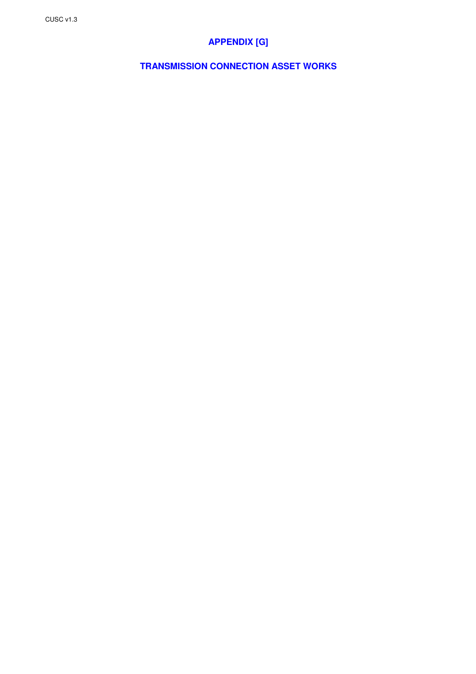# **APPENDIX [G]**

**TRANSMISSION CONNECTION ASSET WORKS**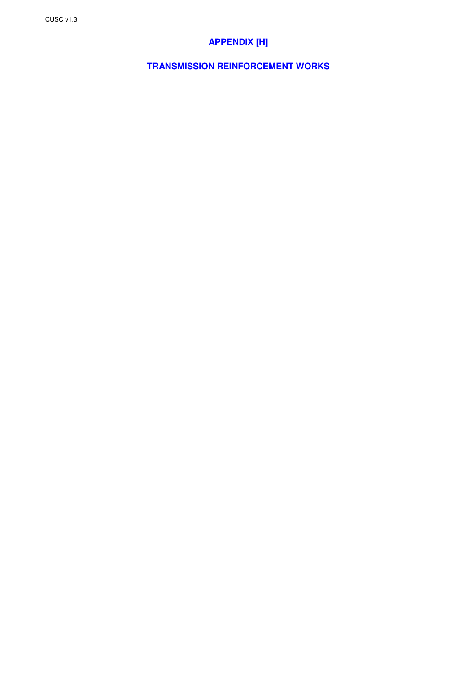# **APPENDIX [H]**

**TRANSMISSION REINFORCEMENT WORKS**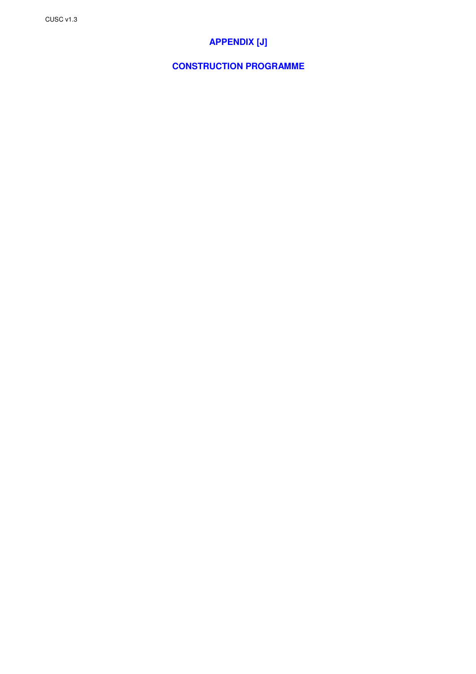# **APPENDIX [J]**

## **CONSTRUCTION PROGRAMME**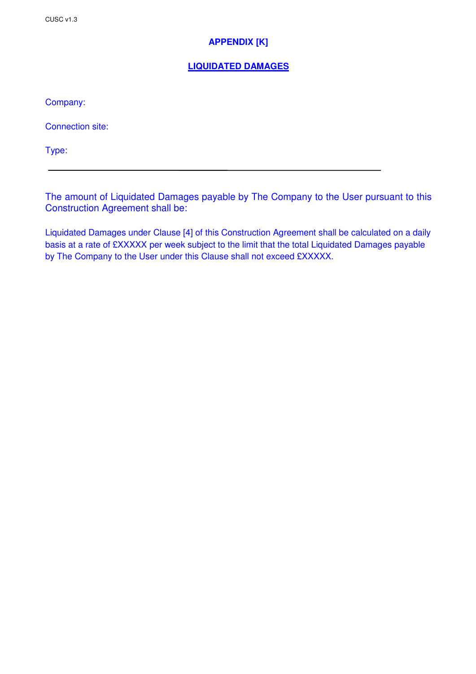## **APPENDIX [K]**

## **LIQUIDATED DAMAGES**

Company:

Connection site:

Type:

The amount of Liquidated Damages payable by The Company to the User pursuant to this Construction Agreement shall be:

Liquidated Damages under Clause [4] of this Construction Agreement shall be calculated on a daily basis at a rate of £XXXXX per week subject to the limit that the total Liquidated Damages payable by The Company to the User under this Clause shall not exceed £XXXXX.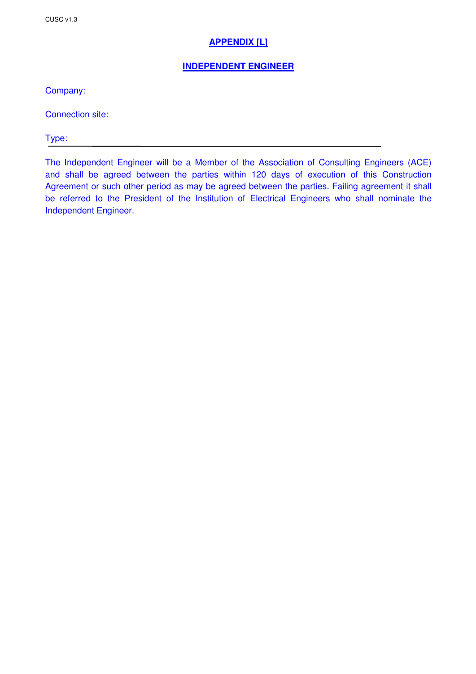## **APPENDIX [L]**

## **INDEPENDENT ENGINEER**

Company:

Connection site:

Type:

The Independent Engineer will be a Member of the Association of Consulting Engineers (ACE) and shall be agreed between the parties within 120 days of execution of this Construction Agreement or such other period as may be agreed between the parties. Failing agreement it shall be referred to the President of the Institution of Electrical Engineers who shall nominate the Independent Engineer.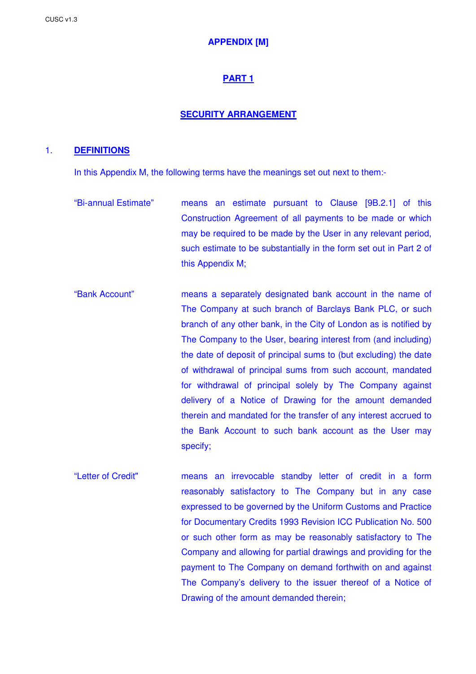## **APPENDIX [M]**

## **PART 1**

#### **SECURITY ARRANGEMENT**

#### 1. **DEFINITIONS**

In this Appendix M, the following terms have the meanings set out next to them:-

- "Bi-annual Estimate" means an estimate pursuant to Clause [9B.2.1] of this Construction Agreement of all payments to be made or which may be required to be made by the User in any relevant period, such estimate to be substantially in the form set out in Part 2 of this Appendix M;
- "Bank Account" means a separately designated bank account in the name of The Company at such branch of Barclays Bank PLC, or such branch of any other bank, in the City of London as is notified by The Company to the User, bearing interest from (and including) the date of deposit of principal sums to (but excluding) the date of withdrawal of principal sums from such account, mandated for withdrawal of principal solely by The Company against delivery of a Notice of Drawing for the amount demanded therein and mandated for the transfer of any interest accrued to the Bank Account to such bank account as the User may specify;
- "Letter of Credit" means an irrevocable standby letter of credit in a form reasonably satisfactory to The Company but in any case expressed to be governed by the Uniform Customs and Practice for Documentary Credits 1993 Revision ICC Publication No. 500 or such other form as may be reasonably satisfactory to The Company and allowing for partial drawings and providing for the payment to The Company on demand forthwith on and against The Company's delivery to the issuer thereof of a Notice of Drawing of the amount demanded therein;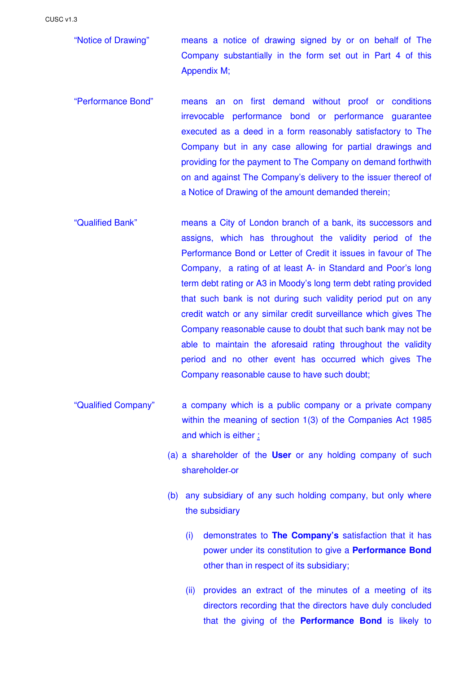CUSC v1.3

"Notice of Drawing" means a notice of drawing signed by or on behalf of The Company substantially in the form set out in Part 4 of this Appendix M;

- "Performance Bond" means an on first demand without proof or conditions irrevocable performance bond or performance guarantee executed as a deed in a form reasonably satisfactory to The Company but in any case allowing for partial drawings and providing for the payment to The Company on demand forthwith on and against The Company's delivery to the issuer thereof of a Notice of Drawing of the amount demanded therein;
- "Qualified Bank" means a City of London branch of a bank, its successors and assigns, which has throughout the validity period of the Performance Bond or Letter of Credit it issues in favour of The Company, a rating of at least A- in Standard and Poor's long term debt rating or A3 in Moody's long term debt rating provided that such bank is not during such validity period put on any credit watch or any similar credit surveillance which gives The Company reasonable cause to doubt that such bank may not be able to maintain the aforesaid rating throughout the validity period and no other event has occurred which gives The Company reasonable cause to have such doubt;
- "Qualified Company" a company which is a public company or a private company within the meaning of section 1(3) of the Companies Act 1985 and which is either :
	- (a) a shareholder of the **User** or any holding company of such shareholder-or
	- (b) any subsidiary of any such holding company, but only where the subsidiary
		- (i) demonstrates to **The Company's** satisfaction that it has power under its constitution to give a **Performance Bond** other than in respect of its subsidiary;
		- (ii) provides an extract of the minutes of a meeting of its directors recording that the directors have duly concluded that the giving of the **Performance Bond** is likely to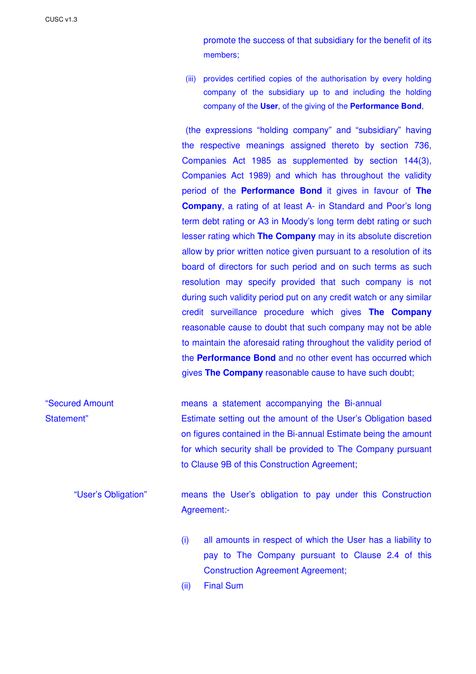promote the success of that subsidiary for the benefit of its members;

(iii) provides certified copies of the authorisation by every holding company of the subsidiary up to and including the holding company of the **User**, of the giving of the **Performance Bond**,

(the expressions "holding company" and "subsidiary" having the respective meanings assigned thereto by section 736, Companies Act 1985 as supplemented by section 144(3), Companies Act 1989) and which has throughout the validity period of the **Performance Bond** it gives in favour of **The Company**, a rating of at least A- in Standard and Poor's long term debt rating or A3 in Moody's long term debt rating or such lesser rating which **The Company** may in its absolute discretion allow by prior written notice given pursuant to a resolution of its board of directors for such period and on such terms as such resolution may specify provided that such company is not during such validity period put on any credit watch or any similar credit surveillance procedure which gives **The Company** reasonable cause to doubt that such company may not be able to maintain the aforesaid rating throughout the validity period of the **Performance Bond** and no other event has occurred which gives **The Company** reasonable cause to have such doubt;

"Secured Amount means a statement accompanying the Bi-annual Statement" Estimate setting out the amount of the User's Obligation based on figures contained in the Bi-annual Estimate being the amount for which security shall be provided to The Company pursuant to Clause 9B of this Construction Agreement;

"User's Obligation" means the User's obligation to pay under this Construction Agreement:-

- (i) all amounts in respect of which the User has a liability to pay to The Company pursuant to Clause 2.4 of this Construction Agreement Agreement;
- (ii) Final Sum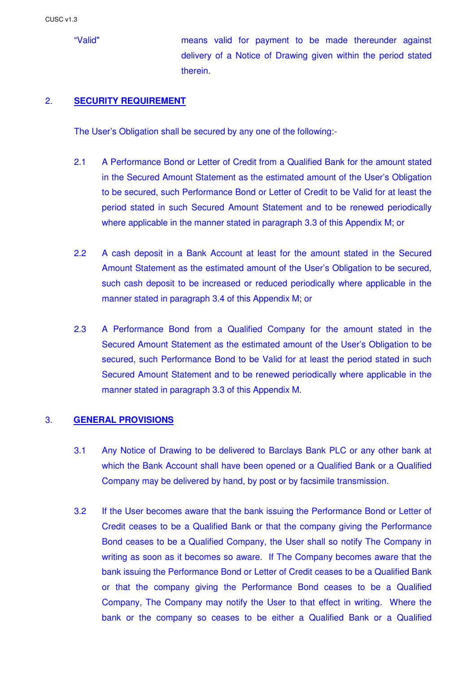"Valid" means valid for payment to be made thereunder against delivery of a Notice of Drawing given within the period stated therein.

### 2. **SECURITY REQUIREMENT**

The User's Obligation shall be secured by any one of the following:-

- 2.1 A Performance Bond or Letter of Credit from a Qualified Bank for the amount stated in the Secured Amount Statement as the estimated amount of the User's Obligation to be secured, such Performance Bond or Letter of Credit to be Valid for at least the period stated in such Secured Amount Statement and to be renewed periodically where applicable in the manner stated in paragraph 3.3 of this Appendix M; or
- 2.2 A cash deposit in a Bank Account at least for the amount stated in the Secured Amount Statement as the estimated amount of the User's Obligation to be secured, such cash deposit to be increased or reduced periodically where applicable in the manner stated in paragraph 3.4 of this Appendix M; or
- 2.3 A Performance Bond from a Qualified Company for the amount stated in the Secured Amount Statement as the estimated amount of the User's Obligation to be secured, such Performance Bond to be Valid for at least the period stated in such Secured Amount Statement and to be renewed periodically where applicable in the manner stated in paragraph 3.3 of this Appendix M.

### 3. **GENERAL PROVISIONS**

- 3.1 Any Notice of Drawing to be delivered to Barclays Bank PLC or any other bank at which the Bank Account shall have been opened or a Qualified Bank or a Qualified Company may be delivered by hand, by post or by facsimile transmission.
- 3.2 If the User becomes aware that the bank issuing the Performance Bond or Letter of Credit ceases to be a Qualified Bank or that the company giving the Performance Bond ceases to be a Qualified Company, the User shall so notify The Company in writing as soon as it becomes so aware. If The Company becomes aware that the bank issuing the Performance Bond or Letter of Credit ceases to be a Qualified Bank or that the company giving the Performance Bond ceases to be a Qualified Company, The Company may notify the User to that effect in writing. Where the bank or the company so ceases to be either a Qualified Bank or a Qualified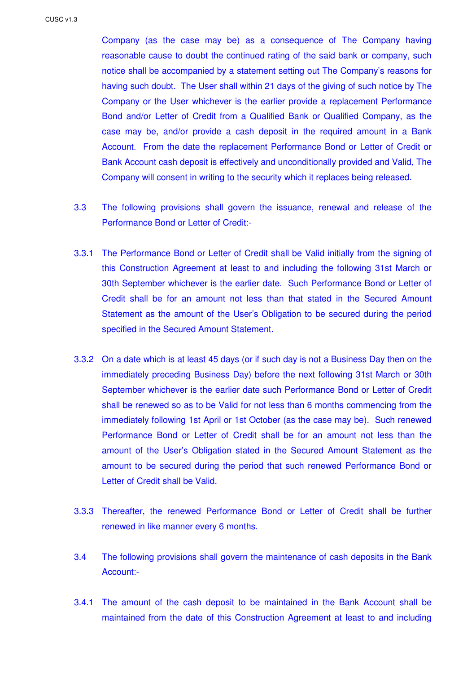Company (as the case may be) as a consequence of The Company having reasonable cause to doubt the continued rating of the said bank or company, such notice shall be accompanied by a statement setting out The Company's reasons for having such doubt. The User shall within 21 days of the giving of such notice by The Company or the User whichever is the earlier provide a replacement Performance Bond and/or Letter of Credit from a Qualified Bank or Qualified Company, as the case may be, and/or provide a cash deposit in the required amount in a Bank Account. From the date the replacement Performance Bond or Letter of Credit or Bank Account cash deposit is effectively and unconditionally provided and Valid, The Company will consent in writing to the security which it replaces being released.

- 3.3 The following provisions shall govern the issuance, renewal and release of the Performance Bond or Letter of Credit:-
- 3.3.1 The Performance Bond or Letter of Credit shall be Valid initially from the signing of this Construction Agreement at least to and including the following 31st March or 30th September whichever is the earlier date. Such Performance Bond or Letter of Credit shall be for an amount not less than that stated in the Secured Amount Statement as the amount of the User's Obligation to be secured during the period specified in the Secured Amount Statement.
- 3.3.2 On a date which is at least 45 days (or if such day is not a Business Day then on the immediately preceding Business Day) before the next following 31st March or 30th September whichever is the earlier date such Performance Bond or Letter of Credit shall be renewed so as to be Valid for not less than 6 months commencing from the immediately following 1st April or 1st October (as the case may be). Such renewed Performance Bond or Letter of Credit shall be for an amount not less than the amount of the User's Obligation stated in the Secured Amount Statement as the amount to be secured during the period that such renewed Performance Bond or Letter of Credit shall be Valid.
- 3.3.3 Thereafter, the renewed Performance Bond or Letter of Credit shall be further renewed in like manner every 6 months.
- 3.4 The following provisions shall govern the maintenance of cash deposits in the Bank Account:-
- 3.4.1 The amount of the cash deposit to be maintained in the Bank Account shall be maintained from the date of this Construction Agreement at least to and including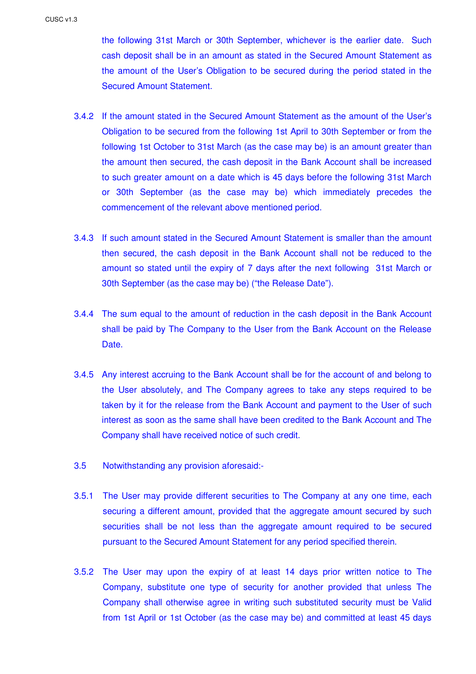the following 31st March or 30th September, whichever is the earlier date. Such cash deposit shall be in an amount as stated in the Secured Amount Statement as the amount of the User's Obligation to be secured during the period stated in the Secured Amount Statement.

- 3.4.2 If the amount stated in the Secured Amount Statement as the amount of the User's Obligation to be secured from the following 1st April to 30th September or from the following 1st October to 31st March (as the case may be) is an amount greater than the amount then secured, the cash deposit in the Bank Account shall be increased to such greater amount on a date which is 45 days before the following 31st March or 30th September (as the case may be) which immediately precedes the commencement of the relevant above mentioned period.
- 3.4.3 If such amount stated in the Secured Amount Statement is smaller than the amount then secured, the cash deposit in the Bank Account shall not be reduced to the amount so stated until the expiry of 7 days after the next following 31st March or 30th September (as the case may be) ("the Release Date").
- 3.4.4 The sum equal to the amount of reduction in the cash deposit in the Bank Account shall be paid by The Company to the User from the Bank Account on the Release Date.
- 3.4.5 Any interest accruing to the Bank Account shall be for the account of and belong to the User absolutely, and The Company agrees to take any steps required to be taken by it for the release from the Bank Account and payment to the User of such interest as soon as the same shall have been credited to the Bank Account and The Company shall have received notice of such credit.
- 3.5 Notwithstanding any provision aforesaid:-
- 3.5.1 The User may provide different securities to The Company at any one time, each securing a different amount, provided that the aggregate amount secured by such securities shall be not less than the aggregate amount required to be secured pursuant to the Secured Amount Statement for any period specified therein.
- 3.5.2 The User may upon the expiry of at least 14 days prior written notice to The Company, substitute one type of security for another provided that unless The Company shall otherwise agree in writing such substituted security must be Valid from 1st April or 1st October (as the case may be) and committed at least 45 days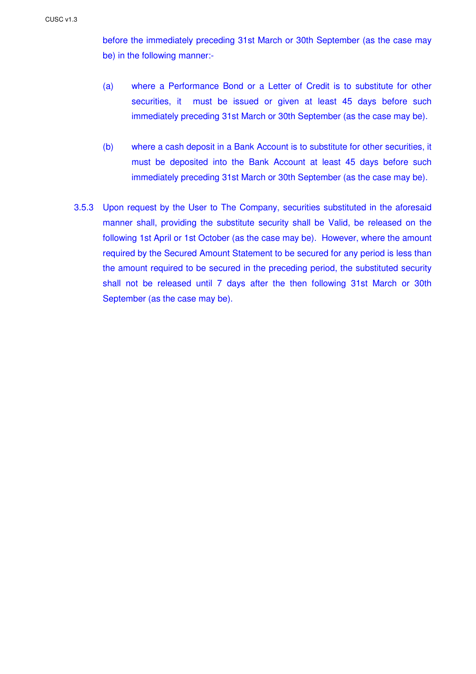before the immediately preceding 31st March or 30th September (as the case may be) in the following manner:-

- (a) where a Performance Bond or a Letter of Credit is to substitute for other securities, it must be issued or given at least 45 days before such immediately preceding 31st March or 30th September (as the case may be).
- (b) where a cash deposit in a Bank Account is to substitute for other securities, it must be deposited into the Bank Account at least 45 days before such immediately preceding 31st March or 30th September (as the case may be).
- 3.5.3 Upon request by the User to The Company, securities substituted in the aforesaid manner shall, providing the substitute security shall be Valid, be released on the following 1st April or 1st October (as the case may be). However, where the amount required by the Secured Amount Statement to be secured for any period is less than the amount required to be secured in the preceding period, the substituted security shall not be released until 7 days after the then following 31st March or 30th September (as the case may be).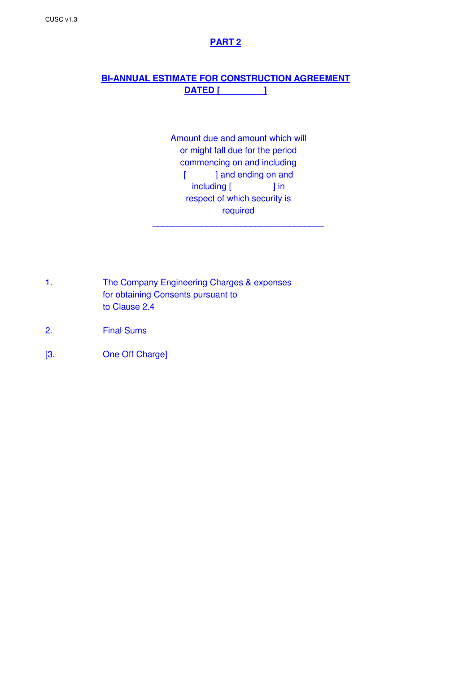## **PART 2**

## **BI-ANNUAL ESTIMATE FOR CONSTRUCTION AGREEMENT DATED [ ]**

Amount due and amount which will or might fall due for the period commencing on and including [ ] and ending on and including [ ] in respect of which security is required

\_\_\_\_\_\_\_\_\_\_\_\_\_\_\_\_\_\_\_\_\_\_\_\_\_\_\_\_\_\_\_\_\_\_\_

- 1. The Company Engineering Charges & expenses for obtaining Consents pursuant to to Clause 2.4
- 2. Final Sums
- [3. One Off Charge]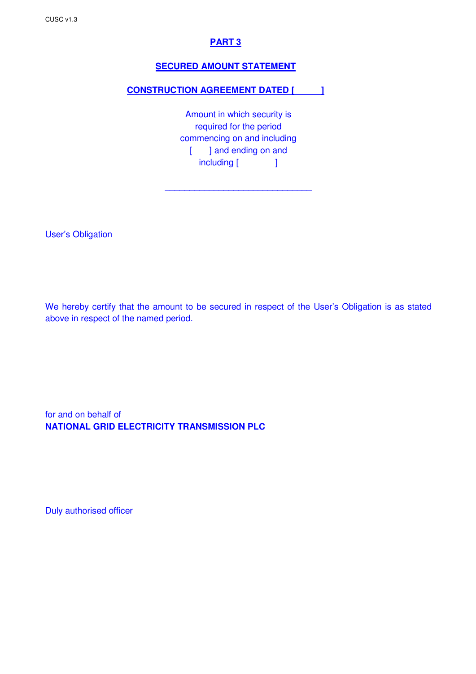## **PART 3**

## **SECURED AMOUNT STATEMENT**

## **CONSTRUCTION AGREEMENT DATED [ ]**

Amount in which security is required for the period commencing on and including [ ] and ending on and including [ ]

\_\_\_\_\_\_\_\_\_\_\_\_\_\_\_\_\_\_\_\_\_\_\_\_\_\_\_\_\_\_

User's Obligation

We hereby certify that the amount to be secured in respect of the User's Obligation is as stated above in respect of the named period.

for and on behalf of **NATIONAL GRID ELECTRICITY TRANSMISSION PLC** 

Duly authorised officer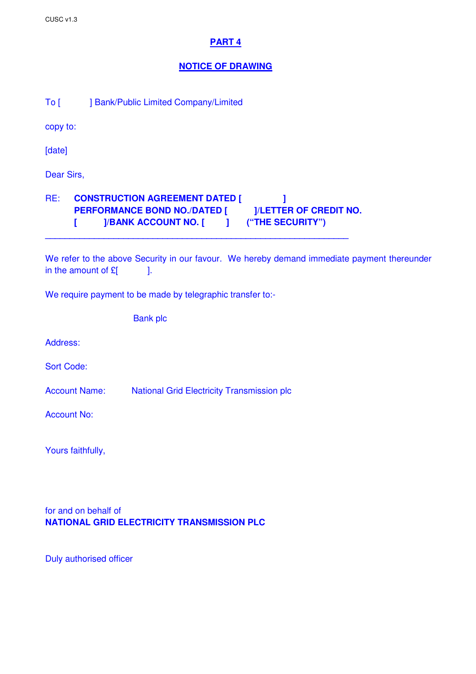## **PART 4**

### **NOTICE OF DRAWING**

To [ ] Bank/Public Limited Company/Limited

copy to:

[date]

Dear Sirs,

## RE: **CONSTRUCTION AGREEMENT DATED [**  $\qquad$  ] PERFORMANCE BOND NO./DATED [ ]/LETTER OF CREDIT NO. **[ ]/BANK ACCOUNT NO. [ ] ("THE SECURITY")**

**\_\_\_\_\_\_\_\_\_\_\_\_\_\_\_\_\_\_\_\_\_\_\_\_\_\_\_\_\_\_\_\_\_\_\_\_\_\_\_\_\_\_\_\_\_\_\_\_\_\_\_\_\_\_\_\_\_\_\_\_\_\_** 

We refer to the above Security in our favour. We hereby demand immediate payment thereunder in the amount of  $E$   $\vert$ .

We require payment to be made by telegraphic transfer to:-

| <b>Bank plc</b> |  |
|-----------------|--|
|                 |  |

Address:

Sort Code:

Account Name: National Grid Electricity Transmission plc

Account No:

Yours faithfully,

for and on behalf of **NATIONAL GRID ELECTRICITY TRANSMISSION PLC** 

Duly authorised officer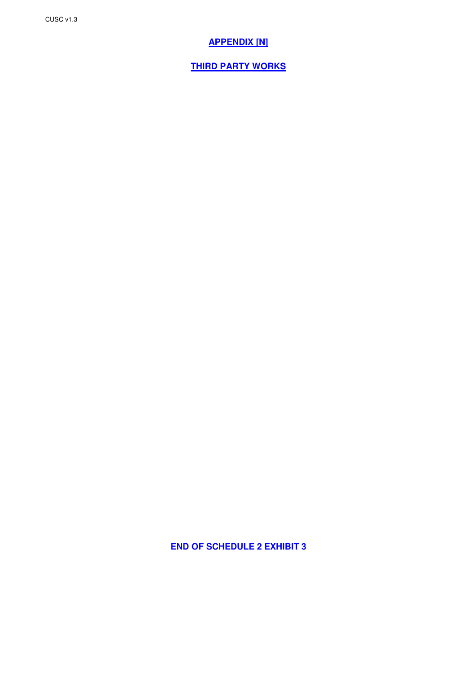## **APPENDIX [N]**

**THIRD PARTY WORKS**

**END OF SCHEDULE 2 EXHIBIT 3**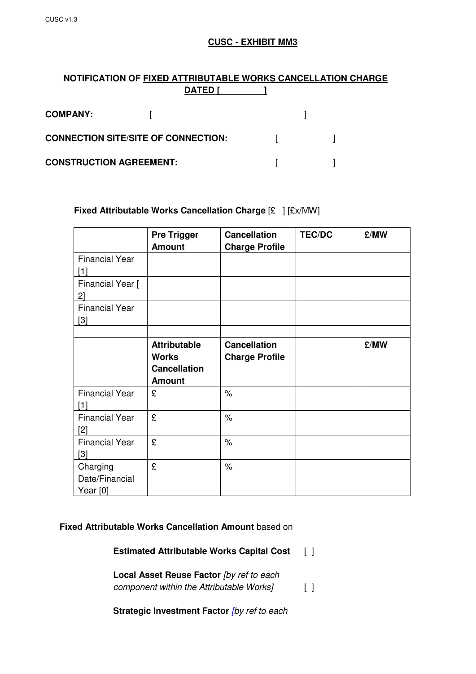## **CUSC - EXHIBIT MM3**

## **NOTIFICATION OF FIXED ATTRIBUTABLE WORKS CANCELLATION CHARGE DATED [ ]**

| <b>COMPANY:</b>                            |  |  |
|--------------------------------------------|--|--|
| <b>CONNECTION SITE/SITE OF CONNECTION:</b> |  |  |
| <b>CONSTRUCTION AGREEMENT:</b>             |  |  |

## **Fixed Attributable Works Cancellation Charge** [£ ] [£x/MW]

|                                          | <b>Pre Trigger</b><br><b>Amount</b>                                         | <b>Cancellation</b><br><b>Charge Profile</b> | <b>TEC/DC</b> | £/MW |
|------------------------------------------|-----------------------------------------------------------------------------|----------------------------------------------|---------------|------|
| <b>Financial Year</b><br>[1]             |                                                                             |                                              |               |      |
| Financial Year [<br>2]                   |                                                                             |                                              |               |      |
| <b>Financial Year</b><br>[3]             |                                                                             |                                              |               |      |
|                                          | <b>Attributable</b><br><b>Works</b><br><b>Cancellation</b><br><b>Amount</b> | <b>Cancellation</b><br><b>Charge Profile</b> |               | £/MW |
| <b>Financial Year</b><br>[1]             | £                                                                           | $\%$                                         |               |      |
| <b>Financial Year</b><br>[2]             | £                                                                           | $\%$                                         |               |      |
| <b>Financial Year</b><br>[3]             | £                                                                           | $\%$                                         |               |      |
| Charging<br>Date/Financial<br>Year $[0]$ | £                                                                           | $\%$                                         |               |      |

### **Fixed Attributable Works Cancellation Amount** based on

**Estimated Attributable Works Capital Cost** [ ]

**Local Asset Reuse Factor [by ref to each** component within the Attributable Works] [ ]

**Strategic Investment Factor [by ref to each**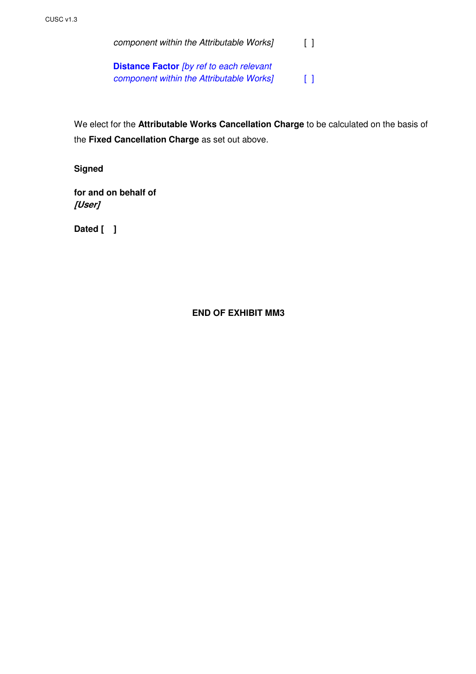component within the Attributable Works] [ ] **Distance Factor** [by ref to each relevant component within the Attributable Works] [ ]

 We elect for the **Attributable Works Cancellation Charge** to be calculated on the basis of the **Fixed Cancellation Charge** as set out above.

**Signed** 

**for and on behalf of [User]** 

 **Dated [ ]** 

## **END OF EXHIBIT MM3**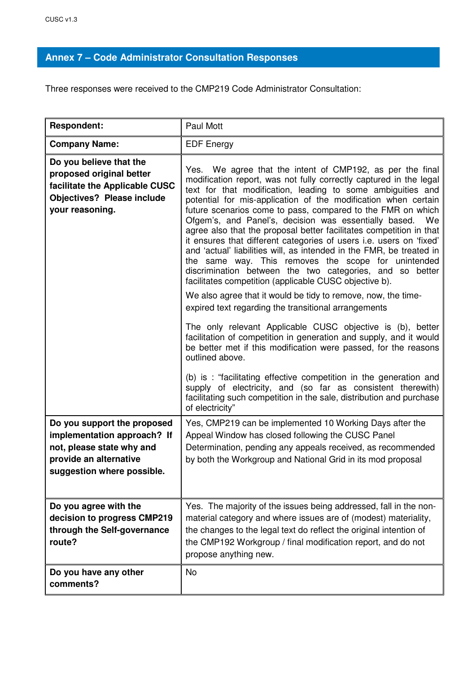# **Annex 7 – Code Administrator Consultation Responses**

Three responses were received to the CMP219 Code Administrator Consultation:

| <b>Respondent:</b>                                                                                                                                                                                                                               | Paul Mott                                                                                                                                                                                                                                                                                                                                                                                                                                                                                                                                                                                                                                                                                                                                                                                                                                                                                                                                                                                                                                                                                                                                                                                                                                                                                                                                                                            |
|--------------------------------------------------------------------------------------------------------------------------------------------------------------------------------------------------------------------------------------------------|--------------------------------------------------------------------------------------------------------------------------------------------------------------------------------------------------------------------------------------------------------------------------------------------------------------------------------------------------------------------------------------------------------------------------------------------------------------------------------------------------------------------------------------------------------------------------------------------------------------------------------------------------------------------------------------------------------------------------------------------------------------------------------------------------------------------------------------------------------------------------------------------------------------------------------------------------------------------------------------------------------------------------------------------------------------------------------------------------------------------------------------------------------------------------------------------------------------------------------------------------------------------------------------------------------------------------------------------------------------------------------------|
| <b>Company Name:</b>                                                                                                                                                                                                                             | <b>EDF</b> Energy                                                                                                                                                                                                                                                                                                                                                                                                                                                                                                                                                                                                                                                                                                                                                                                                                                                                                                                                                                                                                                                                                                                                                                                                                                                                                                                                                                    |
| Do you believe that the<br>proposed original better<br>facilitate the Applicable CUSC<br><b>Objectives? Please include</b><br>your reasoning.                                                                                                    | Yes. We agree that the intent of CMP192, as per the final<br>modification report, was not fully correctly captured in the legal<br>text for that modification, leading to some ambiguities and<br>potential for mis-application of the modification when certain<br>future scenarios come to pass, compared to the FMR on which<br>Ofgem's, and Panel's, decision was essentially based.<br>We<br>agree also that the proposal better facilitates competition in that<br>it ensures that different categories of users i.e. users on 'fixed'<br>and 'actual' liabilities will, as intended in the FMR, be treated in<br>the same way. This removes the scope for unintended<br>discrimination between the two categories, and so better<br>facilitates competition (applicable CUSC objective b).<br>We also agree that it would be tidy to remove, now, the time-<br>expired text regarding the transitional arrangements<br>The only relevant Applicable CUSC objective is (b), better<br>facilitation of competition in generation and supply, and it would<br>be better met if this modification were passed, for the reasons<br>outlined above.<br>(b) is : "facilitating effective competition in the generation and<br>supply of electricity, and (so far as consistent therewith)<br>facilitating such competition in the sale, distribution and purchase<br>of electricity" |
| Do you support the proposed<br>implementation approach? If<br>not, please state why and<br>provide an alternative<br>suggestion where possible.<br>Do you agree with the<br>decision to progress CMP219<br>through the Self-governance<br>route? | Yes, CMP219 can be implemented 10 Working Days after the<br>Appeal Window has closed following the CUSC Panel<br>Determination, pending any appeals received, as recommended<br>by both the Workgroup and National Grid in its mod proposal<br>Yes. The majority of the issues being addressed, fall in the non-<br>material category and where issues are of (modest) materiality,<br>the changes to the legal text do reflect the original intention of<br>the CMP192 Workgroup / final modification report, and do not<br>propose anything new.                                                                                                                                                                                                                                                                                                                                                                                                                                                                                                                                                                                                                                                                                                                                                                                                                                   |
| Do you have any other<br>comments?                                                                                                                                                                                                               | <b>No</b>                                                                                                                                                                                                                                                                                                                                                                                                                                                                                                                                                                                                                                                                                                                                                                                                                                                                                                                                                                                                                                                                                                                                                                                                                                                                                                                                                                            |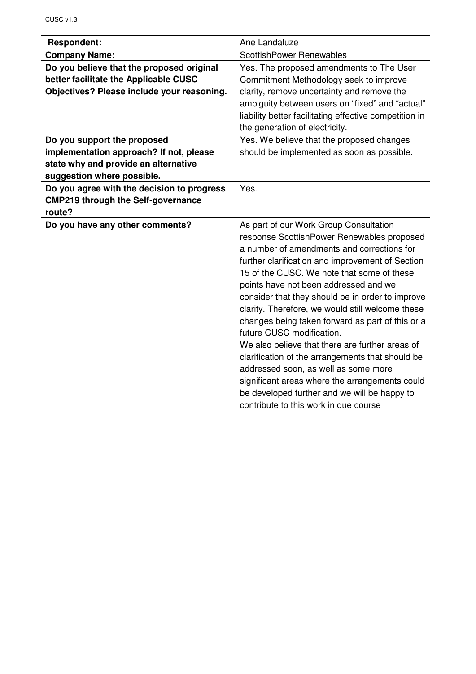| <b>Respondent:</b>                         | Ane Landaluze                                          |
|--------------------------------------------|--------------------------------------------------------|
| <b>Company Name:</b>                       | <b>ScottishPower Renewables</b>                        |
| Do you believe that the proposed original  | Yes. The proposed amendments to The User               |
| better facilitate the Applicable CUSC      | Commitment Methodology seek to improve                 |
| Objectives? Please include your reasoning. | clarity, remove uncertainty and remove the             |
|                                            | ambiguity between users on "fixed" and "actual"        |
|                                            | liability better facilitating effective competition in |
|                                            | the generation of electricity.                         |
| Do you support the proposed                | Yes. We believe that the proposed changes              |
| implementation approach? If not, please    | should be implemented as soon as possible.             |
| state why and provide an alternative       |                                                        |
| suggestion where possible.                 |                                                        |
| Do you agree with the decision to progress | Yes.                                                   |
| <b>CMP219 through the Self-governance</b>  |                                                        |
| route?                                     |                                                        |
| Do you have any other comments?            | As part of our Work Group Consultation                 |
|                                            | response ScottishPower Renewables proposed             |
|                                            | a number of amendments and corrections for             |
|                                            | further clarification and improvement of Section       |
|                                            | 15 of the CUSC. We note that some of these             |
|                                            | points have not been addressed and we                  |
|                                            | consider that they should be in order to improve       |
|                                            | clarity. Therefore, we would still welcome these       |
|                                            | changes being taken forward as part of this or a       |
|                                            | future CUSC modification.                              |
|                                            | We also believe that there are further areas of        |
|                                            | clarification of the arrangements that should be       |
|                                            | addressed soon, as well as some more                   |
|                                            | significant areas where the arrangements could         |
|                                            | be developed further and we will be happy to           |
|                                            | contribute to this work in due course                  |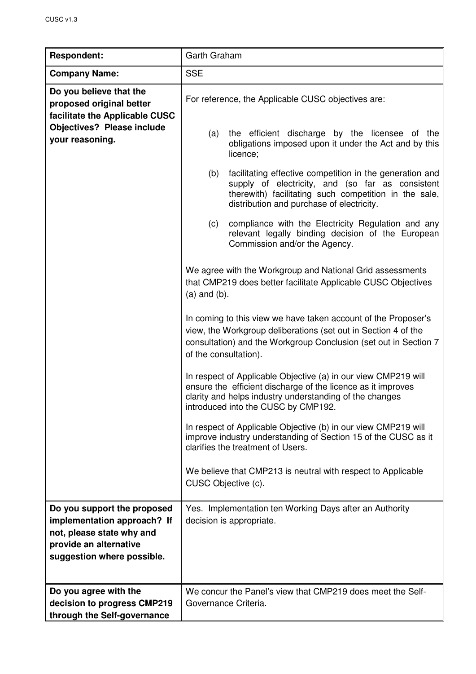| <b>Respondent:</b>                                                                                                                              | Garth Graham                                                                                                                                                                                                                     |
|-------------------------------------------------------------------------------------------------------------------------------------------------|----------------------------------------------------------------------------------------------------------------------------------------------------------------------------------------------------------------------------------|
| <b>Company Name:</b>                                                                                                                            | <b>SSE</b>                                                                                                                                                                                                                       |
| Do you believe that the<br>proposed original better<br>facilitate the Applicable CUSC                                                           | For reference, the Applicable CUSC objectives are:                                                                                                                                                                               |
| <b>Objectives? Please include</b><br>your reasoning.                                                                                            | the efficient discharge by the licensee of the<br>(a)<br>obligations imposed upon it under the Act and by this<br>licence;                                                                                                       |
|                                                                                                                                                 | (b)<br>facilitating effective competition in the generation and<br>supply of electricity, and (so far as consistent<br>therewith) facilitating such competition in the sale,<br>distribution and purchase of electricity.        |
|                                                                                                                                                 | (c)<br>compliance with the Electricity Regulation and any<br>relevant legally binding decision of the European<br>Commission and/or the Agency.                                                                                  |
|                                                                                                                                                 | We agree with the Workgroup and National Grid assessments<br>that CMP219 does better facilitate Applicable CUSC Objectives<br>$(a)$ and $(b)$ .                                                                                  |
|                                                                                                                                                 | In coming to this view we have taken account of the Proposer's<br>view, the Workgroup deliberations (set out in Section 4 of the<br>consultation) and the Workgroup Conclusion (set out in Section 7<br>of the consultation).    |
|                                                                                                                                                 | In respect of Applicable Objective (a) in our view CMP219 will<br>ensure the efficient discharge of the licence as it improves<br>clarity and helps industry understanding of the changes<br>introduced into the CUSC by CMP192. |
|                                                                                                                                                 | In respect of Applicable Objective (b) in our view CMP219 will<br>improve industry understanding of Section 15 of the CUSC as it<br>clarifies the treatment of Users.                                                            |
|                                                                                                                                                 | We believe that CMP213 is neutral with respect to Applicable<br>CUSC Objective (c).                                                                                                                                              |
| Do you support the proposed<br>implementation approach? If<br>not, please state why and<br>provide an alternative<br>suggestion where possible. | Yes. Implementation ten Working Days after an Authority<br>decision is appropriate.                                                                                                                                              |
| Do you agree with the<br>decision to progress CMP219<br>through the Self-governance                                                             | We concur the Panel's view that CMP219 does meet the Self-<br>Governance Criteria.                                                                                                                                               |